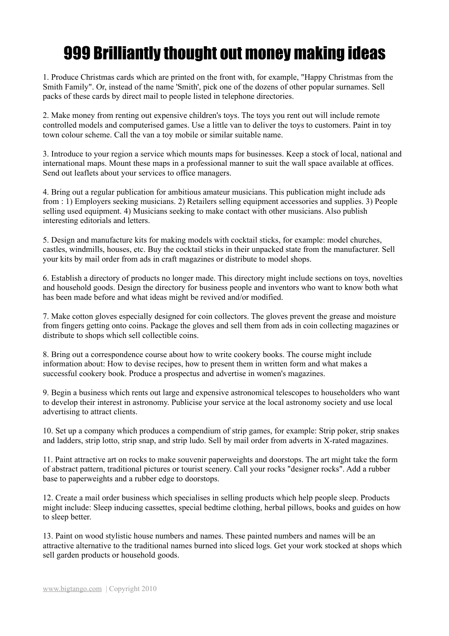## 999 Brilliantly thought out money making ideas

1. Produce Christmas cards which are printed on the front with, for example, "Happy Christmas from the Smith Family". Or, instead of the name 'Smith', pick one of the dozens of other popular surnames. Sell packs of these cards by direct mail to people listed in telephone directories.

2. Make money from renting out expensive children's toys. The toys you rent out will include remote controlled models and computerised games. Use a little van to deliver the toys to customers. Paint in toy town colour scheme. Call the van a toy mobile or similar suitable name.

3. Introduce to your region a service which mounts maps for businesses. Keep a stock of local, national and international maps. Mount these maps in a professional manner to suit the wall space available at offices. Send out leaflets about your services to office managers.

4. Bring out a regular publication for ambitious amateur musicians. This publication might include ads from : 1) Employers seeking musicians. 2) Retailers selling equipment accessories and supplies. 3) People selling used equipment. 4) Musicians seeking to make contact with other musicians. Also publish interesting editorials and letters.

5. Design and manufacture kits for making models with cocktail sticks, for example: model churches, castles, windmills, houses, etc. Buy the cocktail sticks in their unpacked state from the manufacturer. Sell your kits by mail order from ads in craft magazines or distribute to model shops.

6. Establish a directory of products no longer made. This directory might include sections on toys, novelties and household goods. Design the directory for business people and inventors who want to know both what has been made before and what ideas might be revived and/or modified.

7. Make cotton gloves especially designed for coin collectors. The gloves prevent the grease and moisture from fingers getting onto coins. Package the gloves and sell them from ads in coin collecting magazines or distribute to shops which sell collectible coins.

8. Bring out a correspondence course about how to write cookery books. The course might include information about: How to devise recipes, how to present them in written form and what makes a successful cookery book. Produce a prospectus and advertise in women's magazines.

9. Begin a business which rents out large and expensive astronomical telescopes to householders who want to develop their interest in astronomy. Publicise your service at the local astronomy society and use local advertising to attract clients.

10. Set up a company which produces a compendium of strip games, for example: Strip poker, strip snakes and ladders, strip lotto, strip snap, and strip ludo. Sell by mail order from adverts in X-rated magazines.

11. Paint attractive art on rocks to make souvenir paperweights and doorstops. The art might take the form of abstract pattern, traditional pictures or tourist scenery. Call your rocks "designer rocks". Add a rubber base to paperweights and a rubber edge to doorstops.

12. Create a mail order business which specialises in selling products which help people sleep. Products might include: Sleep inducing cassettes, special bedtime clothing, herbal pillows, books and guides on how to sleep better.

13. Paint on wood stylistic house numbers and names. These painted numbers and names will be an attractive alternative to the traditional names burned into sliced logs. Get your work stocked at shops which sell garden products or household goods.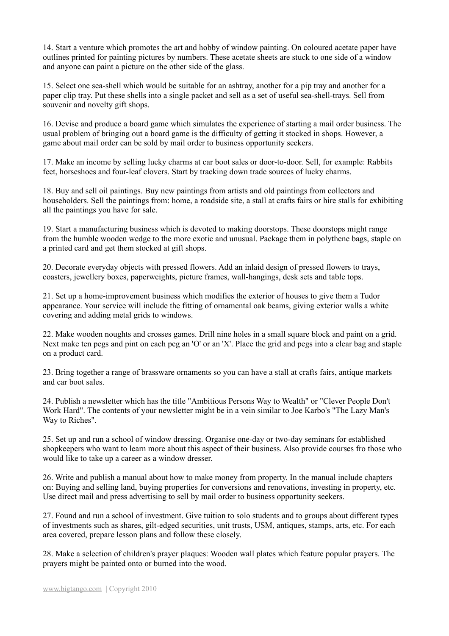14. Start a venture which promotes the art and hobby of window painting. On coloured acetate paper have outlines printed for painting pictures by numbers. These acetate sheets are stuck to one side of a window and anyone can paint a picture on the other side of the glass.

15. Select one sea-shell which would be suitable for an ashtray, another for a pip tray and another for a paper clip tray. Put these shells into a single packet and sell as a set of useful sea-shell-trays. Sell from souvenir and novelty gift shops.

16. Devise and produce a board game which simulates the experience of starting a mail order business. The usual problem of bringing out a board game is the difficulty of getting it stocked in shops. However, a game about mail order can be sold by mail order to business opportunity seekers.

17. Make an income by selling lucky charms at car boot sales or door-to-door. Sell, for example: Rabbits feet, horseshoes and four-leaf clovers. Start by tracking down trade sources of lucky charms.

18. Buy and sell oil paintings. Buy new paintings from artists and old paintings from collectors and householders. Sell the paintings from: home, a roadside site, a stall at crafts fairs or hire stalls for exhibiting all the paintings you have for sale.

19. Start a manufacturing business which is devoted to making doorstops. These doorstops might range from the humble wooden wedge to the more exotic and unusual. Package them in polythene bags, staple on a printed card and get them stocked at gift shops.

20. Decorate everyday objects with pressed flowers. Add an inlaid design of pressed flowers to trays, coasters, jewellery boxes, paperweights, picture frames, wall-hangings, desk sets and table tops.

21. Set up a home-improvement business which modifies the exterior of houses to give them a Tudor appearance. Your service will include the fitting of ornamental oak beams, giving exterior walls a white covering and adding metal grids to windows.

22. Make wooden noughts and crosses games. Drill nine holes in a small square block and paint on a grid. Next make ten pegs and pint on each peg an 'O' or an 'X'. Place the grid and pegs into a clear bag and staple on a product card.

23. Bring together a range of brassware ornaments so you can have a stall at crafts fairs, antique markets and car boot sales.

24. Publish a newsletter which has the title "Ambitious Persons Way to Wealth" or "Clever People Don't Work Hard". The contents of your newsletter might be in a vein similar to Joe Karbo's "The Lazy Man's Way to Riches".

25. Set up and run a school of window dressing. Organise one-day or two-day seminars for established shopkeepers who want to learn more about this aspect of their business. Also provide courses fro those who would like to take up a career as a window dresser.

26. Write and publish a manual about how to make money from property. In the manual include chapters on: Buying and selling land, buying properties for conversions and renovations, investing in property, etc. Use direct mail and press advertising to sell by mail order to business opportunity seekers.

27. Found and run a school of investment. Give tuition to solo students and to groups about different types of investments such as shares, gilt-edged securities, unit trusts, USM, antiques, stamps, arts, etc. For each area covered, prepare lesson plans and follow these closely.

28. Make a selection of children's prayer plaques: Wooden wall plates which feature popular prayers. The prayers might be painted onto or burned into the wood.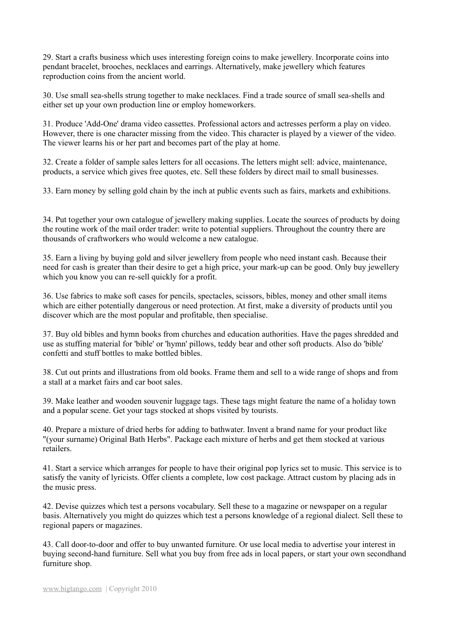29. Start a crafts business which uses interesting foreign coins to make jewellery. Incorporate coins into pendant bracelet, brooches, necklaces and earrings. Alternatively, make jewellery which features reproduction coins from the ancient world.

30. Use small sea-shells strung together to make necklaces. Find a trade source of small sea-shells and either set up your own production line or employ homeworkers.

31. Produce 'Add-One' drama video cassettes. Professional actors and actresses perform a play on video. However, there is one character missing from the video. This character is played by a viewer of the video. The viewer learns his or her part and becomes part of the play at home.

32. Create a folder of sample sales letters for all occasions. The letters might sell: advice, maintenance, products, a service which gives free quotes, etc. Sell these folders by direct mail to small businesses.

33. Earn money by selling gold chain by the inch at public events such as fairs, markets and exhibitions.

34. Put together your own catalogue of jewellery making supplies. Locate the sources of products by doing the routine work of the mail order trader: write to potential suppliers. Throughout the country there are thousands of craftworkers who would welcome a new catalogue.

35. Earn a living by buying gold and silver jewellery from people who need instant cash. Because their need for cash is greater than their desire to get a high price, your mark-up can be good. Only buy jewellery which you know you can re-sell quickly for a profit.

36. Use fabrics to make soft cases for pencils, spectacles, scissors, bibles, money and other small items which are either potentially dangerous or need protection. At first, make a diversity of products until you discover which are the most popular and profitable, then specialise.

37. Buy old bibles and hymn books from churches and education authorities. Have the pages shredded and use as stuffing material for 'bible' or 'hymn' pillows, teddy bear and other soft products. Also do 'bible' confetti and stuff bottles to make bottled bibles.

38. Cut out prints and illustrations from old books. Frame them and sell to a wide range of shops and from a stall at a market fairs and car boot sales.

39. Make leather and wooden souvenir luggage tags. These tags might feature the name of a holiday town and a popular scene. Get your tags stocked at shops visited by tourists.

40. Prepare a mixture of dried herbs for adding to bathwater. Invent a brand name for your product like "(your surname) Original Bath Herbs". Package each mixture of herbs and get them stocked at various retailers.

41. Start a service which arranges for people to have their original pop lyrics set to music. This service is to satisfy the vanity of lyricists. Offer clients a complete, low cost package. Attract custom by placing ads in the music press.

42. Devise quizzes which test a persons vocabulary. Sell these to a magazine or newspaper on a regular basis. Alternatively you might do quizzes which test a persons knowledge of a regional dialect. Sell these to regional papers or magazines.

43. Call door-to-door and offer to buy unwanted furniture. Or use local media to advertise your interest in buying second-hand furniture. Sell what you buy from free ads in local papers, or start your own secondhand furniture shop.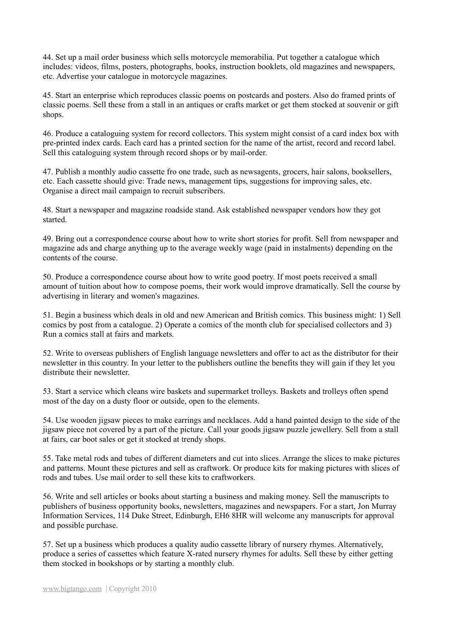44. Set up a mail order business which sells motorcycle memorabilia. Put together a catalogue which includes: videos, films, posters, photographs, books, instruction booklets, old magazines and newspapers, etc. Advertise your catalogue in motorcycle magazines.

45. Start an enterprise which reproduces classic poems on postcards and posters. Also do framed prints of classic poems. Sell these from a stall in an antiques or crafts market or get them stocked at souvenir or gift shops.

46. Produce a cataloguing system for record collectors. This system might consist of a card index box with pre-printed index cards. Each card has a printed section for the name of the artist, record and record label. Sell this cataloguing system through record shops or by mail-order.

47. Publish a monthly audio cassette fro one trade, such as newsagents, grocers, hair salons, booksellers, etc. Each cassette should give: Trade news, management tips, suggestions for improving sales, etc. Organise a direct mail campaign to recruit subscribers.

48. Start a newspaper and magazine roadside stand. Ask established newspaper vendors how they got started.

49. Bring out a correspondence course about how to write short stories for profit. Sell from newspaper and magazine ads and charge anything up to the average weekly wage (paid in instalments) depending on the contents of the course.

50. Produce a correspondence course about how to write good poetry. If most poets received a small amount of tuition about how to compose poems, their work would improve dramatically. Sell the course by advertising in literary and women's magazines.

51. Begin a business which deals in old and new American and British comics. This business might: 1) Sell comics by post from a catalogue. 2) Operate a comics of the month club for specialised collectors and 3) Run a comics stall at fairs and markets.

52. Write to overseas publishers of English language newsletters and offer to act as the distributor for their newsletter in this country. In your letter to the publishers outline the benefits they will gain if they let you distribute their newsletter.

53. Start a service which cleans wire baskets and supermarket trolleys. Baskets and trolleys often spend most of the day on a dusty floor or outside, open to the elements.

54. Use wooden jigsaw pieces to make earrings and necklaces. Add a hand painted design to the side of the jigsaw piece not covered by a part of the picture. Call your goods jigsaw puzzle jewellery. Sell from a stall at fairs, car boot sales or get it stocked at trendy shops.

55. Take metal rods and tubes of different diameters and cut into slices. Arrange the slices to make pictures and patterns. Mount these pictures and sell as craftwork. Or produce kits for making pictures with slices of rods and tubes. Use mail order to sell these kits to craftworkers.

56. Write and sell articles or books about starting a business and making money. Sell the manuscripts to publishers of business opportunity books, newsletters, magazines and newspapers. For a start, Jon Murray Information Services, 114 Duke Street, Edinburgh, EH6 8HR will welcome any manuscripts for approval and possible purchase.

57. Set up a business which produces a quality audio cassette library of nursery rhymes. Alternatively, produce a series of cassettes which feature X-rated nursery rhymes for adults. Sell these by either getting them stocked in bookshops or by starting a monthly club.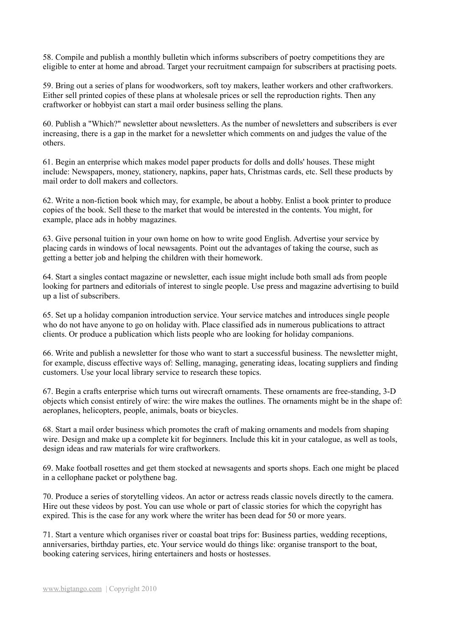58. Compile and publish a monthly bulletin which informs subscribers of poetry competitions they are eligible to enter at home and abroad. Target your recruitment campaign for subscribers at practising poets.

59. Bring out a series of plans for woodworkers, soft toy makers, leather workers and other craftworkers. Either sell printed copies of these plans at wholesale prices or sell the reproduction rights. Then any craftworker or hobbyist can start a mail order business selling the plans.

60. Publish a "Which?" newsletter about newsletters. As the number of newsletters and subscribers is ever increasing, there is a gap in the market for a newsletter which comments on and judges the value of the others.

61. Begin an enterprise which makes model paper products for dolls and dolls' houses. These might include: Newspapers, money, stationery, napkins, paper hats, Christmas cards, etc. Sell these products by mail order to doll makers and collectors.

62. Write a non-fiction book which may, for example, be about a hobby. Enlist a book printer to produce copies of the book. Sell these to the market that would be interested in the contents. You might, for example, place ads in hobby magazines.

63. Give personal tuition in your own home on how to write good English. Advertise your service by placing cards in windows of local newsagents. Point out the advantages of taking the course, such as getting a better job and helping the children with their homework.

64. Start a singles contact magazine or newsletter, each issue might include both small ads from people looking for partners and editorials of interest to single people. Use press and magazine advertising to build up a list of subscribers.

65. Set up a holiday companion introduction service. Your service matches and introduces single people who do not have anyone to go on holiday with. Place classified ads in numerous publications to attract clients. Or produce a publication which lists people who are looking for holiday companions.

66. Write and publish a newsletter for those who want to start a successful business. The newsletter might, for example, discuss effective ways of: Selling, managing, generating ideas, locating suppliers and finding customers. Use your local library service to research these topics.

67. Begin a crafts enterprise which turns out wirecraft ornaments. These ornaments are free-standing, 3-D objects which consist entirely of wire: the wire makes the outlines. The ornaments might be in the shape of: aeroplanes, helicopters, people, animals, boats or bicycles.

68. Start a mail order business which promotes the craft of making ornaments and models from shaping wire. Design and make up a complete kit for beginners. Include this kit in your catalogue, as well as tools, design ideas and raw materials for wire craftworkers.

69. Make football rosettes and get them stocked at newsagents and sports shops. Each one might be placed in a cellophane packet or polythene bag.

70. Produce a series of storytelling videos. An actor or actress reads classic novels directly to the camera. Hire out these videos by post. You can use whole or part of classic stories for which the copyright has expired. This is the case for any work where the writer has been dead for 50 or more years.

71. Start a venture which organises river or coastal boat trips for: Business parties, wedding receptions, anniversaries, birthday parties, etc. Your service would do things like: organise transport to the boat, booking catering services, hiring entertainers and hosts or hostesses.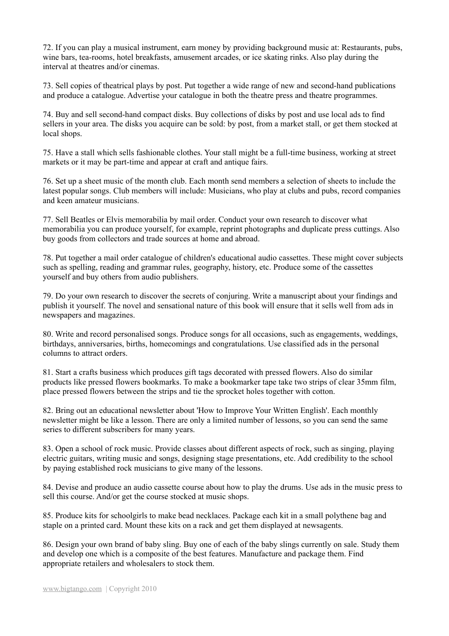72. If you can play a musical instrument, earn money by providing background music at: Restaurants, pubs, wine bars, tea-rooms, hotel breakfasts, amusement arcades, or ice skating rinks. Also play during the interval at theatres and/or cinemas.

73. Sell copies of theatrical plays by post. Put together a wide range of new and second-hand publications and produce a catalogue. Advertise your catalogue in both the theatre press and theatre programmes.

74. Buy and sell second-hand compact disks. Buy collections of disks by post and use local ads to find sellers in your area. The disks you acquire can be sold: by post, from a market stall, or get them stocked at local shops.

75. Have a stall which sells fashionable clothes. Your stall might be a full-time business, working at street markets or it may be part-time and appear at craft and antique fairs.

76. Set up a sheet music of the month club. Each month send members a selection of sheets to include the latest popular songs. Club members will include: Musicians, who play at clubs and pubs, record companies and keen amateur musicians.

77. Sell Beatles or Elvis memorabilia by mail order. Conduct your own research to discover what memorabilia you can produce yourself, for example, reprint photographs and duplicate press cuttings. Also buy goods from collectors and trade sources at home and abroad.

78. Put together a mail order catalogue of children's educational audio cassettes. These might cover subjects such as spelling, reading and grammar rules, geography, history, etc. Produce some of the cassettes yourself and buy others from audio publishers.

79. Do your own research to discover the secrets of conjuring. Write a manuscript about your findings and publish it yourself. The novel and sensational nature of this book will ensure that it sells well from ads in newspapers and magazines.

80. Write and record personalised songs. Produce songs for all occasions, such as engagements, weddings, birthdays, anniversaries, births, homecomings and congratulations. Use classified ads in the personal columns to attract orders.

81. Start a crafts business which produces gift tags decorated with pressed flowers. Also do similar products like pressed flowers bookmarks. To make a bookmarker tape take two strips of clear 35mm film, place pressed flowers between the strips and tie the sprocket holes together with cotton.

82. Bring out an educational newsletter about 'How to Improve Your Written English'. Each monthly newsletter might be like a lesson. There are only a limited number of lessons, so you can send the same series to different subscribers for many years.

83. Open a school of rock music. Provide classes about different aspects of rock, such as singing, playing electric guitars, writing music and songs, designing stage presentations, etc. Add credibility to the school by paying established rock musicians to give many of the lessons.

84. Devise and produce an audio cassette course about how to play the drums. Use ads in the music press to sell this course. And/or get the course stocked at music shops.

85. Produce kits for schoolgirls to make bead necklaces. Package each kit in a small polythene bag and staple on a printed card. Mount these kits on a rack and get them displayed at newsagents.

86. Design your own brand of baby sling. Buy one of each of the baby slings currently on sale. Study them and develop one which is a composite of the best features. Manufacture and package them. Find appropriate retailers and wholesalers to stock them.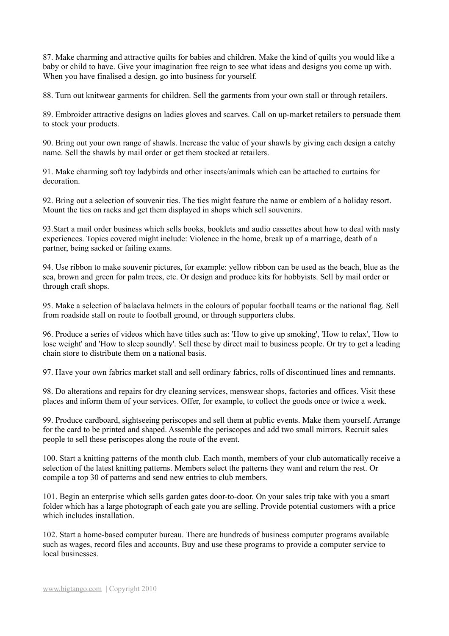87. Make charming and attractive quilts for babies and children. Make the kind of quilts you would like a baby or child to have. Give your imagination free reign to see what ideas and designs you come up with. When you have finalised a design, go into business for yourself.

88. Turn out knitwear garments for children. Sell the garments from your own stall or through retailers.

89. Embroider attractive designs on ladies gloves and scarves. Call on up-market retailers to persuade them to stock your products.

90. Bring out your own range of shawls. Increase the value of your shawls by giving each design a catchy name. Sell the shawls by mail order or get them stocked at retailers.

91. Make charming soft toy ladybirds and other insects/animals which can be attached to curtains for decoration.

92. Bring out a selection of souvenir ties. The ties might feature the name or emblem of a holiday resort. Mount the ties on racks and get them displayed in shops which sell souvenirs.

93.Start a mail order business which sells books, booklets and audio cassettes about how to deal with nasty experiences. Topics covered might include: Violence in the home, break up of a marriage, death of a partner, being sacked or failing exams.

94. Use ribbon to make souvenir pictures, for example: yellow ribbon can be used as the beach, blue as the sea, brown and green for palm trees, etc. Or design and produce kits for hobbyists. Sell by mail order or through craft shops.

95. Make a selection of balaclava helmets in the colours of popular football teams or the national flag. Sell from roadside stall on route to football ground, or through supporters clubs.

96. Produce a series of videos which have titles such as: 'How to give up smoking', 'How to relax', 'How to lose weight' and 'How to sleep soundly'. Sell these by direct mail to business people. Or try to get a leading chain store to distribute them on a national basis.

97. Have your own fabrics market stall and sell ordinary fabrics, rolls of discontinued lines and remnants.

98. Do alterations and repairs for dry cleaning services, menswear shops, factories and offices. Visit these places and inform them of your services. Offer, for example, to collect the goods once or twice a week.

99. Produce cardboard, sightseeing periscopes and sell them at public events. Make them yourself. Arrange for the card to be printed and shaped. Assemble the periscopes and add two small mirrors. Recruit sales people to sell these periscopes along the route of the event.

100. Start a knitting patterns of the month club. Each month, members of your club automatically receive a selection of the latest knitting patterns. Members select the patterns they want and return the rest. Or compile a top 30 of patterns and send new entries to club members.

101. Begin an enterprise which sells garden gates door-to-door. On your sales trip take with you a smart folder which has a large photograph of each gate you are selling. Provide potential customers with a price which includes installation.

102. Start a home-based computer bureau. There are hundreds of business computer programs available such as wages, record files and accounts. Buy and use these programs to provide a computer service to local businesses.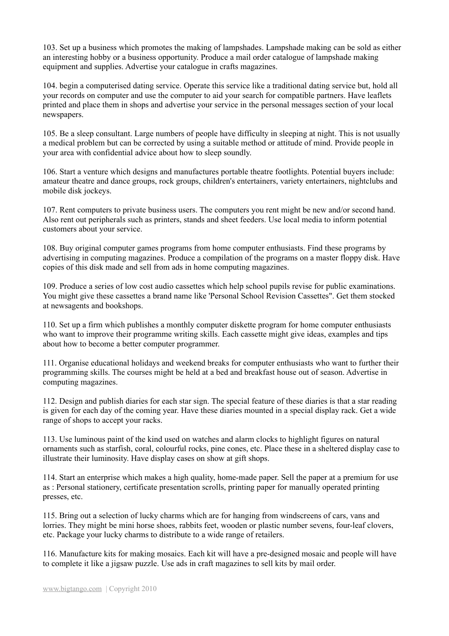103. Set up a business which promotes the making of lampshades. Lampshade making can be sold as either an interesting hobby or a business opportunity. Produce a mail order catalogue of lampshade making equipment and supplies. Advertise your catalogue in crafts magazines.

104. begin a computerised dating service. Operate this service like a traditional dating service but, hold all your records on computer and use the computer to aid your search for compatible partners. Have leaflets printed and place them in shops and advertise your service in the personal messages section of your local newspapers.

105. Be a sleep consultant. Large numbers of people have difficulty in sleeping at night. This is not usually a medical problem but can be corrected by using a suitable method or attitude of mind. Provide people in your area with confidential advice about how to sleep soundly.

106. Start a venture which designs and manufactures portable theatre footlights. Potential buyers include: amateur theatre and dance groups, rock groups, children's entertainers, variety entertainers, nightclubs and mobile disk jockeys.

107. Rent computers to private business users. The computers you rent might be new and/or second hand. Also rent out peripherals such as printers, stands and sheet feeders. Use local media to inform potential customers about your service.

108. Buy original computer games programs from home computer enthusiasts. Find these programs by advertising in computing magazines. Produce a compilation of the programs on a master floppy disk. Have copies of this disk made and sell from ads in home computing magazines.

109. Produce a series of low cost audio cassettes which help school pupils revise for public examinations. You might give these cassettes a brand name like 'Personal School Revision Cassettes". Get them stocked at newsagents and bookshops.

110. Set up a firm which publishes a monthly computer diskette program for home computer enthusiasts who want to improve their programme writing skills. Each cassette might give ideas, examples and tips about how to become a better computer programmer.

111. Organise educational holidays and weekend breaks for computer enthusiasts who want to further their programming skills. The courses might be held at a bed and breakfast house out of season. Advertise in computing magazines.

112. Design and publish diaries for each star sign. The special feature of these diaries is that a star reading is given for each day of the coming year. Have these diaries mounted in a special display rack. Get a wide range of shops to accept your racks.

113. Use luminous paint of the kind used on watches and alarm clocks to highlight figures on natural ornaments such as starfish, coral, colourful rocks, pine cones, etc. Place these in a sheltered display case to illustrate their luminosity. Have display cases on show at gift shops.

114. Start an enterprise which makes a high quality, home-made paper. Sell the paper at a premium for use as : Personal stationery, certificate presentation scrolls, printing paper for manually operated printing presses, etc.

115. Bring out a selection of lucky charms which are for hanging from windscreens of cars, vans and lorries. They might be mini horse shoes, rabbits feet, wooden or plastic number sevens, four-leaf clovers, etc. Package your lucky charms to distribute to a wide range of retailers.

116. Manufacture kits for making mosaics. Each kit will have a pre-designed mosaic and people will have to complete it like a jigsaw puzzle. Use ads in craft magazines to sell kits by mail order.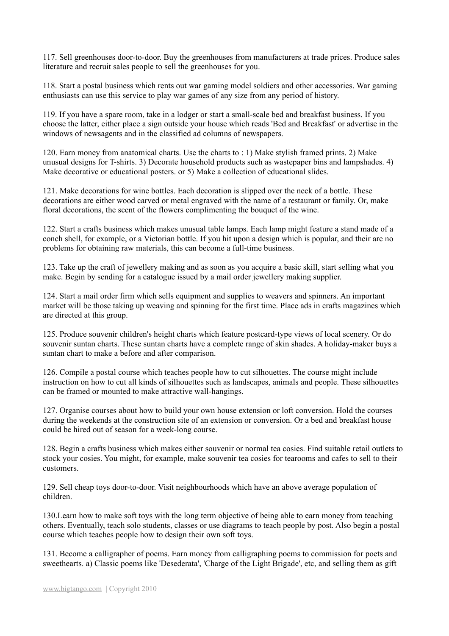117. Sell greenhouses door-to-door. Buy the greenhouses from manufacturers at trade prices. Produce sales literature and recruit sales people to sell the greenhouses for you.

118. Start a postal business which rents out war gaming model soldiers and other accessories. War gaming enthusiasts can use this service to play war games of any size from any period of history.

119. If you have a spare room, take in a lodger or start a small-scale bed and breakfast business. If you choose the latter, either place a sign outside your house which reads 'Bed and Breakfast' or advertise in the windows of newsagents and in the classified ad columns of newspapers.

120. Earn money from anatomical charts. Use the charts to : 1) Make stylish framed prints. 2) Make unusual designs for T-shirts. 3) Decorate household products such as wastepaper bins and lampshades. 4) Make decorative or educational posters. or 5) Make a collection of educational slides.

121. Make decorations for wine bottles. Each decoration is slipped over the neck of a bottle. These decorations are either wood carved or metal engraved with the name of a restaurant or family. Or, make floral decorations, the scent of the flowers complimenting the bouquet of the wine.

122. Start a crafts business which makes unusual table lamps. Each lamp might feature a stand made of a conch shell, for example, or a Victorian bottle. If you hit upon a design which is popular, and their are no problems for obtaining raw materials, this can become a full-time business.

123. Take up the craft of jewellery making and as soon as you acquire a basic skill, start selling what you make. Begin by sending for a catalogue issued by a mail order jewellery making supplier.

124. Start a mail order firm which sells equipment and supplies to weavers and spinners. An important market will be those taking up weaving and spinning for the first time. Place ads in crafts magazines which are directed at this group.

125. Produce souvenir children's height charts which feature postcard-type views of local scenery. Or do souvenir suntan charts. These suntan charts have a complete range of skin shades. A holiday-maker buys a suntan chart to make a before and after comparison.

126. Compile a postal course which teaches people how to cut silhouettes. The course might include instruction on how to cut all kinds of silhouettes such as landscapes, animals and people. These silhouettes can be framed or mounted to make attractive wall-hangings.

127. Organise courses about how to build your own house extension or loft conversion. Hold the courses during the weekends at the construction site of an extension or conversion. Or a bed and breakfast house could be hired out of season for a week-long course.

128. Begin a crafts business which makes either souvenir or normal tea cosies. Find suitable retail outlets to stock your cosies. You might, for example, make souvenir tea cosies for tearooms and cafes to sell to their customers.

129. Sell cheap toys door-to-door. Visit neighbourhoods which have an above average population of children.

130.Learn how to make soft toys with the long term objective of being able to earn money from teaching others. Eventually, teach solo students, classes or use diagrams to teach people by post. Also begin a postal course which teaches people how to design their own soft toys.

131. Become a calligrapher of poems. Earn money from calligraphing poems to commission for poets and sweethearts. a) Classic poems like 'Desederata', 'Charge of the Light Brigade', etc, and selling them as gift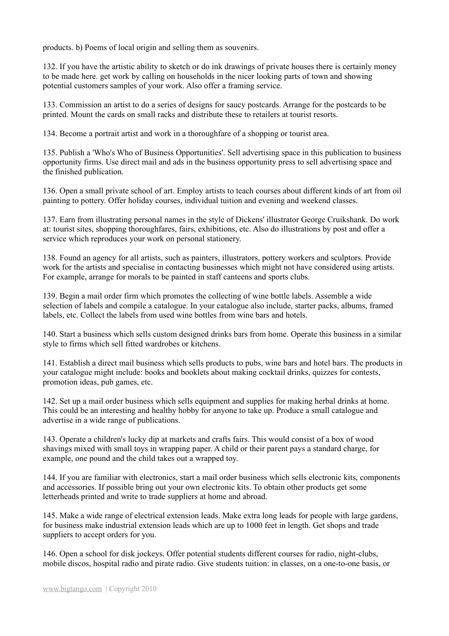products. b) Poems of local origin and selling them as souvenirs.

132. If you have the artistic ability to sketch or do ink drawings of private houses there is certainly money to be made here. get work by calling on households in the nicer looking parts of town and showing potential customers samples of your work. Also offer a framing service.

133. Commission an artist to do a series of designs for saucy postcards. Arrange for the postcards to be printed. Mount the cards on small racks and distribute these to retailers at tourist resorts.

134. Become a portrait artist and work in a thoroughfare of a shopping or tourist area.

135. Publish a 'Who's Who of Business Opportunities'. Sell advertising space in this publication to business opportunity firms. Use direct mail and ads in the business opportunity press to sell advertising space and the finished publication.

136. Open a small private school of art. Employ artists to teach courses about different kinds of art from oil painting to pottery. Offer holiday courses, individual tuition and evening and weekend classes.

137. Earn from illustrating personal names in the style of Dickens' illustrator George Cruikshank. Do work at: tourist sites, shopping thoroughfares, fairs, exhibitions, etc. Also do illustrations by post and offer a service which reproduces your work on personal stationery.

138. Found an agency for all artists, such as painters, illustrators, pottery workers and sculptors. Provide work for the artists and specialise in contacting businesses which might not have considered using artists. For example, arrange for morals to be painted in staff canteens and sports clubs.

139. Begin a mail order firm which promotes the collecting of wine bottle labels. Assemble a wide selection of labels and compile a catalogue. In your catalogue also include, starter packs, albums, framed labels, etc. Collect the labels from used wine bottles from wine bars and hotels.

140. Start a business which sells custom designed drinks bars from home. Operate this business in a similar style to firms which sell fitted wardrobes or kitchens.

141. Establish a direct mail business which sells products to pubs, wine bars and hotel bars. The products in your catalogue might include: books and booklets about making cocktail drinks, quizzes for contests, promotion ideas, pub games, etc.

142. Set up a mail order business which sells equipment and supplies for making herbal drinks at home. This could be an interesting and healthy hobby for anyone to take up. Produce a small catalogue and advertise in a wide range of publications.

143. Operate a children's lucky dip at markets and crafts fairs. This would consist of a box of wood shavings mixed with small toys in wrapping paper. A child or their parent pays a standard charge, for example, one pound and the child takes out a wrapped toy.

144. If you are familiar with electronics, start a mail order business which sells electronic kits, components and accessories. If possible bring out your own electronic kits. To obtain other products get some letterheads printed and write to trade suppliers at home and abroad.

145. Make a wide range of electrical extension leads. Make extra long leads for people with large gardens, for business make industrial extension leads which are up to 1000 feet in length. Get shops and trade suppliers to accept orders for you.

146. Open a school for disk jockeys. Offer potential students different courses for radio, night-clubs, mobile discos, hospital radio and pirate radio. Give students tuition: in classes, on a one-to-one basis, or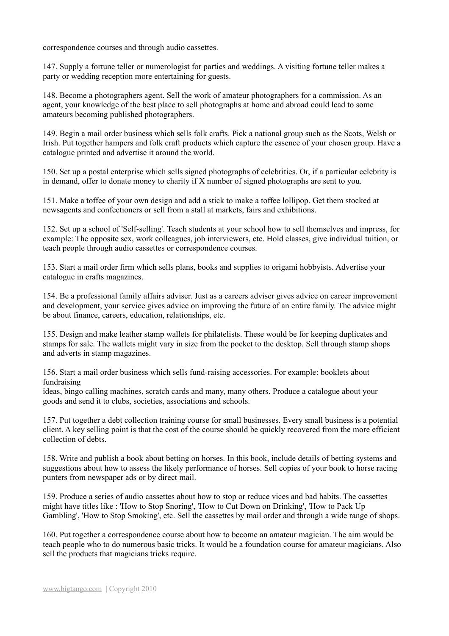correspondence courses and through audio cassettes.

147. Supply a fortune teller or numerologist for parties and weddings. A visiting fortune teller makes a party or wedding reception more entertaining for guests.

148. Become a photographers agent. Sell the work of amateur photographers for a commission. As an agent, your knowledge of the best place to sell photographs at home and abroad could lead to some amateurs becoming published photographers.

149. Begin a mail order business which sells folk crafts. Pick a national group such as the Scots, Welsh or Irish. Put together hampers and folk craft products which capture the essence of your chosen group. Have a catalogue printed and advertise it around the world.

150. Set up a postal enterprise which sells signed photographs of celebrities. Or, if a particular celebrity is in demand, offer to donate money to charity if X number of signed photographs are sent to you.

151. Make a toffee of your own design and add a stick to make a toffee lollipop. Get them stocked at newsagents and confectioners or sell from a stall at markets, fairs and exhibitions.

152. Set up a school of 'Self-selling'. Teach students at your school how to sell themselves and impress, for example: The opposite sex, work colleagues, job interviewers, etc. Hold classes, give individual tuition, or teach people through audio cassettes or correspondence courses.

153. Start a mail order firm which sells plans, books and supplies to origami hobbyists. Advertise your catalogue in crafts magazines.

154. Be a professional family affairs adviser. Just as a careers adviser gives advice on career improvement and development, your service gives advice on improving the future of an entire family. The advice might be about finance, careers, education, relationships, etc.

155. Design and make leather stamp wallets for philatelists. These would be for keeping duplicates and stamps for sale. The wallets might vary in size from the pocket to the desktop. Sell through stamp shops and adverts in stamp magazines.

156. Start a mail order business which sells fund-raising accessories. For example: booklets about fundraising

ideas, bingo calling machines, scratch cards and many, many others. Produce a catalogue about your goods and send it to clubs, societies, associations and schools.

157. Put together a debt collection training course for small businesses. Every small business is a potential client. A key selling point is that the cost of the course should be quickly recovered from the more efficient collection of debts.

158. Write and publish a book about betting on horses. In this book, include details of betting systems and suggestions about how to assess the likely performance of horses. Sell copies of your book to horse racing punters from newspaper ads or by direct mail.

159. Produce a series of audio cassettes about how to stop or reduce vices and bad habits. The cassettes might have titles like : 'How to Stop Snoring', 'How to Cut Down on Drinking', 'How to Pack Up Gambling', 'How to Stop Smoking', etc. Sell the cassettes by mail order and through a wide range of shops.

160. Put together a correspondence course about how to become an amateur magician. The aim would be teach people who to do numerous basic tricks. It would be a foundation course for amateur magicians. Also sell the products that magicians tricks require.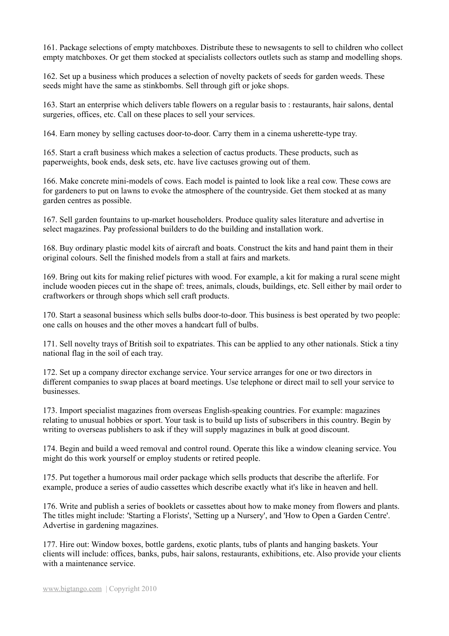161. Package selections of empty matchboxes. Distribute these to newsagents to sell to children who collect empty matchboxes. Or get them stocked at specialists collectors outlets such as stamp and modelling shops.

162. Set up a business which produces a selection of novelty packets of seeds for garden weeds. These seeds might have the same as stinkbombs. Sell through gift or joke shops.

163. Start an enterprise which delivers table flowers on a regular basis to : restaurants, hair salons, dental surgeries, offices, etc. Call on these places to sell your services.

164. Earn money by selling cactuses door-to-door. Carry them in a cinema usherette-type tray.

165. Start a craft business which makes a selection of cactus products. These products, such as paperweights, book ends, desk sets, etc. have live cactuses growing out of them.

166. Make concrete mini-models of cows. Each model is painted to look like a real cow. These cows are for gardeners to put on lawns to evoke the atmosphere of the countryside. Get them stocked at as many garden centres as possible.

167. Sell garden fountains to up-market householders. Produce quality sales literature and advertise in select magazines. Pay professional builders to do the building and installation work.

168. Buy ordinary plastic model kits of aircraft and boats. Construct the kits and hand paint them in their original colours. Sell the finished models from a stall at fairs and markets.

169. Bring out kits for making relief pictures with wood. For example, a kit for making a rural scene might include wooden pieces cut in the shape of: trees, animals, clouds, buildings, etc. Sell either by mail order to craftworkers or through shops which sell craft products.

170. Start a seasonal business which sells bulbs door-to-door. This business is best operated by two people: one calls on houses and the other moves a handcart full of bulbs.

171. Sell novelty trays of British soil to expatriates. This can be applied to any other nationals. Stick a tiny national flag in the soil of each tray.

172. Set up a company director exchange service. Your service arranges for one or two directors in different companies to swap places at board meetings. Use telephone or direct mail to sell your service to businesses.

173. Import specialist magazines from overseas English-speaking countries. For example: magazines relating to unusual hobbies or sport. Your task is to build up lists of subscribers in this country. Begin by writing to overseas publishers to ask if they will supply magazines in bulk at good discount.

174. Begin and build a weed removal and control round. Operate this like a window cleaning service. You might do this work yourself or employ students or retired people.

175. Put together a humorous mail order package which sells products that describe the afterlife. For example, produce a series of audio cassettes which describe exactly what it's like in heaven and hell.

176. Write and publish a series of booklets or cassettes about how to make money from flowers and plants. The titles might include: 'Starting a Florists', 'Setting up a Nursery', and 'How to Open a Garden Centre'. Advertise in gardening magazines.

177. Hire out: Window boxes, bottle gardens, exotic plants, tubs of plants and hanging baskets. Your clients will include: offices, banks, pubs, hair salons, restaurants, exhibitions, etc. Also provide your clients with a maintenance service.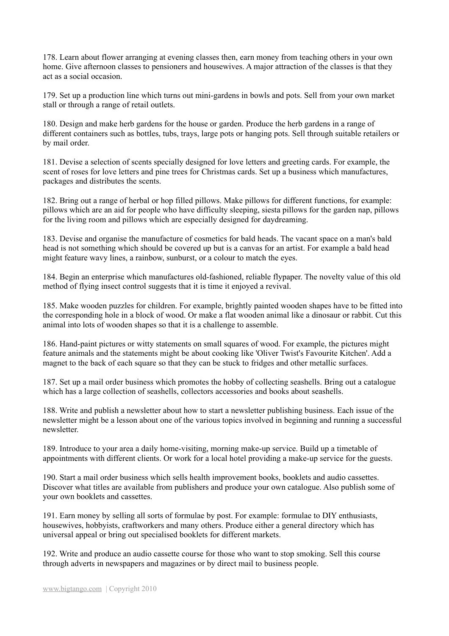178. Learn about flower arranging at evening classes then, earn money from teaching others in your own home. Give afternoon classes to pensioners and housewives. A major attraction of the classes is that they act as a social occasion.

179. Set up a production line which turns out mini-gardens in bowls and pots. Sell from your own market stall or through a range of retail outlets.

180. Design and make herb gardens for the house or garden. Produce the herb gardens in a range of different containers such as bottles, tubs, trays, large pots or hanging pots. Sell through suitable retailers or by mail order.

181. Devise a selection of scents specially designed for love letters and greeting cards. For example, the scent of roses for love letters and pine trees for Christmas cards. Set up a business which manufactures, packages and distributes the scents.

182. Bring out a range of herbal or hop filled pillows. Make pillows for different functions, for example: pillows which are an aid for people who have difficulty sleeping, siesta pillows for the garden nap, pillows for the living room and pillows which are especially designed for daydreaming.

183. Devise and organise the manufacture of cosmetics for bald heads. The vacant space on a man's bald head is not something which should be covered up but is a canvas for an artist. For example a bald head might feature wavy lines, a rainbow, sunburst, or a colour to match the eyes.

184. Begin an enterprise which manufactures old-fashioned, reliable flypaper. The novelty value of this old method of flying insect control suggests that it is time it enjoyed a revival.

185. Make wooden puzzles for children. For example, brightly painted wooden shapes have to be fitted into the corresponding hole in a block of wood. Or make a flat wooden animal like a dinosaur or rabbit. Cut this animal into lots of wooden shapes so that it is a challenge to assemble.

186. Hand-paint pictures or witty statements on small squares of wood. For example, the pictures might feature animals and the statements might be about cooking like 'Oliver Twist's Favourite Kitchen'. Add a magnet to the back of each square so that they can be stuck to fridges and other metallic surfaces.

187. Set up a mail order business which promotes the hobby of collecting seashells. Bring out a catalogue which has a large collection of seashells, collectors accessories and books about seashells.

188. Write and publish a newsletter about how to start a newsletter publishing business. Each issue of the newsletter might be a lesson about one of the various topics involved in beginning and running a successful newsletter.

189. Introduce to your area a daily home-visiting, morning make-up service. Build up a timetable of appointments with different clients. Or work for a local hotel providing a make-up service for the guests.

190. Start a mail order business which sells health improvement books, booklets and audio cassettes. Discover what titles are available from publishers and produce your own catalogue. Also publish some of your own booklets and cassettes.

191. Earn money by selling all sorts of formulae by post. For example: formulae to DIY enthusiasts, housewives, hobbyists, craftworkers and many others. Produce either a general directory which has universal appeal or bring out specialised booklets for different markets.

192. Write and produce an audio cassette course for those who want to stop smoking. Sell this course through adverts in newspapers and magazines or by direct mail to business people.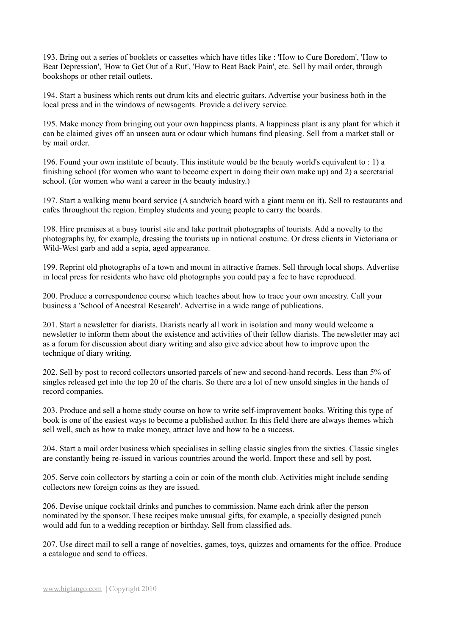193. Bring out a series of booklets or cassettes which have titles like : 'How to Cure Boredom', 'How to Beat Depression', 'How to Get Out of a Rut', 'How to Beat Back Pain', etc. Sell by mail order, through bookshops or other retail outlets.

194. Start a business which rents out drum kits and electric guitars. Advertise your business both in the local press and in the windows of newsagents. Provide a delivery service.

195. Make money from bringing out your own happiness plants. A happiness plant is any plant for which it can be claimed gives off an unseen aura or odour which humans find pleasing. Sell from a market stall or by mail order.

196. Found your own institute of beauty. This institute would be the beauty world's equivalent to : 1) a finishing school (for women who want to become expert in doing their own make up) and 2) a secretarial school. (for women who want a career in the beauty industry.)

197. Start a walking menu board service (A sandwich board with a giant menu on it). Sell to restaurants and cafes throughout the region. Employ students and young people to carry the boards.

198. Hire premises at a busy tourist site and take portrait photographs of tourists. Add a novelty to the photographs by, for example, dressing the tourists up in national costume. Or dress clients in Victoriana or Wild-West garb and add a sepia, aged appearance.

199. Reprint old photographs of a town and mount in attractive frames. Sell through local shops. Advertise in local press for residents who have old photographs you could pay a fee to have reproduced.

200. Produce a correspondence course which teaches about how to trace your own ancestry. Call your business a 'School of Ancestral Research'. Advertise in a wide range of publications.

201. Start a newsletter for diarists. Diarists nearly all work in isolation and many would welcome a newsletter to inform them about the existence and activities of their fellow diarists. The newsletter may act as a forum for discussion about diary writing and also give advice about how to improve upon the technique of diary writing.

202. Sell by post to record collectors unsorted parcels of new and second-hand records. Less than 5% of singles released get into the top 20 of the charts. So there are a lot of new unsold singles in the hands of record companies.

203. Produce and sell a home study course on how to write self-improvement books. Writing this type of book is one of the easiest ways to become a published author. In this field there are always themes which sell well, such as how to make money, attract love and how to be a success.

204. Start a mail order business which specialises in selling classic singles from the sixties. Classic singles are constantly being re-issued in various countries around the world. Import these and sell by post.

205. Serve coin collectors by starting a coin or coin of the month club. Activities might include sending collectors new foreign coins as they are issued.

206. Devise unique cocktail drinks and punches to commission. Name each drink after the person nominated by the sponsor. These recipes make unusual gifts, for example, a specially designed punch would add fun to a wedding reception or birthday. Sell from classified ads.

207. Use direct mail to sell a range of novelties, games, toys, quizzes and ornaments for the office. Produce a catalogue and send to offices.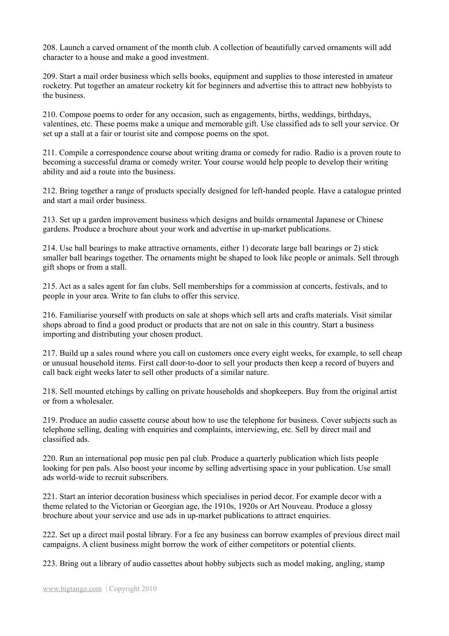208. Launch a carved ornament of the month club. A collection of beautifully carved ornaments will add character to a house and make a good investment.

209. Start a mail order business which sells books, equipment and supplies to those interested in amateur rocketry. Put together an amateur rocketry kit for beginners and advertise this to attract new hobbyists to the business.

210. Compose poems to order for any occasion, such as engagements, births, weddings, birthdays, valentines, etc. These poems make a unique and memorable gift. Use classified ads to sell your service. Or set up a stall at a fair or tourist site and compose poems on the spot.

211. Compile a correspondence course about writing drama or comedy for radio. Radio is a proven route to becoming a successful drama or comedy writer. Your course would help people to develop their writing ability and aid a route into the business.

212. Bring together a range of products specially designed for left-handed people. Have a catalogue printed and start a mail order business.

213. Set up a garden improvement business which designs and builds ornamental Japanese or Chinese gardens. Produce a brochure about your work and advertise in up-market publications.

214. Use ball bearings to make attractive ornaments, either 1) decorate large ball bearings or 2) stick smaller ball bearings together. The ornaments might be shaped to look like people or animals. Sell through gift shops or from a stall.

215. Act as a sales agent for fan clubs. Sell memberships for a commission at concerts, festivals, and to people in your area. Write to fan clubs to offer this service.

216. Familiarise yourself with products on sale at shops which sell arts and crafts materials. Visit similar shops abroad to find a good product or products that are not on sale in this country. Start a business importing and distributing your chosen product.

217. Build up a sales round where you call on customers once every eight weeks, for example, to sell cheap or unusual household items. First call door-to-door to sell your products then keep a record of buyers and call back eight weeks later to sell other products of a similar nature.

218. Sell mounted etchings by calling on private households and shopkeepers. Buy from the original artist or from a wholesaler.

219. Produce an audio cassette course about how to use the telephone for business. Cover subjects such as telephone selling, dealing with enquiries and complaints, interviewing, etc. Sell by direct mail and classified ads.

220. Run an international pop music pen pal club. Produce a quarterly publication which lists people looking for pen pals. Also boost your income by selling advertising space in your publication. Use small ads world-wide to recruit subscribers.

221. Start an interior decoration business which specialises in period decor. For example decor with a theme related to the Victorian or Georgian age, the 1910s, 1920s or Art Nouveau. Produce a glossy brochure about your service and use ads in up-market publications to attract enquiries.

222. Set up a direct mail postal library. For a fee any business can borrow examples of previous direct mail campaigns. A client business might borrow the work of either competitors or potential clients.

223. Bring out a library of audio cassettes about hobby subjects such as model making, angling, stamp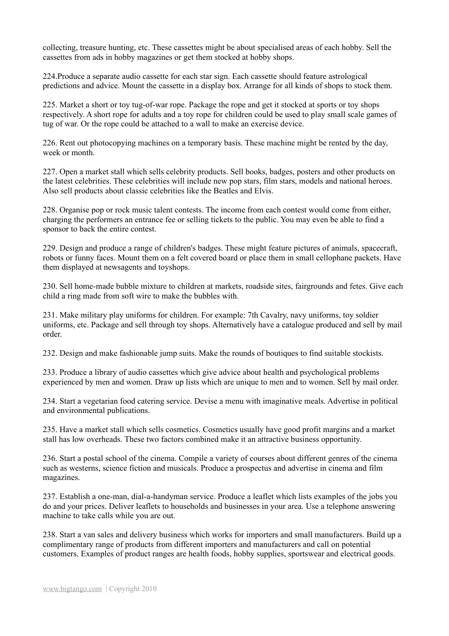collecting, treasure hunting, etc. These cassettes might be about specialised areas of each hobby. Sell the cassettes from ads in hobby magazines or get them stocked at hobby shops.

224.Produce a separate audio cassette for each star sign. Each cassette should feature astrological predictions and advice. Mount the cassette in a display box. Arrange for all kinds of shops to stock them.

225. Market a short or toy tug-of-war rope. Package the rope and get it stocked at sports or toy shops respectively. A short rope for adults and a toy rope for children could be used to play small scale games of tug of war. Or the rope could be attached to a wall to make an exercise device.

226. Rent out photocopying machines on a temporary basis. These machine might be rented by the day, week or month

227. Open a market stall which sells celebrity products. Sell books, badges, posters and other products on the latest celebrities. These celebrities will include new pop stars, film stars, models and national heroes. Also sell products about classic celebrities like the Beatles and Elvis.

228. Organise pop or rock music talent contests. The income from each contest would come from either, charging the performers an entrance fee or selling tickets to the public. You may even be able to find a sponsor to back the entire contest.

229. Design and produce a range of children's badges. These might feature pictures of animals, spacecraft, robots or funny faces. Mount them on a felt covered board or place them in small cellophane packets. Have them displayed at newsagents and toyshops.

230. Sell home-made bubble mixture to children at markets, roadside sites, fairgrounds and fetes. Give each child a ring made from soft wire to make the bubbles with.

231. Make military play uniforms for children. For example: 7th Cavalry, navy uniforms, toy soldier uniforms, etc. Package and sell through toy shops. Alternatively have a catalogue produced and sell by mail order.

232. Design and make fashionable jump suits. Make the rounds of boutiques to find suitable stockists.

233. Produce a library of audio cassettes which give advice about health and psychological problems experienced by men and women. Draw up lists which are unique to men and to women. Sell by mail order.

234. Start a vegetarian food catering service. Devise a menu with imaginative meals. Advertise in political and environmental publications.

235. Have a market stall which sells cosmetics. Cosmetics usually have good profit margins and a market stall has low overheads. These two factors combined make it an attractive business opportunity.

236. Start a postal school of the cinema. Compile a variety of courses about different genres of the cinema such as westerns, science fiction and musicals. Produce a prospectus and advertise in cinema and film magazines.

237. Establish a one-man, dial-a-handyman service. Produce a leaflet which lists examples of the jobs you do and your prices. Deliver leaflets to households and businesses in your area. Use a telephone answering machine to take calls while you are out.

238. Start a van sales and delivery business which works for importers and small manufacturers. Build up a complimentary range of products from different importers and manufacturers and call on potential customers. Examples of product ranges are health foods, hobby supplies, sportswear and electrical goods.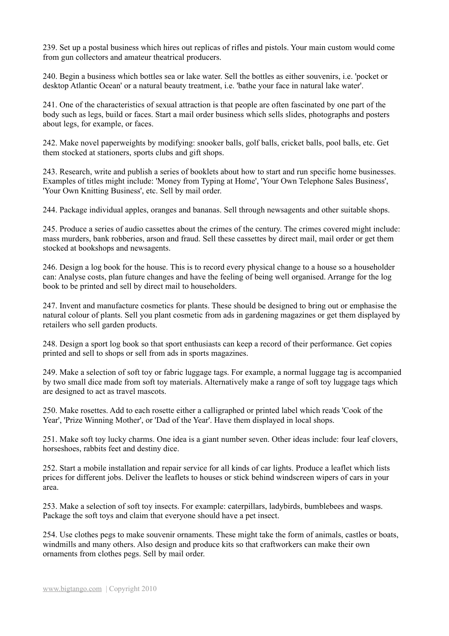239. Set up a postal business which hires out replicas of rifles and pistols. Your main custom would come from gun collectors and amateur theatrical producers.

240. Begin a business which bottles sea or lake water. Sell the bottles as either souvenirs, i.e. 'pocket or desktop Atlantic Ocean' or a natural beauty treatment, i.e. 'bathe your face in natural lake water'.

241. One of the characteristics of sexual attraction is that people are often fascinated by one part of the body such as legs, build or faces. Start a mail order business which sells slides, photographs and posters about legs, for example, or faces.

242. Make novel paperweights by modifying: snooker balls, golf balls, cricket balls, pool balls, etc. Get them stocked at stationers, sports clubs and gift shops.

243. Research, write and publish a series of booklets about how to start and run specific home businesses. Examples of titles might include: 'Money from Typing at Home', 'Your Own Telephone Sales Business', 'Your Own Knitting Business', etc. Sell by mail order.

244. Package individual apples, oranges and bananas. Sell through newsagents and other suitable shops.

245. Produce a series of audio cassettes about the crimes of the century. The crimes covered might include: mass murders, bank robberies, arson and fraud. Sell these cassettes by direct mail, mail order or get them stocked at bookshops and newsagents.

246. Design a log book for the house. This is to record every physical change to a house so a householder can: Analyse costs, plan future changes and have the feeling of being well organised. Arrange for the log book to be printed and sell by direct mail to householders.

247. Invent and manufacture cosmetics for plants. These should be designed to bring out or emphasise the natural colour of plants. Sell you plant cosmetic from ads in gardening magazines or get them displayed by retailers who sell garden products.

248. Design a sport log book so that sport enthusiasts can keep a record of their performance. Get copies printed and sell to shops or sell from ads in sports magazines.

249. Make a selection of soft toy or fabric luggage tags. For example, a normal luggage tag is accompanied by two small dice made from soft toy materials. Alternatively make a range of soft toy luggage tags which are designed to act as travel mascots.

250. Make rosettes. Add to each rosette either a calligraphed or printed label which reads 'Cook of the Year', 'Prize Winning Mother', or 'Dad of the Year'. Have them displayed in local shops.

251. Make soft toy lucky charms. One idea is a giant number seven. Other ideas include: four leaf clovers, horseshoes, rabbits feet and destiny dice.

252. Start a mobile installation and repair service for all kinds of car lights. Produce a leaflet which lists prices for different jobs. Deliver the leaflets to houses or stick behind windscreen wipers of cars in your area.

253. Make a selection of soft toy insects. For example: caterpillars, ladybirds, bumblebees and wasps. Package the soft toys and claim that everyone should have a pet insect.

254. Use clothes pegs to make souvenir ornaments. These might take the form of animals, castles or boats, windmills and many others. Also design and produce kits so that craftworkers can make their own ornaments from clothes pegs. Sell by mail order.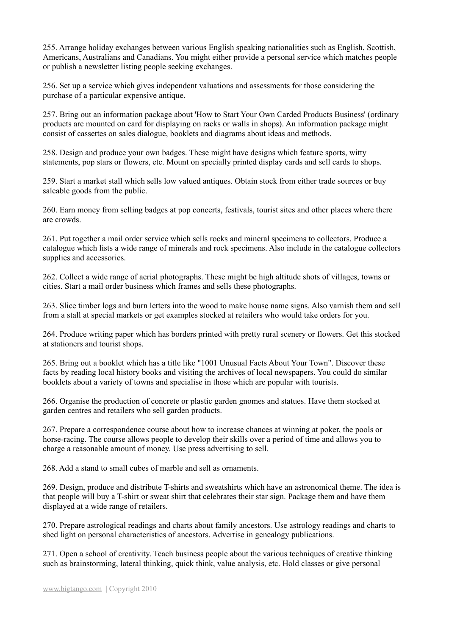255. Arrange holiday exchanges between various English speaking nationalities such as English, Scottish, Americans, Australians and Canadians. You might either provide a personal service which matches people or publish a newsletter listing people seeking exchanges.

256. Set up a service which gives independent valuations and assessments for those considering the purchase of a particular expensive antique.

257. Bring out an information package about 'How to Start Your Own Carded Products Business' (ordinary products are mounted on card for displaying on racks or walls in shops). An information package might consist of cassettes on sales dialogue, booklets and diagrams about ideas and methods.

258. Design and produce your own badges. These might have designs which feature sports, witty statements, pop stars or flowers, etc. Mount on specially printed display cards and sell cards to shops.

259. Start a market stall which sells low valued antiques. Obtain stock from either trade sources or buy saleable goods from the public.

260. Earn money from selling badges at pop concerts, festivals, tourist sites and other places where there are crowds.

261. Put together a mail order service which sells rocks and mineral specimens to collectors. Produce a catalogue which lists a wide range of minerals and rock specimens. Also include in the catalogue collectors supplies and accessories.

262. Collect a wide range of aerial photographs. These might be high altitude shots of villages, towns or cities. Start a mail order business which frames and sells these photographs.

263. Slice timber logs and burn letters into the wood to make house name signs. Also varnish them and sell from a stall at special markets or get examples stocked at retailers who would take orders for you.

264. Produce writing paper which has borders printed with pretty rural scenery or flowers. Get this stocked at stationers and tourist shops.

265. Bring out a booklet which has a title like "1001 Unusual Facts About Your Town". Discover these facts by reading local history books and visiting the archives of local newspapers. You could do similar booklets about a variety of towns and specialise in those which are popular with tourists.

266. Organise the production of concrete or plastic garden gnomes and statues. Have them stocked at garden centres and retailers who sell garden products.

267. Prepare a correspondence course about how to increase chances at winning at poker, the pools or horse-racing. The course allows people to develop their skills over a period of time and allows you to charge a reasonable amount of money. Use press advertising to sell.

268. Add a stand to small cubes of marble and sell as ornaments.

269. Design, produce and distribute T-shirts and sweatshirts which have an astronomical theme. The idea is that people will buy a T-shirt or sweat shirt that celebrates their star sign. Package them and have them displayed at a wide range of retailers.

270. Prepare astrological readings and charts about family ancestors. Use astrology readings and charts to shed light on personal characteristics of ancestors. Advertise in genealogy publications.

271. Open a school of creativity. Teach business people about the various techniques of creative thinking such as brainstorming, lateral thinking, quick think, value analysis, etc. Hold classes or give personal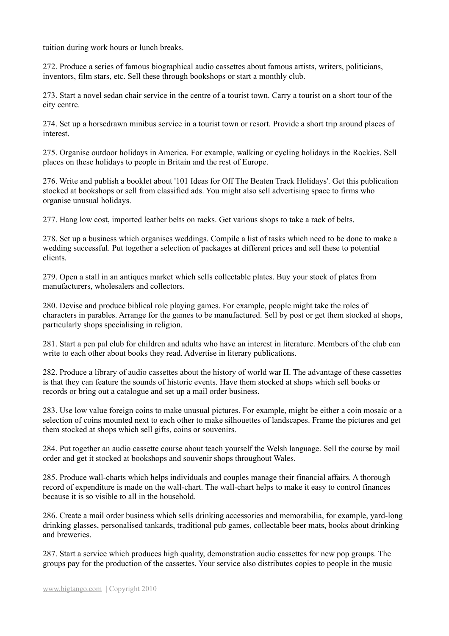tuition during work hours or lunch breaks.

272. Produce a series of famous biographical audio cassettes about famous artists, writers, politicians, inventors, film stars, etc. Sell these through bookshops or start a monthly club.

273. Start a novel sedan chair service in the centre of a tourist town. Carry a tourist on a short tour of the city centre.

274. Set up a horsedrawn minibus service in a tourist town or resort. Provide a short trip around places of interest.

275. Organise outdoor holidays in America. For example, walking or cycling holidays in the Rockies. Sell places on these holidays to people in Britain and the rest of Europe.

276. Write and publish a booklet about '101 Ideas for Off The Beaten Track Holidays'. Get this publication stocked at bookshops or sell from classified ads. You might also sell advertising space to firms who organise unusual holidays.

277. Hang low cost, imported leather belts on racks. Get various shops to take a rack of belts.

278. Set up a business which organises weddings. Compile a list of tasks which need to be done to make a wedding successful. Put together a selection of packages at different prices and sell these to potential clients.

279. Open a stall in an antiques market which sells collectable plates. Buy your stock of plates from manufacturers, wholesalers and collectors.

280. Devise and produce biblical role playing games. For example, people might take the roles of characters in parables. Arrange for the games to be manufactured. Sell by post or get them stocked at shops, particularly shops specialising in religion.

281. Start a pen pal club for children and adults who have an interest in literature. Members of the club can write to each other about books they read. Advertise in literary publications.

282. Produce a library of audio cassettes about the history of world war II. The advantage of these cassettes is that they can feature the sounds of historic events. Have them stocked at shops which sell books or records or bring out a catalogue and set up a mail order business.

283. Use low value foreign coins to make unusual pictures. For example, might be either a coin mosaic or a selection of coins mounted next to each other to make silhouettes of landscapes. Frame the pictures and get them stocked at shops which sell gifts, coins or souvenirs.

284. Put together an audio cassette course about teach yourself the Welsh language. Sell the course by mail order and get it stocked at bookshops and souvenir shops throughout Wales.

285. Produce wall-charts which helps individuals and couples manage their financial affairs. A thorough record of expenditure is made on the wall-chart. The wall-chart helps to make it easy to control finances because it is so visible to all in the household.

286. Create a mail order business which sells drinking accessories and memorabilia, for example, yard-long drinking glasses, personalised tankards, traditional pub games, collectable beer mats, books about drinking and breweries.

287. Start a service which produces high quality, demonstration audio cassettes for new pop groups. The groups pay for the production of the cassettes. Your service also distributes copies to people in the music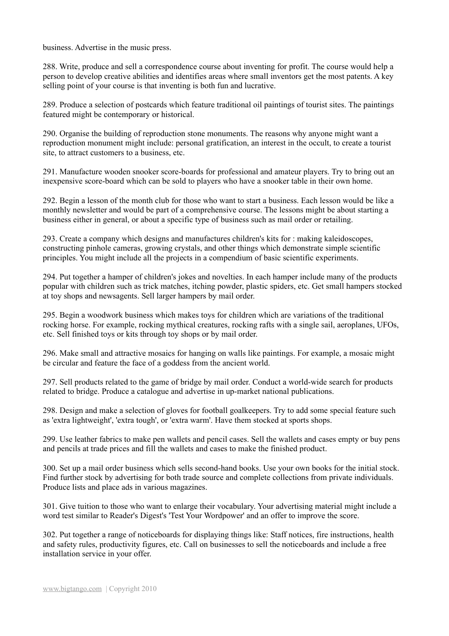business. Advertise in the music press.

288. Write, produce and sell a correspondence course about inventing for profit. The course would help a person to develop creative abilities and identifies areas where small inventors get the most patents. A key selling point of your course is that inventing is both fun and lucrative.

289. Produce a selection of postcards which feature traditional oil paintings of tourist sites. The paintings featured might be contemporary or historical.

290. Organise the building of reproduction stone monuments. The reasons why anyone might want a reproduction monument might include: personal gratification, an interest in the occult, to create a tourist site, to attract customers to a business, etc.

291. Manufacture wooden snooker score-boards for professional and amateur players. Try to bring out an inexpensive score-board which can be sold to players who have a snooker table in their own home.

292. Begin a lesson of the month club for those who want to start a business. Each lesson would be like a monthly newsletter and would be part of a comprehensive course. The lessons might be about starting a business either in general, or about a specific type of business such as mail order or retailing.

293. Create a company which designs and manufactures children's kits for : making kaleidoscopes, constructing pinhole cameras, growing crystals, and other things which demonstrate simple scientific principles. You might include all the projects in a compendium of basic scientific experiments.

294. Put together a hamper of children's jokes and novelties. In each hamper include many of the products popular with children such as trick matches, itching powder, plastic spiders, etc. Get small hampers stocked at toy shops and newsagents. Sell larger hampers by mail order.

295. Begin a woodwork business which makes toys for children which are variations of the traditional rocking horse. For example, rocking mythical creatures, rocking rafts with a single sail, aeroplanes, UFOs, etc. Sell finished toys or kits through toy shops or by mail order.

296. Make small and attractive mosaics for hanging on walls like paintings. For example, a mosaic might be circular and feature the face of a goddess from the ancient world.

297. Sell products related to the game of bridge by mail order. Conduct a world-wide search for products related to bridge. Produce a catalogue and advertise in up-market national publications.

298. Design and make a selection of gloves for football goalkeepers. Try to add some special feature such as 'extra lightweight', 'extra tough', or 'extra warm'. Have them stocked at sports shops.

299. Use leather fabrics to make pen wallets and pencil cases. Sell the wallets and cases empty or buy pens and pencils at trade prices and fill the wallets and cases to make the finished product.

300. Set up a mail order business which sells second-hand books. Use your own books for the initial stock. Find further stock by advertising for both trade source and complete collections from private individuals. Produce lists and place ads in various magazines.

301. Give tuition to those who want to enlarge their vocabulary. Your advertising material might include a word test similar to Reader's Digest's 'Test Your Wordpower' and an offer to improve the score.

302. Put together a range of noticeboards for displaying things like: Staff notices, fire instructions, health and safety rules, productivity figures, etc. Call on businesses to sell the noticeboards and include a free installation service in your offer.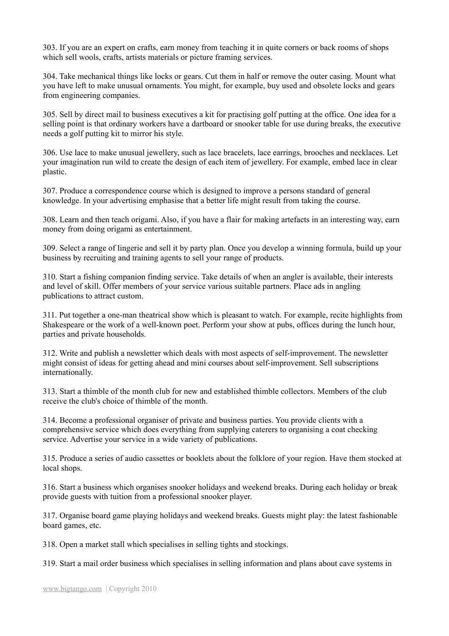303. If you are an expert on crafts, earn money from teaching it in quite corners or back rooms of shops which sell wools, crafts, artists materials or picture framing services.

304. Take mechanical things like locks or gears. Cut them in half or remove the outer casing. Mount what you have left to make unusual ornaments. You might, for example, buy used and obsolete locks and gears from engineering companies.

305. Sell by direct mail to business executives a kit for practising golf putting at the office. One idea for a selling point is that ordinary workers have a dartboard or snooker table for use during breaks, the executive needs a golf putting kit to mirror his style.

306. Use lace to make unusual jewellery, such as lace bracelets, lace earrings, brooches and necklaces. Let your imagination run wild to create the design of each item of jewellery. For example, embed lace in clear plastic.

307. Produce a correspondence course which is designed to improve a persons standard of general knowledge. In your advertising emphasise that a better life might result from taking the course.

308. Learn and then teach origami. Also, if you have a flair for making artefacts in an interesting way, earn money from doing origami as entertainment.

309. Select a range of lingerie and sell it by party plan. Once you develop a winning formula, build up your business by recruiting and training agents to sell your range of products.

310. Start a fishing companion finding service. Take details of when an angler is available, their interests and level of skill. Offer members of your service various suitable partners. Place ads in angling publications to attract custom.

311. Put together a one-man theatrical show which is pleasant to watch. For example, recite highlights from Shakespeare or the work of a well-known poet. Perform your show at pubs, offices during the lunch hour, parties and private households.

312. Write and publish a newsletter which deals with most aspects of self-improvement. The newsletter might consist of ideas for getting ahead and mini courses about self-improvement. Sell subscriptions internationally.

313. Start a thimble of the month club for new and established thimble collectors. Members of the club receive the club's choice of thimble of the month.

314. Become a professional organiser of private and business parties. You provide clients with a comprehensive service which does everything from supplying caterers to organising a coat checking service. Advertise your service in a wide variety of publications.

315. Produce a series of audio cassettes or booklets about the folklore of your region. Have them stocked at local shops.

316. Start a business which organises snooker holidays and weekend breaks. During each holiday or break provide guests with tuition from a professional snooker player.

317. Organise board game playing holidays and weekend breaks. Guests might play: the latest fashionable board games, etc.

318. Open a market stall which specialises in selling tights and stockings.

319. Start a mail order business which specialises in selling information and plans about cave systems in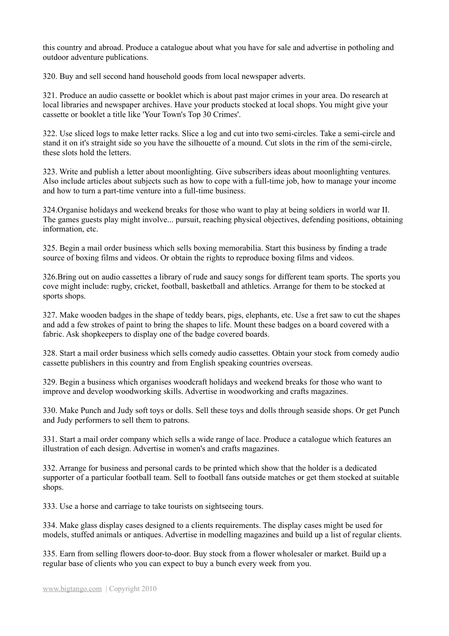this country and abroad. Produce a catalogue about what you have for sale and advertise in potholing and outdoor adventure publications.

320. Buy and sell second hand household goods from local newspaper adverts.

321. Produce an audio cassette or booklet which is about past major crimes in your area. Do research at local libraries and newspaper archives. Have your products stocked at local shops. You might give your cassette or booklet a title like 'Your Town's Top 30 Crimes'.

322. Use sliced logs to make letter racks. Slice a log and cut into two semi-circles. Take a semi-circle and stand it on it's straight side so you have the silhouette of a mound. Cut slots in the rim of the semi-circle, these slots hold the letters.

323. Write and publish a letter about moonlighting. Give subscribers ideas about moonlighting ventures. Also include articles about subjects such as how to cope with a full-time job, how to manage your income and how to turn a part-time venture into a full-time business.

324.Organise holidays and weekend breaks for those who want to play at being soldiers in world war II. The games guests play might involve... pursuit, reaching physical objectives, defending positions, obtaining information etc.

325. Begin a mail order business which sells boxing memorabilia. Start this business by finding a trade source of boxing films and videos. Or obtain the rights to reproduce boxing films and videos.

326.Bring out on audio cassettes a library of rude and saucy songs for different team sports. The sports you cove might include: rugby, cricket, football, basketball and athletics. Arrange for them to be stocked at sports shops.

327. Make wooden badges in the shape of teddy bears, pigs, elephants, etc. Use a fret saw to cut the shapes and add a few strokes of paint to bring the shapes to life. Mount these badges on a board covered with a fabric. Ask shopkeepers to display one of the badge covered boards.

328. Start a mail order business which sells comedy audio cassettes. Obtain your stock from comedy audio cassette publishers in this country and from English speaking countries overseas.

329. Begin a business which organises woodcraft holidays and weekend breaks for those who want to improve and develop woodworking skills. Advertise in woodworking and crafts magazines.

330. Make Punch and Judy soft toys or dolls. Sell these toys and dolls through seaside shops. Or get Punch and Judy performers to sell them to patrons.

331. Start a mail order company which sells a wide range of lace. Produce a catalogue which features an illustration of each design. Advertise in women's and crafts magazines.

332. Arrange for business and personal cards to be printed which show that the holder is a dedicated supporter of a particular football team. Sell to football fans outside matches or get them stocked at suitable shops.

333. Use a horse and carriage to take tourists on sightseeing tours.

334. Make glass display cases designed to a clients requirements. The display cases might be used for models, stuffed animals or antiques. Advertise in modelling magazines and build up a list of regular clients.

335. Earn from selling flowers door-to-door. Buy stock from a flower wholesaler or market. Build up a regular base of clients who you can expect to buy a bunch every week from you.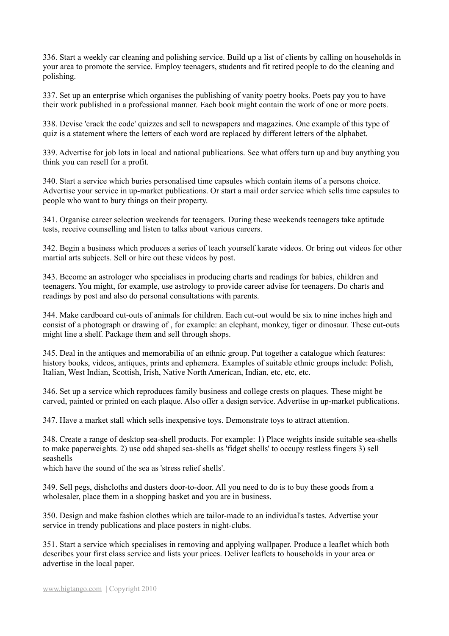336. Start a weekly car cleaning and polishing service. Build up a list of clients by calling on households in your area to promote the service. Employ teenagers, students and fit retired people to do the cleaning and polishing.

337. Set up an enterprise which organises the publishing of vanity poetry books. Poets pay you to have their work published in a professional manner. Each book might contain the work of one or more poets.

338. Devise 'crack the code' quizzes and sell to newspapers and magazines. One example of this type of quiz is a statement where the letters of each word are replaced by different letters of the alphabet.

339. Advertise for job lots in local and national publications. See what offers turn up and buy anything you think you can resell for a profit.

340. Start a service which buries personalised time capsules which contain items of a persons choice. Advertise your service in up-market publications. Or start a mail order service which sells time capsules to people who want to bury things on their property.

341. Organise career selection weekends for teenagers. During these weekends teenagers take aptitude tests, receive counselling and listen to talks about various careers.

342. Begin a business which produces a series of teach yourself karate videos. Or bring out videos for other martial arts subjects. Sell or hire out these videos by post.

343. Become an astrologer who specialises in producing charts and readings for babies, children and teenagers. You might, for example, use astrology to provide career advise for teenagers. Do charts and readings by post and also do personal consultations with parents.

344. Make cardboard cut-outs of animals for children. Each cut-out would be six to nine inches high and consist of a photograph or drawing of , for example: an elephant, monkey, tiger or dinosaur. These cut-outs might line a shelf. Package them and sell through shops.

345. Deal in the antiques and memorabilia of an ethnic group. Put together a catalogue which features: history books, videos, antiques, prints and ephemera. Examples of suitable ethnic groups include: Polish, Italian, West Indian, Scottish, Irish, Native North American, Indian, etc, etc, etc.

346. Set up a service which reproduces family business and college crests on plaques. These might be carved, painted or printed on each plaque. Also offer a design service. Advertise in up-market publications.

347. Have a market stall which sells inexpensive toys. Demonstrate toys to attract attention.

348. Create a range of desktop sea-shell products. For example: 1) Place weights inside suitable sea-shells to make paperweights. 2) use odd shaped sea-shells as 'fidget shells' to occupy restless fingers 3) sell seashells

which have the sound of the sea as 'stress relief shells'.

349. Sell pegs, dishcloths and dusters door-to-door. All you need to do is to buy these goods from a wholesaler, place them in a shopping basket and you are in business.

350. Design and make fashion clothes which are tailor-made to an individual's tastes. Advertise your service in trendy publications and place posters in night-clubs.

351. Start a service which specialises in removing and applying wallpaper. Produce a leaflet which both describes your first class service and lists your prices. Deliver leaflets to households in your area or advertise in the local paper.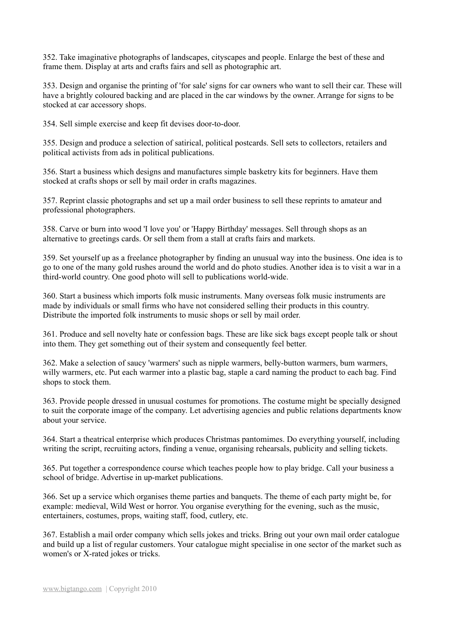352. Take imaginative photographs of landscapes, cityscapes and people. Enlarge the best of these and frame them. Display at arts and crafts fairs and sell as photographic art.

353. Design and organise the printing of 'for sale' signs for car owners who want to sell their car. These will have a brightly coloured backing and are placed in the car windows by the owner. Arrange for signs to be stocked at car accessory shops.

354. Sell simple exercise and keep fit devises door-to-door.

355. Design and produce a selection of satirical, political postcards. Sell sets to collectors, retailers and political activists from ads in political publications.

356. Start a business which designs and manufactures simple basketry kits for beginners. Have them stocked at crafts shops or sell by mail order in crafts magazines.

357. Reprint classic photographs and set up a mail order business to sell these reprints to amateur and professional photographers.

358. Carve or burn into wood 'I love you' or 'Happy Birthday' messages. Sell through shops as an alternative to greetings cards. Or sell them from a stall at crafts fairs and markets.

359. Set yourself up as a freelance photographer by finding an unusual way into the business. One idea is to go to one of the many gold rushes around the world and do photo studies. Another idea is to visit a war in a third-world country. One good photo will sell to publications world-wide.

360. Start a business which imports folk music instruments. Many overseas folk music instruments are made by individuals or small firms who have not considered selling their products in this country. Distribute the imported folk instruments to music shops or sell by mail order.

361. Produce and sell novelty hate or confession bags. These are like sick bags except people talk or shout into them. They get something out of their system and consequently feel better.

362. Make a selection of saucy 'warmers' such as nipple warmers, belly-button warmers, bum warmers, willy warmers, etc. Put each warmer into a plastic bag, staple a card naming the product to each bag. Find shops to stock them.

363. Provide people dressed in unusual costumes for promotions. The costume might be specially designed to suit the corporate image of the company. Let advertising agencies and public relations departments know about your service.

364. Start a theatrical enterprise which produces Christmas pantomimes. Do everything yourself, including writing the script, recruiting actors, finding a venue, organising rehearsals, publicity and selling tickets.

365. Put together a correspondence course which teaches people how to play bridge. Call your business a school of bridge. Advertise in up-market publications.

366. Set up a service which organises theme parties and banquets. The theme of each party might be, for example: medieval, Wild West or horror. You organise everything for the evening, such as the music, entertainers, costumes, props, waiting staff, food, cutlery, etc.

367. Establish a mail order company which sells jokes and tricks. Bring out your own mail order catalogue and build up a list of regular customers. Your catalogue might specialise in one sector of the market such as women's or X-rated jokes or tricks.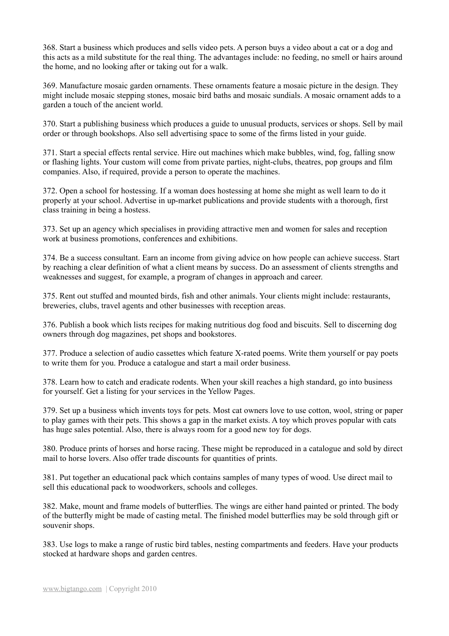368. Start a business which produces and sells video pets. A person buys a video about a cat or a dog and this acts as a mild substitute for the real thing. The advantages include: no feeding, no smell or hairs around the home, and no looking after or taking out for a walk.

369. Manufacture mosaic garden ornaments. These ornaments feature a mosaic picture in the design. They might include mosaic stepping stones, mosaic bird baths and mosaic sundials. A mosaic ornament adds to a garden a touch of the ancient world.

370. Start a publishing business which produces a guide to unusual products, services or shops. Sell by mail order or through bookshops. Also sell advertising space to some of the firms listed in your guide.

371. Start a special effects rental service. Hire out machines which make bubbles, wind, fog, falling snow or flashing lights. Your custom will come from private parties, night-clubs, theatres, pop groups and film companies. Also, if required, provide a person to operate the machines.

372. Open a school for hostessing. If a woman does hostessing at home she might as well learn to do it properly at your school. Advertise in up-market publications and provide students with a thorough, first class training in being a hostess.

373. Set up an agency which specialises in providing attractive men and women for sales and reception work at business promotions, conferences and exhibitions.

374. Be a success consultant. Earn an income from giving advice on how people can achieve success. Start by reaching a clear definition of what a client means by success. Do an assessment of clients strengths and weaknesses and suggest, for example, a program of changes in approach and career.

375. Rent out stuffed and mounted birds, fish and other animals. Your clients might include: restaurants, breweries, clubs, travel agents and other businesses with reception areas.

376. Publish a book which lists recipes for making nutritious dog food and biscuits. Sell to discerning dog owners through dog magazines, pet shops and bookstores.

377. Produce a selection of audio cassettes which feature X-rated poems. Write them yourself or pay poets to write them for you. Produce a catalogue and start a mail order business.

378. Learn how to catch and eradicate rodents. When your skill reaches a high standard, go into business for yourself. Get a listing for your services in the Yellow Pages.

379. Set up a business which invents toys for pets. Most cat owners love to use cotton, wool, string or paper to play games with their pets. This shows a gap in the market exists. A toy which proves popular with cats has huge sales potential. Also, there is always room for a good new toy for dogs.

380. Produce prints of horses and horse racing. These might be reproduced in a catalogue and sold by direct mail to horse lovers. Also offer trade discounts for quantities of prints.

381. Put together an educational pack which contains samples of many types of wood. Use direct mail to sell this educational pack to woodworkers, schools and colleges.

382. Make, mount and frame models of butterflies. The wings are either hand painted or printed. The body of the butterfly might be made of casting metal. The finished model butterflies may be sold through gift or souvenir shops.

383. Use logs to make a range of rustic bird tables, nesting compartments and feeders. Have your products stocked at hardware shops and garden centres.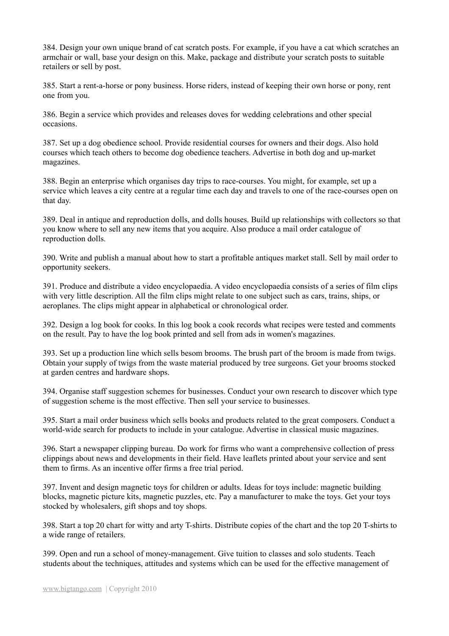384. Design your own unique brand of cat scratch posts. For example, if you have a cat which scratches an armchair or wall, base your design on this. Make, package and distribute your scratch posts to suitable retailers or sell by post.

385. Start a rent-a-horse or pony business. Horse riders, instead of keeping their own horse or pony, rent one from you.

386. Begin a service which provides and releases doves for wedding celebrations and other special occasions.

387. Set up a dog obedience school. Provide residential courses for owners and their dogs. Also hold courses which teach others to become dog obedience teachers. Advertise in both dog and up-market magazines.

388. Begin an enterprise which organises day trips to race-courses. You might, for example, set up a service which leaves a city centre at a regular time each day and travels to one of the race-courses open on that day.

389. Deal in antique and reproduction dolls, and dolls houses. Build up relationships with collectors so that you know where to sell any new items that you acquire. Also produce a mail order catalogue of reproduction dolls.

390. Write and publish a manual about how to start a profitable antiques market stall. Sell by mail order to opportunity seekers.

391. Produce and distribute a video encyclopaedia. A video encyclopaedia consists of a series of film clips with very little description. All the film clips might relate to one subject such as cars, trains, ships, or aeroplanes. The clips might appear in alphabetical or chronological order.

392. Design a log book for cooks. In this log book a cook records what recipes were tested and comments on the result. Pay to have the log book printed and sell from ads in women's magazines.

393. Set up a production line which sells besom brooms. The brush part of the broom is made from twigs. Obtain your supply of twigs from the waste material produced by tree surgeons. Get your brooms stocked at garden centres and hardware shops.

394. Organise staff suggestion schemes for businesses. Conduct your own research to discover which type of suggestion scheme is the most effective. Then sell your service to businesses.

395. Start a mail order business which sells books and products related to the great composers. Conduct a world-wide search for products to include in your catalogue. Advertise in classical music magazines.

396. Start a newspaper clipping bureau. Do work for firms who want a comprehensive collection of press clippings about news and developments in their field. Have leaflets printed about your service and sent them to firms. As an incentive offer firms a free trial period.

397. Invent and design magnetic toys for children or adults. Ideas for toys include: magnetic building blocks, magnetic picture kits, magnetic puzzles, etc. Pay a manufacturer to make the toys. Get your toys stocked by wholesalers, gift shops and toy shops.

398. Start a top 20 chart for witty and arty T-shirts. Distribute copies of the chart and the top 20 T-shirts to a wide range of retailers.

399. Open and run a school of money-management. Give tuition to classes and solo students. Teach students about the techniques, attitudes and systems which can be used for the effective management of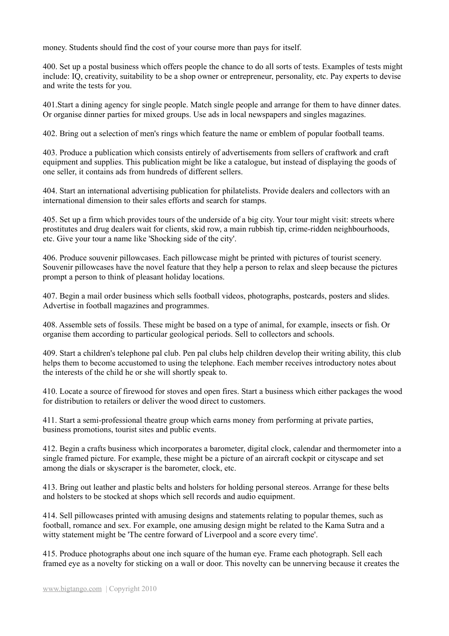money. Students should find the cost of your course more than pays for itself.

400. Set up a postal business which offers people the chance to do all sorts of tests. Examples of tests might include: IQ, creativity, suitability to be a shop owner or entrepreneur, personality, etc. Pay experts to devise and write the tests for you.

401.Start a dining agency for single people. Match single people and arrange for them to have dinner dates. Or organise dinner parties for mixed groups. Use ads in local newspapers and singles magazines.

402. Bring out a selection of men's rings which feature the name or emblem of popular football teams.

403. Produce a publication which consists entirely of advertisements from sellers of craftwork and craft equipment and supplies. This publication might be like a catalogue, but instead of displaying the goods of one seller, it contains ads from hundreds of different sellers.

404. Start an international advertising publication for philatelists. Provide dealers and collectors with an international dimension to their sales efforts and search for stamps.

405. Set up a firm which provides tours of the underside of a big city. Your tour might visit: streets where prostitutes and drug dealers wait for clients, skid row, a main rubbish tip, crime-ridden neighbourhoods, etc. Give your tour a name like 'Shocking side of the city'.

406. Produce souvenir pillowcases. Each pillowcase might be printed with pictures of tourist scenery. Souvenir pillowcases have the novel feature that they help a person to relax and sleep because the pictures prompt a person to think of pleasant holiday locations.

407. Begin a mail order business which sells football videos, photographs, postcards, posters and slides. Advertise in football magazines and programmes.

408. Assemble sets of fossils. These might be based on a type of animal, for example, insects or fish. Or organise them according to particular geological periods. Sell to collectors and schools.

409. Start a children's telephone pal club. Pen pal clubs help children develop their writing ability, this club helps them to become accustomed to using the telephone. Each member receives introductory notes about the interests of the child he or she will shortly speak to.

410. Locate a source of firewood for stoves and open fires. Start a business which either packages the wood for distribution to retailers or deliver the wood direct to customers.

411. Start a semi-professional theatre group which earns money from performing at private parties, business promotions, tourist sites and public events.

412. Begin a crafts business which incorporates a barometer, digital clock, calendar and thermometer into a single framed picture. For example, these might be a picture of an aircraft cockpit or cityscape and set among the dials or skyscraper is the barometer, clock, etc.

413. Bring out leather and plastic belts and holsters for holding personal stereos. Arrange for these belts and holsters to be stocked at shops which sell records and audio equipment.

414. Sell pillowcases printed with amusing designs and statements relating to popular themes, such as football, romance and sex. For example, one amusing design might be related to the Kama Sutra and a witty statement might be 'The centre forward of Liverpool and a score every time'.

415. Produce photographs about one inch square of the human eye. Frame each photograph. Sell each framed eye as a novelty for sticking on a wall or door. This novelty can be unnerving because it creates the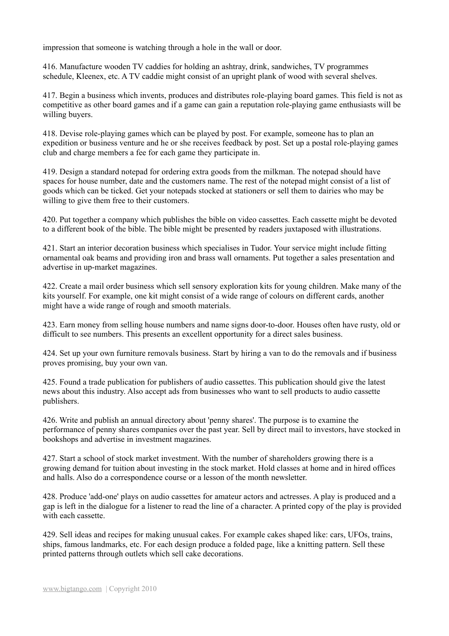impression that someone is watching through a hole in the wall or door.

416. Manufacture wooden TV caddies for holding an ashtray, drink, sandwiches, TV programmes schedule, Kleenex, etc. A TV caddie might consist of an upright plank of wood with several shelves.

417. Begin a business which invents, produces and distributes role-playing board games. This field is not as competitive as other board games and if a game can gain a reputation role-playing game enthusiasts will be willing buyers.

418. Devise role-playing games which can be played by post. For example, someone has to plan an expedition or business venture and he or she receives feedback by post. Set up a postal role-playing games club and charge members a fee for each game they participate in.

419. Design a standard notepad for ordering extra goods from the milkman. The notepad should have spaces for house number, date and the customers name. The rest of the notepad might consist of a list of goods which can be ticked. Get your notepads stocked at stationers or sell them to dairies who may be willing to give them free to their customers.

420. Put together a company which publishes the bible on video cassettes. Each cassette might be devoted to a different book of the bible. The bible might be presented by readers juxtaposed with illustrations.

421. Start an interior decoration business which specialises in Tudor. Your service might include fitting ornamental oak beams and providing iron and brass wall ornaments. Put together a sales presentation and advertise in up-market magazines.

422. Create a mail order business which sell sensory exploration kits for young children. Make many of the kits yourself. For example, one kit might consist of a wide range of colours on different cards, another might have a wide range of rough and smooth materials.

423. Earn money from selling house numbers and name signs door-to-door. Houses often have rusty, old or difficult to see numbers. This presents an excellent opportunity for a direct sales business.

424. Set up your own furniture removals business. Start by hiring a van to do the removals and if business proves promising, buy your own van.

425. Found a trade publication for publishers of audio cassettes. This publication should give the latest news about this industry. Also accept ads from businesses who want to sell products to audio cassette publishers.

426. Write and publish an annual directory about 'penny shares'. The purpose is to examine the performance of penny shares companies over the past year. Sell by direct mail to investors, have stocked in bookshops and advertise in investment magazines.

427. Start a school of stock market investment. With the number of shareholders growing there is a growing demand for tuition about investing in the stock market. Hold classes at home and in hired offices and halls. Also do a correspondence course or a lesson of the month newsletter.

428. Produce 'add-one' plays on audio cassettes for amateur actors and actresses. A play is produced and a gap is left in the dialogue for a listener to read the line of a character. A printed copy of the play is provided with each cassette.

429. Sell ideas and recipes for making unusual cakes. For example cakes shaped like: cars, UFOs, trains, ships, famous landmarks, etc. For each design produce a folded page, like a knitting pattern. Sell these printed patterns through outlets which sell cake decorations.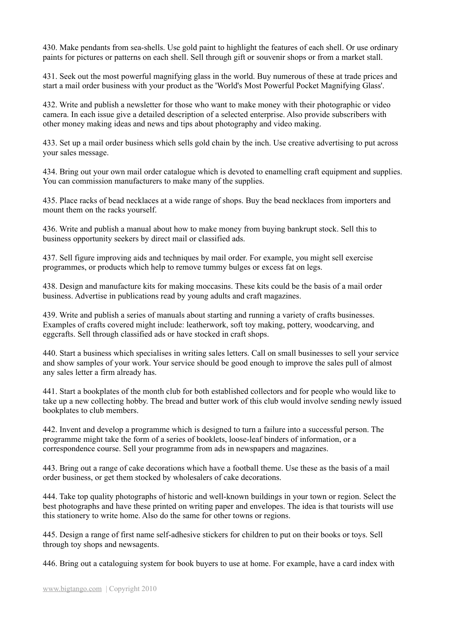430. Make pendants from sea-shells. Use gold paint to highlight the features of each shell. Or use ordinary paints for pictures or patterns on each shell. Sell through gift or souvenir shops or from a market stall.

431. Seek out the most powerful magnifying glass in the world. Buy numerous of these at trade prices and start a mail order business with your product as the 'World's Most Powerful Pocket Magnifying Glass'.

432. Write and publish a newsletter for those who want to make money with their photographic or video camera. In each issue give a detailed description of a selected enterprise. Also provide subscribers with other money making ideas and news and tips about photography and video making.

433. Set up a mail order business which sells gold chain by the inch. Use creative advertising to put across your sales message.

434. Bring out your own mail order catalogue which is devoted to enamelling craft equipment and supplies. You can commission manufacturers to make many of the supplies.

435. Place racks of bead necklaces at a wide range of shops. Buy the bead necklaces from importers and mount them on the racks yourself.

436. Write and publish a manual about how to make money from buying bankrupt stock. Sell this to business opportunity seekers by direct mail or classified ads.

437. Sell figure improving aids and techniques by mail order. For example, you might sell exercise programmes, or products which help to remove tummy bulges or excess fat on legs.

438. Design and manufacture kits for making moccasins. These kits could be the basis of a mail order business. Advertise in publications read by young adults and craft magazines.

439. Write and publish a series of manuals about starting and running a variety of crafts businesses. Examples of crafts covered might include: leatherwork, soft toy making, pottery, woodcarving, and eggcrafts. Sell through classified ads or have stocked in craft shops.

440. Start a business which specialises in writing sales letters. Call on small businesses to sell your service and show samples of your work. Your service should be good enough to improve the sales pull of almost any sales letter a firm already has.

441. Start a bookplates of the month club for both established collectors and for people who would like to take up a new collecting hobby. The bread and butter work of this club would involve sending newly issued bookplates to club members.

442. Invent and develop a programme which is designed to turn a failure into a successful person. The programme might take the form of a series of booklets, loose-leaf binders of information, or a correspondence course. Sell your programme from ads in newspapers and magazines.

443. Bring out a range of cake decorations which have a football theme. Use these as the basis of a mail order business, or get them stocked by wholesalers of cake decorations.

444. Take top quality photographs of historic and well-known buildings in your town or region. Select the best photographs and have these printed on writing paper and envelopes. The idea is that tourists will use this stationery to write home. Also do the same for other towns or regions.

445. Design a range of first name self-adhesive stickers for children to put on their books or toys. Sell through toy shops and newsagents.

446. Bring out a cataloguing system for book buyers to use at home. For example, have a card index with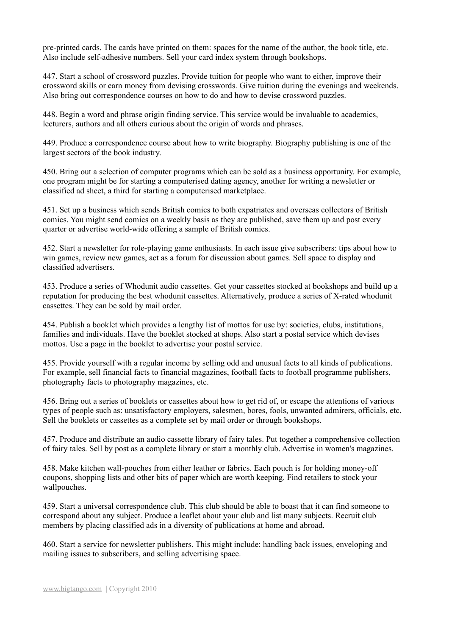pre-printed cards. The cards have printed on them: spaces for the name of the author, the book title, etc. Also include self-adhesive numbers. Sell your card index system through bookshops.

447. Start a school of crossword puzzles. Provide tuition for people who want to either, improve their crossword skills or earn money from devising crosswords. Give tuition during the evenings and weekends. Also bring out correspondence courses on how to do and how to devise crossword puzzles.

448. Begin a word and phrase origin finding service. This service would be invaluable to academics, lecturers, authors and all others curious about the origin of words and phrases.

449. Produce a correspondence course about how to write biography. Biography publishing is one of the largest sectors of the book industry.

450. Bring out a selection of computer programs which can be sold as a business opportunity. For example, one program might be for starting a computerised dating agency, another for writing a newsletter or classified ad sheet, a third for starting a computerised marketplace.

451. Set up a business which sends British comics to both expatriates and overseas collectors of British comics. You might send comics on a weekly basis as they are published, save them up and post every quarter or advertise world-wide offering a sample of British comics.

452. Start a newsletter for role-playing game enthusiasts. In each issue give subscribers: tips about how to win games, review new games, act as a forum for discussion about games. Sell space to display and classified advertisers.

453. Produce a series of Whodunit audio cassettes. Get your cassettes stocked at bookshops and build up a reputation for producing the best whodunit cassettes. Alternatively, produce a series of X-rated whodunit cassettes. They can be sold by mail order.

454. Publish a booklet which provides a lengthy list of mottos for use by: societies, clubs, institutions, families and individuals. Have the booklet stocked at shops. Also start a postal service which devises mottos. Use a page in the booklet to advertise your postal service.

455. Provide yourself with a regular income by selling odd and unusual facts to all kinds of publications. For example, sell financial facts to financial magazines, football facts to football programme publishers, photography facts to photography magazines, etc.

456. Bring out a series of booklets or cassettes about how to get rid of, or escape the attentions of various types of people such as: unsatisfactory employers, salesmen, bores, fools, unwanted admirers, officials, etc. Sell the booklets or cassettes as a complete set by mail order or through bookshops.

457. Produce and distribute an audio cassette library of fairy tales. Put together a comprehensive collection of fairy tales. Sell by post as a complete library or start a monthly club. Advertise in women's magazines.

458. Make kitchen wall-pouches from either leather or fabrics. Each pouch is for holding money-off coupons, shopping lists and other bits of paper which are worth keeping. Find retailers to stock your wallpouches.

459. Start a universal correspondence club. This club should be able to boast that it can find someone to correspond about any subject. Produce a leaflet about your club and list many subjects. Recruit club members by placing classified ads in a diversity of publications at home and abroad.

460. Start a service for newsletter publishers. This might include: handling back issues, enveloping and mailing issues to subscribers, and selling advertising space.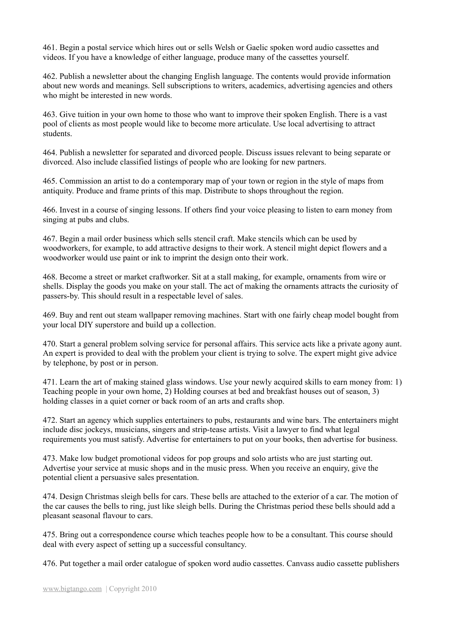461. Begin a postal service which hires out or sells Welsh or Gaelic spoken word audio cassettes and videos. If you have a knowledge of either language, produce many of the cassettes yourself.

462. Publish a newsletter about the changing English language. The contents would provide information about new words and meanings. Sell subscriptions to writers, academics, advertising agencies and others who might be interested in new words.

463. Give tuition in your own home to those who want to improve their spoken English. There is a vast pool of clients as most people would like to become more articulate. Use local advertising to attract students.

464. Publish a newsletter for separated and divorced people. Discuss issues relevant to being separate or divorced. Also include classified listings of people who are looking for new partners.

465. Commission an artist to do a contemporary map of your town or region in the style of maps from antiquity. Produce and frame prints of this map. Distribute to shops throughout the region.

466. Invest in a course of singing lessons. If others find your voice pleasing to listen to earn money from singing at pubs and clubs.

467. Begin a mail order business which sells stencil craft. Make stencils which can be used by woodworkers, for example, to add attractive designs to their work. A stencil might depict flowers and a woodworker would use paint or ink to imprint the design onto their work.

468. Become a street or market craftworker. Sit at a stall making, for example, ornaments from wire or shells. Display the goods you make on your stall. The act of making the ornaments attracts the curiosity of passers-by. This should result in a respectable level of sales.

469. Buy and rent out steam wallpaper removing machines. Start with one fairly cheap model bought from your local DIY superstore and build up a collection.

470. Start a general problem solving service for personal affairs. This service acts like a private agony aunt. An expert is provided to deal with the problem your client is trying to solve. The expert might give advice by telephone, by post or in person.

471. Learn the art of making stained glass windows. Use your newly acquired skills to earn money from: 1) Teaching people in your own home, 2) Holding courses at bed and breakfast houses out of season, 3) holding classes in a quiet corner or back room of an arts and crafts shop.

472. Start an agency which supplies entertainers to pubs, restaurants and wine bars. The entertainers might include disc jockeys, musicians, singers and strip-tease artists. Visit a lawyer to find what legal requirements you must satisfy. Advertise for entertainers to put on your books, then advertise for business.

473. Make low budget promotional videos for pop groups and solo artists who are just starting out. Advertise your service at music shops and in the music press. When you receive an enquiry, give the potential client a persuasive sales presentation.

474. Design Christmas sleigh bells for cars. These bells are attached to the exterior of a car. The motion of the car causes the bells to ring, just like sleigh bells. During the Christmas period these bells should add a pleasant seasonal flavour to cars.

475. Bring out a correspondence course which teaches people how to be a consultant. This course should deal with every aspect of setting up a successful consultancy.

476. Put together a mail order catalogue of spoken word audio cassettes. Canvass audio cassette publishers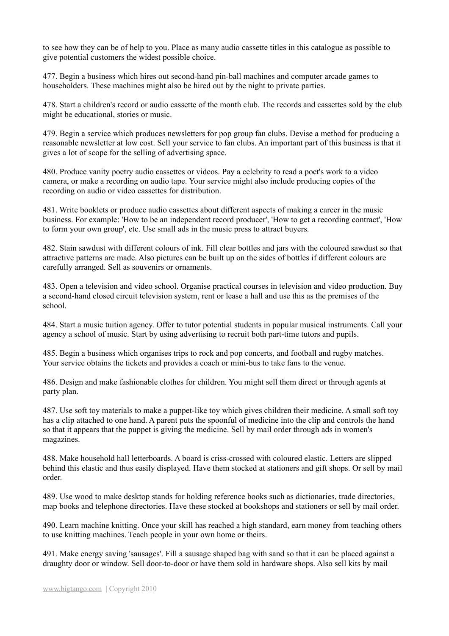to see how they can be of help to you. Place as many audio cassette titles in this catalogue as possible to give potential customers the widest possible choice.

477. Begin a business which hires out second-hand pin-ball machines and computer arcade games to householders. These machines might also be hired out by the night to private parties.

478. Start a children's record or audio cassette of the month club. The records and cassettes sold by the club might be educational, stories or music.

479. Begin a service which produces newsletters for pop group fan clubs. Devise a method for producing a reasonable newsletter at low cost. Sell your service to fan clubs. An important part of this business is that it gives a lot of scope for the selling of advertising space.

480. Produce vanity poetry audio cassettes or videos. Pay a celebrity to read a poet's work to a video camera, or make a recording on audio tape. Your service might also include producing copies of the recording on audio or video cassettes for distribution.

481. Write booklets or produce audio cassettes about different aspects of making a career in the music business. For example: 'How to be an independent record producer', 'How to get a recording contract', 'How to form your own group', etc. Use small ads in the music press to attract buyers.

482. Stain sawdust with different colours of ink. Fill clear bottles and jars with the coloured sawdust so that attractive patterns are made. Also pictures can be built up on the sides of bottles if different colours are carefully arranged. Sell as souvenirs or ornaments.

483. Open a television and video school. Organise practical courses in television and video production. Buy a second-hand closed circuit television system, rent or lease a hall and use this as the premises of the school.

484. Start a music tuition agency. Offer to tutor potential students in popular musical instruments. Call your agency a school of music. Start by using advertising to recruit both part-time tutors and pupils.

485. Begin a business which organises trips to rock and pop concerts, and football and rugby matches. Your service obtains the tickets and provides a coach or mini-bus to take fans to the venue.

486. Design and make fashionable clothes for children. You might sell them direct or through agents at party plan.

487. Use soft toy materials to make a puppet-like toy which gives children their medicine. A small soft toy has a clip attached to one hand. A parent puts the spoonful of medicine into the clip and controls the hand so that it appears that the puppet is giving the medicine. Sell by mail order through ads in women's magazines.

488. Make household hall letterboards. A board is criss-crossed with coloured elastic. Letters are slipped behind this elastic and thus easily displayed. Have them stocked at stationers and gift shops. Or sell by mail order.

489. Use wood to make desktop stands for holding reference books such as dictionaries, trade directories, map books and telephone directories. Have these stocked at bookshops and stationers or sell by mail order.

490. Learn machine knitting. Once your skill has reached a high standard, earn money from teaching others to use knitting machines. Teach people in your own home or theirs.

491. Make energy saving 'sausages'. Fill a sausage shaped bag with sand so that it can be placed against a draughty door or window. Sell door-to-door or have them sold in hardware shops. Also sell kits by mail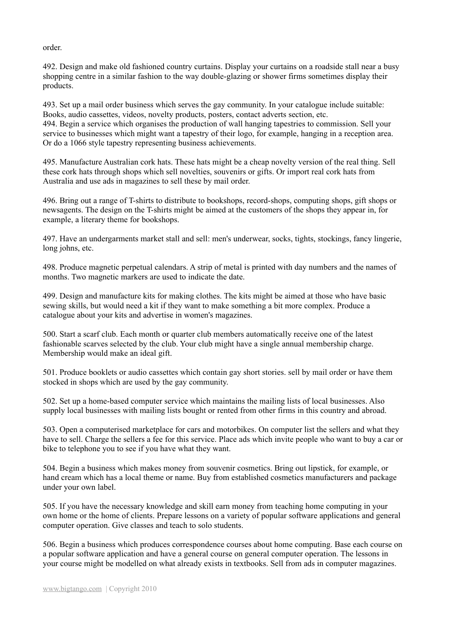order.

492. Design and make old fashioned country curtains. Display your curtains on a roadside stall near a busy shopping centre in a similar fashion to the way double-glazing or shower firms sometimes display their products.

493. Set up a mail order business which serves the gay community. In your catalogue include suitable: Books, audio cassettes, videos, novelty products, posters, contact adverts section, etc. 494. Begin a service which organises the production of wall hanging tapestries to commission. Sell your service to businesses which might want a tapestry of their logo, for example, hanging in a reception area. Or do a 1066 style tapestry representing business achievements.

495. Manufacture Australian cork hats. These hats might be a cheap novelty version of the real thing. Sell these cork hats through shops which sell novelties, souvenirs or gifts. Or import real cork hats from Australia and use ads in magazines to sell these by mail order.

496. Bring out a range of T-shirts to distribute to bookshops, record-shops, computing shops, gift shops or newsagents. The design on the T-shirts might be aimed at the customers of the shops they appear in, for example, a literary theme for bookshops.

497. Have an undergarments market stall and sell: men's underwear, socks, tights, stockings, fancy lingerie, long johns, etc.

498. Produce magnetic perpetual calendars. A strip of metal is printed with day numbers and the names of months. Two magnetic markers are used to indicate the date.

499. Design and manufacture kits for making clothes. The kits might be aimed at those who have basic sewing skills, but would need a kit if they want to make something a bit more complex. Produce a catalogue about your kits and advertise in women's magazines.

500. Start a scarf club. Each month or quarter club members automatically receive one of the latest fashionable scarves selected by the club. Your club might have a single annual membership charge. Membership would make an ideal gift.

501. Produce booklets or audio cassettes which contain gay short stories. sell by mail order or have them stocked in shops which are used by the gay community.

502. Set up a home-based computer service which maintains the mailing lists of local businesses. Also supply local businesses with mailing lists bought or rented from other firms in this country and abroad.

503. Open a computerised marketplace for cars and motorbikes. On computer list the sellers and what they have to sell. Charge the sellers a fee for this service. Place ads which invite people who want to buy a car or bike to telephone you to see if you have what they want.

504. Begin a business which makes money from souvenir cosmetics. Bring out lipstick, for example, or hand cream which has a local theme or name. Buy from established cosmetics manufacturers and package under your own label.

505. If you have the necessary knowledge and skill earn money from teaching home computing in your own home or the home of clients. Prepare lessons on a variety of popular software applications and general computer operation. Give classes and teach to solo students.

506. Begin a business which produces correspondence courses about home computing. Base each course on a popular software application and have a general course on general computer operation. The lessons in your course might be modelled on what already exists in textbooks. Sell from ads in computer magazines.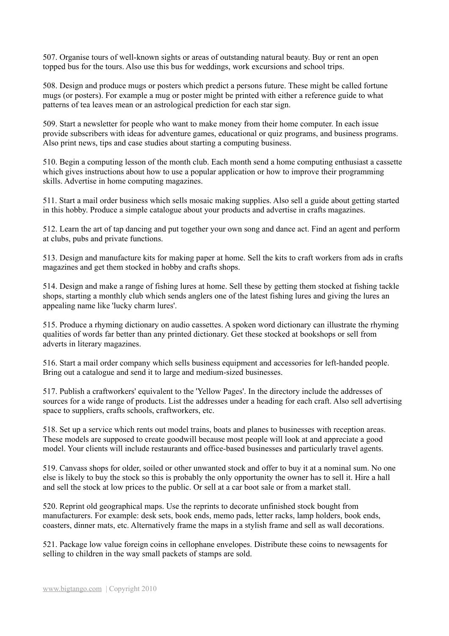507. Organise tours of well-known sights or areas of outstanding natural beauty. Buy or rent an open topped bus for the tours. Also use this bus for weddings, work excursions and school trips.

508. Design and produce mugs or posters which predict a persons future. These might be called fortune mugs (or posters). For example a mug or poster might be printed with either a reference guide to what patterns of tea leaves mean or an astrological prediction for each star sign.

509. Start a newsletter for people who want to make money from their home computer. In each issue provide subscribers with ideas for adventure games, educational or quiz programs, and business programs. Also print news, tips and case studies about starting a computing business.

510. Begin a computing lesson of the month club. Each month send a home computing enthusiast a cassette which gives instructions about how to use a popular application or how to improve their programming skills. Advertise in home computing magazines.

511. Start a mail order business which sells mosaic making supplies. Also sell a guide about getting started in this hobby. Produce a simple catalogue about your products and advertise in crafts magazines.

512. Learn the art of tap dancing and put together your own song and dance act. Find an agent and perform at clubs, pubs and private functions.

513. Design and manufacture kits for making paper at home. Sell the kits to craft workers from ads in crafts magazines and get them stocked in hobby and crafts shops.

514. Design and make a range of fishing lures at home. Sell these by getting them stocked at fishing tackle shops, starting a monthly club which sends anglers one of the latest fishing lures and giving the lures an appealing name like 'lucky charm lures'.

515. Produce a rhyming dictionary on audio cassettes. A spoken word dictionary can illustrate the rhyming qualities of words far better than any printed dictionary. Get these stocked at bookshops or sell from adverts in literary magazines.

516. Start a mail order company which sells business equipment and accessories for left-handed people. Bring out a catalogue and send it to large and medium-sized businesses.

517. Publish a craftworkers' equivalent to the 'Yellow Pages'. In the directory include the addresses of sources for a wide range of products. List the addresses under a heading for each craft. Also sell advertising space to suppliers, crafts schools, craftworkers, etc.

518. Set up a service which rents out model trains, boats and planes to businesses with reception areas. These models are supposed to create goodwill because most people will look at and appreciate a good model. Your clients will include restaurants and office-based businesses and particularly travel agents.

519. Canvass shops for older, soiled or other unwanted stock and offer to buy it at a nominal sum. No one else is likely to buy the stock so this is probably the only opportunity the owner has to sell it. Hire a hall and sell the stock at low prices to the public. Or sell at a car boot sale or from a market stall.

520. Reprint old geographical maps. Use the reprints to decorate unfinished stock bought from manufacturers. For example: desk sets, book ends, memo pads, letter racks, lamp holders, book ends, coasters, dinner mats, etc. Alternatively frame the maps in a stylish frame and sell as wall decorations.

521. Package low value foreign coins in cellophane envelopes. Distribute these coins to newsagents for selling to children in the way small packets of stamps are sold.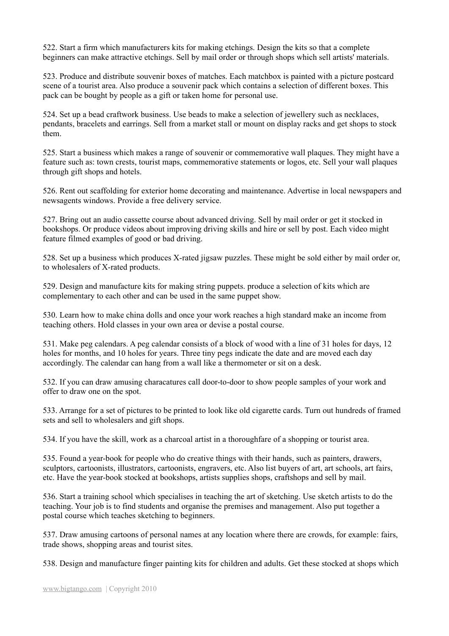522. Start a firm which manufacturers kits for making etchings. Design the kits so that a complete beginners can make attractive etchings. Sell by mail order or through shops which sell artists' materials.

523. Produce and distribute souvenir boxes of matches. Each matchbox is painted with a picture postcard scene of a tourist area. Also produce a souvenir pack which contains a selection of different boxes. This pack can be bought by people as a gift or taken home for personal use.

524. Set up a bead craftwork business. Use beads to make a selection of jewellery such as necklaces, pendants, bracelets and earrings. Sell from a market stall or mount on display racks and get shops to stock them.

525. Start a business which makes a range of souvenir or commemorative wall plaques. They might have a feature such as: town crests, tourist maps, commemorative statements or logos, etc. Sell your wall plaques through gift shops and hotels.

526. Rent out scaffolding for exterior home decorating and maintenance. Advertise in local newspapers and newsagents windows. Provide a free delivery service.

527. Bring out an audio cassette course about advanced driving. Sell by mail order or get it stocked in bookshops. Or produce videos about improving driving skills and hire or sell by post. Each video might feature filmed examples of good or bad driving.

528. Set up a business which produces X-rated jigsaw puzzles. These might be sold either by mail order or, to wholesalers of X-rated products.

529. Design and manufacture kits for making string puppets. produce a selection of kits which are complementary to each other and can be used in the same puppet show.

530. Learn how to make china dolls and once your work reaches a high standard make an income from teaching others. Hold classes in your own area or devise a postal course.

531. Make peg calendars. A peg calendar consists of a block of wood with a line of 31 holes for days, 12 holes for months, and 10 holes for years. Three tiny pegs indicate the date and are moved each day accordingly. The calendar can hang from a wall like a thermometer or sit on a desk.

532. If you can draw amusing characatures call door-to-door to show people samples of your work and offer to draw one on the spot.

533. Arrange for a set of pictures to be printed to look like old cigarette cards. Turn out hundreds of framed sets and sell to wholesalers and gift shops.

534. If you have the skill, work as a charcoal artist in a thoroughfare of a shopping or tourist area.

535. Found a year-book for people who do creative things with their hands, such as painters, drawers, sculptors, cartoonists, illustrators, cartoonists, engravers, etc. Also list buyers of art, art schools, art fairs, etc. Have the year-book stocked at bookshops, artists supplies shops, craftshops and sell by mail.

536. Start a training school which specialises in teaching the art of sketching. Use sketch artists to do the teaching. Your job is to find students and organise the premises and management. Also put together a postal course which teaches sketching to beginners.

537. Draw amusing cartoons of personal names at any location where there are crowds, for example: fairs, trade shows, shopping areas and tourist sites.

538. Design and manufacture finger painting kits for children and adults. Get these stocked at shops which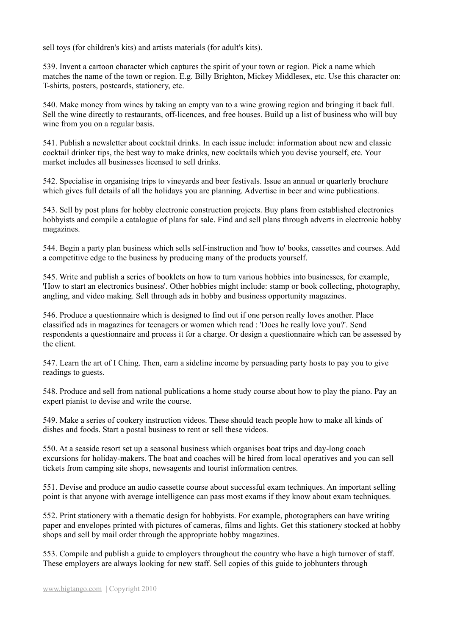sell toys (for children's kits) and artists materials (for adult's kits).

539. Invent a cartoon character which captures the spirit of your town or region. Pick a name which matches the name of the town or region. E.g. Billy Brighton, Mickey Middlesex, etc. Use this character on: T-shirts, posters, postcards, stationery, etc.

540. Make money from wines by taking an empty van to a wine growing region and bringing it back full. Sell the wine directly to restaurants, off-licences, and free houses. Build up a list of business who will buy wine from you on a regular basis.

541. Publish a newsletter about cocktail drinks. In each issue include: information about new and classic cocktail drinker tips, the best way to make drinks, new cocktails which you devise yourself, etc. Your market includes all businesses licensed to sell drinks.

542. Specialise in organising trips to vineyards and beer festivals. Issue an annual or quarterly brochure which gives full details of all the holidays you are planning. Advertise in beer and wine publications.

543. Sell by post plans for hobby electronic construction projects. Buy plans from established electronics hobbyists and compile a catalogue of plans for sale. Find and sell plans through adverts in electronic hobby magazines.

544. Begin a party plan business which sells self-instruction and 'how to' books, cassettes and courses. Add a competitive edge to the business by producing many of the products yourself.

545. Write and publish a series of booklets on how to turn various hobbies into businesses, for example, 'How to start an electronics business'. Other hobbies might include: stamp or book collecting, photography, angling, and video making. Sell through ads in hobby and business opportunity magazines.

546. Produce a questionnaire which is designed to find out if one person really loves another. Place classified ads in magazines for teenagers or women which read : 'Does he really love you?'. Send respondents a questionnaire and process it for a charge. Or design a questionnaire which can be assessed by the client.

547. Learn the art of I Ching. Then, earn a sideline income by persuading party hosts to pay you to give readings to guests.

548. Produce and sell from national publications a home study course about how to play the piano. Pay an expert pianist to devise and write the course.

549. Make a series of cookery instruction videos. These should teach people how to make all kinds of dishes and foods. Start a postal business to rent or sell these videos.

550. At a seaside resort set up a seasonal business which organises boat trips and day-long coach excursions for holiday-makers. The boat and coaches will be hired from local operatives and you can sell tickets from camping site shops, newsagents and tourist information centres.

551. Devise and produce an audio cassette course about successful exam techniques. An important selling point is that anyone with average intelligence can pass most exams if they know about exam techniques.

552. Print stationery with a thematic design for hobbyists. For example, photographers can have writing paper and envelopes printed with pictures of cameras, films and lights. Get this stationery stocked at hobby shops and sell by mail order through the appropriate hobby magazines.

553. Compile and publish a guide to employers throughout the country who have a high turnover of staff. These employers are always looking for new staff. Sell copies of this guide to jobhunters through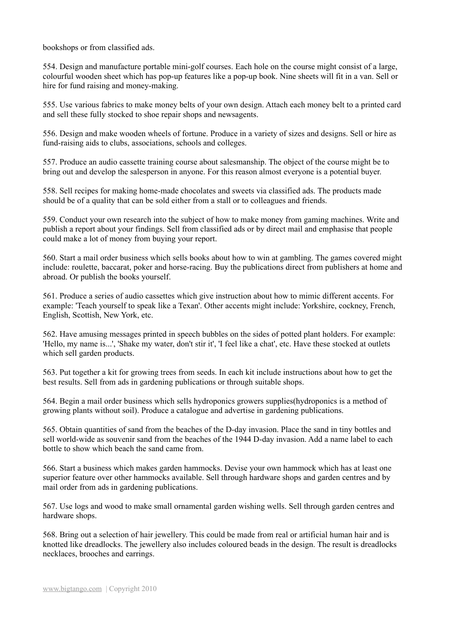bookshops or from classified ads.

554. Design and manufacture portable mini-golf courses. Each hole on the course might consist of a large, colourful wooden sheet which has pop-up features like a pop-up book. Nine sheets will fit in a van. Sell or hire for fund raising and money-making.

555. Use various fabrics to make money belts of your own design. Attach each money belt to a printed card and sell these fully stocked to shoe repair shops and newsagents.

556. Design and make wooden wheels of fortune. Produce in a variety of sizes and designs. Sell or hire as fund-raising aids to clubs, associations, schools and colleges.

557. Produce an audio cassette training course about salesmanship. The object of the course might be to bring out and develop the salesperson in anyone. For this reason almost everyone is a potential buyer.

558. Sell recipes for making home-made chocolates and sweets via classified ads. The products made should be of a quality that can be sold either from a stall or to colleagues and friends.

559. Conduct your own research into the subject of how to make money from gaming machines. Write and publish a report about your findings. Sell from classified ads or by direct mail and emphasise that people could make a lot of money from buying your report.

560. Start a mail order business which sells books about how to win at gambling. The games covered might include: roulette, baccarat, poker and horse-racing. Buy the publications direct from publishers at home and abroad. Or publish the books yourself.

561. Produce a series of audio cassettes which give instruction about how to mimic different accents. For example: 'Teach yourself to speak like a Texan'. Other accents might include: Yorkshire, cockney, French, English, Scottish, New York, etc.

562. Have amusing messages printed in speech bubbles on the sides of potted plant holders. For example: 'Hello, my name is...', 'Shake my water, don't stir it', 'I feel like a chat', etc. Have these stocked at outlets which sell garden products.

563. Put together a kit for growing trees from seeds. In each kit include instructions about how to get the best results. Sell from ads in gardening publications or through suitable shops.

564. Begin a mail order business which sells hydroponics growers supplies(hydroponics is a method of growing plants without soil). Produce a catalogue and advertise in gardening publications.

565. Obtain quantities of sand from the beaches of the D-day invasion. Place the sand in tiny bottles and sell world-wide as souvenir sand from the beaches of the 1944 D-day invasion. Add a name label to each bottle to show which beach the sand came from.

566. Start a business which makes garden hammocks. Devise your own hammock which has at least one superior feature over other hammocks available. Sell through hardware shops and garden centres and by mail order from ads in gardening publications.

567. Use logs and wood to make small ornamental garden wishing wells. Sell through garden centres and hardware shops.

568. Bring out a selection of hair jewellery. This could be made from real or artificial human hair and is knotted like dreadlocks. The jewellery also includes coloured beads in the design. The result is dreadlocks necklaces, brooches and earrings.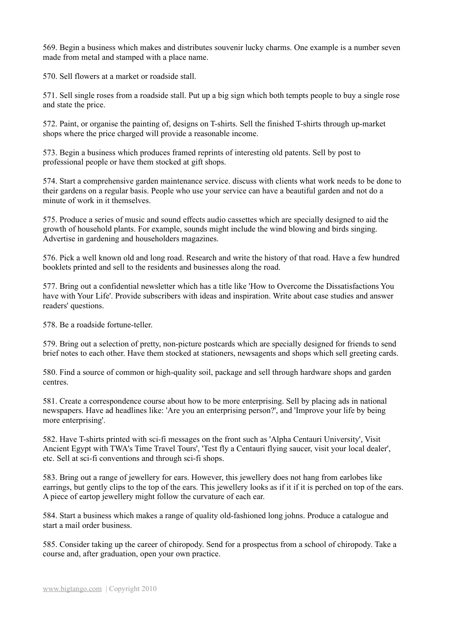569. Begin a business which makes and distributes souvenir lucky charms. One example is a number seven made from metal and stamped with a place name.

570. Sell flowers at a market or roadside stall.

571. Sell single roses from a roadside stall. Put up a big sign which both tempts people to buy a single rose and state the price.

572. Paint, or organise the painting of, designs on T-shirts. Sell the finished T-shirts through up-market shops where the price charged will provide a reasonable income.

573. Begin a business which produces framed reprints of interesting old patents. Sell by post to professional people or have them stocked at gift shops.

574. Start a comprehensive garden maintenance service. discuss with clients what work needs to be done to their gardens on a regular basis. People who use your service can have a beautiful garden and not do a minute of work in it themselves.

575. Produce a series of music and sound effects audio cassettes which are specially designed to aid the growth of household plants. For example, sounds might include the wind blowing and birds singing. Advertise in gardening and householders magazines.

576. Pick a well known old and long road. Research and write the history of that road. Have a few hundred booklets printed and sell to the residents and businesses along the road.

577. Bring out a confidential newsletter which has a title like 'How to Overcome the Dissatisfactions You have with Your Life'. Provide subscribers with ideas and inspiration. Write about case studies and answer readers' questions.

578. Be a roadside fortune-teller.

579. Bring out a selection of pretty, non-picture postcards which are specially designed for friends to send brief notes to each other. Have them stocked at stationers, newsagents and shops which sell greeting cards.

580. Find a source of common or high-quality soil, package and sell through hardware shops and garden centres.

581. Create a correspondence course about how to be more enterprising. Sell by placing ads in national newspapers. Have ad headlines like: 'Are you an enterprising person?', and 'Improve your life by being more enterprising'.

582. Have T-shirts printed with sci-fi messages on the front such as 'Alpha Centauri University', Visit Ancient Egypt with TWA's Time Travel Tours', 'Test fly a Centauri flying saucer, visit your local dealer', etc. Sell at sci-fi conventions and through sci-fi shops.

583. Bring out a range of jewellery for ears. However, this jewellery does not hang from earlobes like earrings, but gently clips to the top of the ears. This jewellery looks as if it if it is perched on top of the ears. A piece of eartop jewellery might follow the curvature of each ear.

584. Start a business which makes a range of quality old-fashioned long johns. Produce a catalogue and start a mail order business.

585. Consider taking up the career of chiropody. Send for a prospectus from a school of chiropody. Take a course and, after graduation, open your own practice.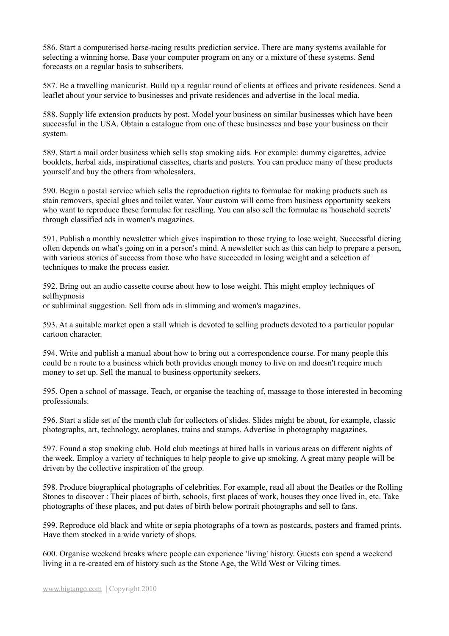586. Start a computerised horse-racing results prediction service. There are many systems available for selecting a winning horse. Base your computer program on any or a mixture of these systems. Send forecasts on a regular basis to subscribers.

587. Be a travelling manicurist. Build up a regular round of clients at offices and private residences. Send a leaflet about your service to businesses and private residences and advertise in the local media.

588. Supply life extension products by post. Model your business on similar businesses which have been successful in the USA. Obtain a catalogue from one of these businesses and base your business on their system.

589. Start a mail order business which sells stop smoking aids. For example: dummy cigarettes, advice booklets, herbal aids, inspirational cassettes, charts and posters. You can produce many of these products yourself and buy the others from wholesalers.

590. Begin a postal service which sells the reproduction rights to formulae for making products such as stain removers, special glues and toilet water. Your custom will come from business opportunity seekers who want to reproduce these formulae for reselling. You can also sell the formulae as 'household secrets' through classified ads in women's magazines.

591. Publish a monthly newsletter which gives inspiration to those trying to lose weight. Successful dieting often depends on what's going on in a person's mind. A newsletter such as this can help to prepare a person, with various stories of success from those who have succeeded in losing weight and a selection of techniques to make the process easier.

592. Bring out an audio cassette course about how to lose weight. This might employ techniques of selfhypnosis or subliminal suggestion. Sell from ads in slimming and women's magazines.

593. At a suitable market open a stall which is devoted to selling products devoted to a particular popular cartoon character.

594. Write and publish a manual about how to bring out a correspondence course. For many people this could be a route to a business which both provides enough money to live on and doesn't require much money to set up. Sell the manual to business opportunity seekers.

595. Open a school of massage. Teach, or organise the teaching of, massage to those interested in becoming professionals.

596. Start a slide set of the month club for collectors of slides. Slides might be about, for example, classic photographs, art, technology, aeroplanes, trains and stamps. Advertise in photography magazines.

597. Found a stop smoking club. Hold club meetings at hired halls in various areas on different nights of the week. Employ a variety of techniques to help people to give up smoking. A great many people will be driven by the collective inspiration of the group.

598. Produce biographical photographs of celebrities. For example, read all about the Beatles or the Rolling Stones to discover : Their places of birth, schools, first places of work, houses they once lived in, etc. Take photographs of these places, and put dates of birth below portrait photographs and sell to fans.

599. Reproduce old black and white or sepia photographs of a town as postcards, posters and framed prints. Have them stocked in a wide variety of shops.

600. Organise weekend breaks where people can experience 'living' history. Guests can spend a weekend living in a re-created era of history such as the Stone Age, the Wild West or Viking times.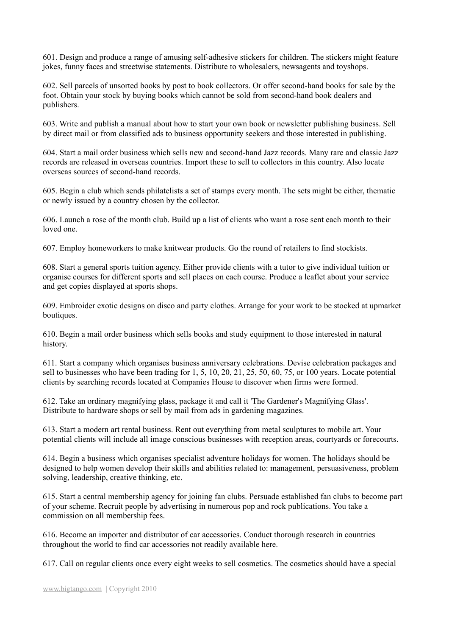601. Design and produce a range of amusing self-adhesive stickers for children. The stickers might feature jokes, funny faces and streetwise statements. Distribute to wholesalers, newsagents and toyshops.

602. Sell parcels of unsorted books by post to book collectors. Or offer second-hand books for sale by the foot. Obtain your stock by buying books which cannot be sold from second-hand book dealers and publishers.

603. Write and publish a manual about how to start your own book or newsletter publishing business. Sell by direct mail or from classified ads to business opportunity seekers and those interested in publishing.

604. Start a mail order business which sells new and second-hand Jazz records. Many rare and classic Jazz records are released in overseas countries. Import these to sell to collectors in this country. Also locate overseas sources of second-hand records.

605. Begin a club which sends philatelists a set of stamps every month. The sets might be either, thematic or newly issued by a country chosen by the collector.

606. Launch a rose of the month club. Build up a list of clients who want a rose sent each month to their loved one.

607. Employ homeworkers to make knitwear products. Go the round of retailers to find stockists.

608. Start a general sports tuition agency. Either provide clients with a tutor to give individual tuition or organise courses for different sports and sell places on each course. Produce a leaflet about your service and get copies displayed at sports shops.

609. Embroider exotic designs on disco and party clothes. Arrange for your work to be stocked at upmarket boutiques.

610. Begin a mail order business which sells books and study equipment to those interested in natural history.

611. Start a company which organises business anniversary celebrations. Devise celebration packages and sell to businesses who have been trading for 1, 5, 10, 20, 21, 25, 50, 60, 75, or 100 years. Locate potential clients by searching records located at Companies House to discover when firms were formed.

612. Take an ordinary magnifying glass, package it and call it 'The Gardener's Magnifying Glass'. Distribute to hardware shops or sell by mail from ads in gardening magazines.

613. Start a modern art rental business. Rent out everything from metal sculptures to mobile art. Your potential clients will include all image conscious businesses with reception areas, courtyards or forecourts.

614. Begin a business which organises specialist adventure holidays for women. The holidays should be designed to help women develop their skills and abilities related to: management, persuasiveness, problem solving, leadership, creative thinking, etc.

615. Start a central membership agency for joining fan clubs. Persuade established fan clubs to become part of your scheme. Recruit people by advertising in numerous pop and rock publications. You take a commission on all membership fees.

616. Become an importer and distributor of car accessories. Conduct thorough research in countries throughout the world to find car accessories not readily available here.

617. Call on regular clients once every eight weeks to sell cosmetics. The cosmetics should have a special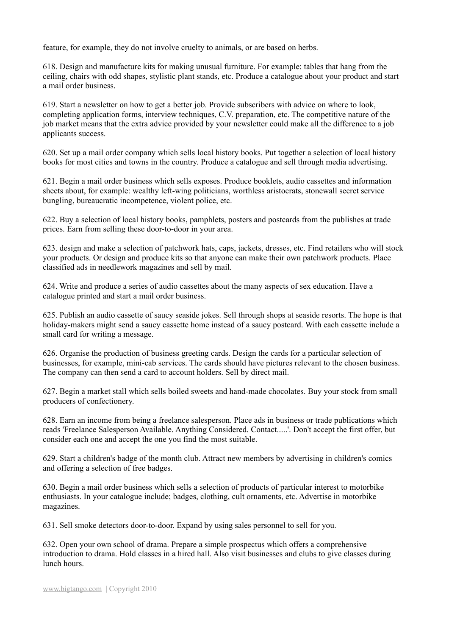feature, for example, they do not involve cruelty to animals, or are based on herbs.

618. Design and manufacture kits for making unusual furniture. For example: tables that hang from the ceiling, chairs with odd shapes, stylistic plant stands, etc. Produce a catalogue about your product and start a mail order business.

619. Start a newsletter on how to get a better job. Provide subscribers with advice on where to look, completing application forms, interview techniques, C.V. preparation, etc. The competitive nature of the job market means that the extra advice provided by your newsletter could make all the difference to a job applicants success.

620. Set up a mail order company which sells local history books. Put together a selection of local history books for most cities and towns in the country. Produce a catalogue and sell through media advertising.

621. Begin a mail order business which sells exposes. Produce booklets, audio cassettes and information sheets about, for example: wealthy left-wing politicians, worthless aristocrats, stonewall secret service bungling, bureaucratic incompetence, violent police, etc.

622. Buy a selection of local history books, pamphlets, posters and postcards from the publishes at trade prices. Earn from selling these door-to-door in your area.

623. design and make a selection of patchwork hats, caps, jackets, dresses, etc. Find retailers who will stock your products. Or design and produce kits so that anyone can make their own patchwork products. Place classified ads in needlework magazines and sell by mail.

624. Write and produce a series of audio cassettes about the many aspects of sex education. Have a catalogue printed and start a mail order business.

625. Publish an audio cassette of saucy seaside jokes. Sell through shops at seaside resorts. The hope is that holiday-makers might send a saucy cassette home instead of a saucy postcard. With each cassette include a small card for writing a message.

626. Organise the production of business greeting cards. Design the cards for a particular selection of businesses, for example, mini-cab services. The cards should have pictures relevant to the chosen business. The company can then send a card to account holders. Sell by direct mail.

627. Begin a market stall which sells boiled sweets and hand-made chocolates. Buy your stock from small producers of confectionery.

628. Earn an income from being a freelance salesperson. Place ads in business or trade publications which reads 'Freelance Salesperson Available. Anything Considered. Contact.....'. Don't accept the first offer, but consider each one and accept the one you find the most suitable.

629. Start a children's badge of the month club. Attract new members by advertising in children's comics and offering a selection of free badges.

630. Begin a mail order business which sells a selection of products of particular interest to motorbike enthusiasts. In your catalogue include; badges, clothing, cult ornaments, etc. Advertise in motorbike magazines.

631. Sell smoke detectors door-to-door. Expand by using sales personnel to sell for you.

632. Open your own school of drama. Prepare a simple prospectus which offers a comprehensive introduction to drama. Hold classes in a hired hall. Also visit businesses and clubs to give classes during lunch hours.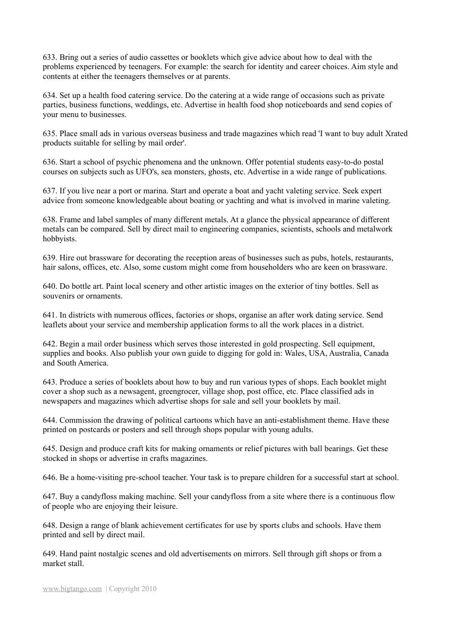633. Bring out a series of audio cassettes or booklets which give advice about how to deal with the problems experienced by teenagers. For example: the search for identity and career choices. Aim style and contents at either the teenagers themselves or at parents.

634. Set up a health food catering service. Do the catering at a wide range of occasions such as private parties, business functions, weddings, etc. Advertise in health food shop noticeboards and send copies of your menu to businesses.

635. Place small ads in various overseas business and trade magazines which read 'I want to buy adult Xrated products suitable for selling by mail order'.

636. Start a school of psychic phenomena and the unknown. Offer potential students easy-to-do postal courses on subjects such as UFO's, sea monsters, ghosts, etc. Advertise in a wide range of publications.

637. If you live near a port or marina. Start and operate a boat and yacht valeting service. Seek expert advice from someone knowledgeable about boating or yachting and what is involved in marine valeting.

638. Frame and label samples of many different metals. At a glance the physical appearance of different metals can be compared. Sell by direct mail to engineering companies, scientists, schools and metalwork hobbyists.

639. Hire out brassware for decorating the reception areas of businesses such as pubs, hotels, restaurants, hair salons, offices, etc. Also, some custom might come from householders who are keen on brassware.

640. Do bottle art. Paint local scenery and other artistic images on the exterior of tiny bottles. Sell as souvenirs or ornaments.

641. In districts with numerous offices, factories or shops, organise an after work dating service. Send leaflets about your service and membership application forms to all the work places in a district.

642. Begin a mail order business which serves those interested in gold prospecting. Sell equipment, supplies and books. Also publish your own guide to digging for gold in: Wales, USA, Australia, Canada and South America.

643. Produce a series of booklets about how to buy and run various types of shops. Each booklet might cover a shop such as a newsagent, greengrocer, village shop, post office, etc. Place classified ads in newspapers and magazines which advertise shops for sale and sell your booklets by mail.

644. Commission the drawing of political cartoons which have an anti-establishment theme. Have these printed on postcards or posters and sell through shops popular with young adults.

645. Design and produce craft kits for making ornaments or relief pictures with ball bearings. Get these stocked in shops or advertise in crafts magazines.

646. Be a home-visiting pre-school teacher. Your task is to prepare children for a successful start at school.

647. Buy a candyfloss making machine. Sell your candyfloss from a site where there is a continuous flow of people who are enjoying their leisure.

648. Design a range of blank achievement certificates for use by sports clubs and schools. Have them printed and sell by direct mail.

649. Hand paint nostalgic scenes and old advertisements on mirrors. Sell through gift shops or from a market stall.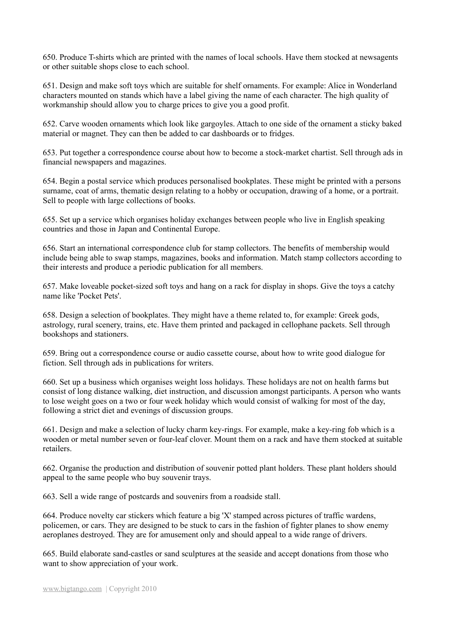650. Produce T-shirts which are printed with the names of local schools. Have them stocked at newsagents or other suitable shops close to each school.

651. Design and make soft toys which are suitable for shelf ornaments. For example: Alice in Wonderland characters mounted on stands which have a label giving the name of each character. The high quality of workmanship should allow you to charge prices to give you a good profit.

652. Carve wooden ornaments which look like gargoyles. Attach to one side of the ornament a sticky baked material or magnet. They can then be added to car dashboards or to fridges.

653. Put together a correspondence course about how to become a stock-market chartist. Sell through ads in financial newspapers and magazines.

654. Begin a postal service which produces personalised bookplates. These might be printed with a persons surname, coat of arms, thematic design relating to a hobby or occupation, drawing of a home, or a portrait. Sell to people with large collections of books.

655. Set up a service which organises holiday exchanges between people who live in English speaking countries and those in Japan and Continental Europe.

656. Start an international correspondence club for stamp collectors. The benefits of membership would include being able to swap stamps, magazines, books and information. Match stamp collectors according to their interests and produce a periodic publication for all members.

657. Make loveable pocket-sized soft toys and hang on a rack for display in shops. Give the toys a catchy name like 'Pocket Pets'.

658. Design a selection of bookplates. They might have a theme related to, for example: Greek gods, astrology, rural scenery, trains, etc. Have them printed and packaged in cellophane packets. Sell through bookshops and stationers.

659. Bring out a correspondence course or audio cassette course, about how to write good dialogue for fiction. Sell through ads in publications for writers.

660. Set up a business which organises weight loss holidays. These holidays are not on health farms but consist of long distance walking, diet instruction, and discussion amongst participants. A person who wants to lose weight goes on a two or four week holiday which would consist of walking for most of the day, following a strict diet and evenings of discussion groups.

661. Design and make a selection of lucky charm key-rings. For example, make a key-ring fob which is a wooden or metal number seven or four-leaf clover. Mount them on a rack and have them stocked at suitable retailers.

662. Organise the production and distribution of souvenir potted plant holders. These plant holders should appeal to the same people who buy souvenir trays.

663. Sell a wide range of postcards and souvenirs from a roadside stall.

664. Produce novelty car stickers which feature a big 'X' stamped across pictures of traffic wardens, policemen, or cars. They are designed to be stuck to cars in the fashion of fighter planes to show enemy aeroplanes destroyed. They are for amusement only and should appeal to a wide range of drivers.

665. Build elaborate sand-castles or sand sculptures at the seaside and accept donations from those who want to show appreciation of your work.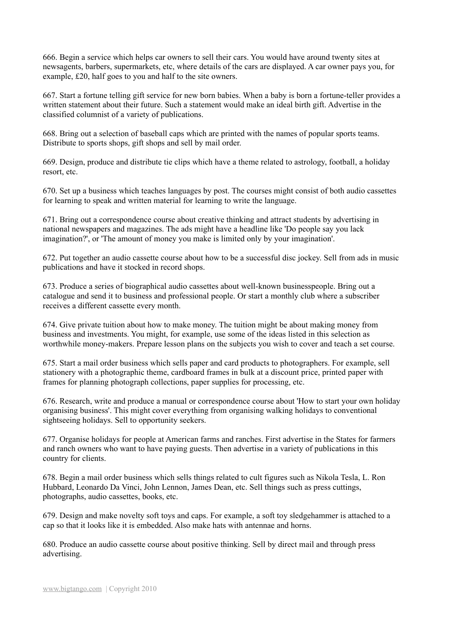666. Begin a service which helps car owners to sell their cars. You would have around twenty sites at newsagents, barbers, supermarkets, etc, where details of the cars are displayed. A car owner pays you, for example, £20, half goes to you and half to the site owners.

667. Start a fortune telling gift service for new born babies. When a baby is born a fortune-teller provides a written statement about their future. Such a statement would make an ideal birth gift. Advertise in the classified columnist of a variety of publications.

668. Bring out a selection of baseball caps which are printed with the names of popular sports teams. Distribute to sports shops, gift shops and sell by mail order.

669. Design, produce and distribute tie clips which have a theme related to astrology, football, a holiday resort, etc.

670. Set up a business which teaches languages by post. The courses might consist of both audio cassettes for learning to speak and written material for learning to write the language.

671. Bring out a correspondence course about creative thinking and attract students by advertising in national newspapers and magazines. The ads might have a headline like 'Do people say you lack imagination?', or 'The amount of money you make is limited only by your imagination'.

672. Put together an audio cassette course about how to be a successful disc jockey. Sell from ads in music publications and have it stocked in record shops.

673. Produce a series of biographical audio cassettes about well-known businesspeople. Bring out a catalogue and send it to business and professional people. Or start a monthly club where a subscriber receives a different cassette every month.

674. Give private tuition about how to make money. The tuition might be about making money from business and investments. You might, for example, use some of the ideas listed in this selection as worthwhile money-makers. Prepare lesson plans on the subjects you wish to cover and teach a set course.

675. Start a mail order business which sells paper and card products to photographers. For example, sell stationery with a photographic theme, cardboard frames in bulk at a discount price, printed paper with frames for planning photograph collections, paper supplies for processing, etc.

676. Research, write and produce a manual or correspondence course about 'How to start your own holiday organising business'. This might cover everything from organising walking holidays to conventional sightseeing holidays. Sell to opportunity seekers.

677. Organise holidays for people at American farms and ranches. First advertise in the States for farmers and ranch owners who want to have paying guests. Then advertise in a variety of publications in this country for clients.

678. Begin a mail order business which sells things related to cult figures such as Nikola Tesla, L. Ron Hubbard, Leonardo Da Vinci, John Lennon, James Dean, etc. Sell things such as press cuttings, photographs, audio cassettes, books, etc.

679. Design and make novelty soft toys and caps. For example, a soft toy sledgehammer is attached to a cap so that it looks like it is embedded. Also make hats with antennae and horns.

680. Produce an audio cassette course about positive thinking. Sell by direct mail and through press advertising.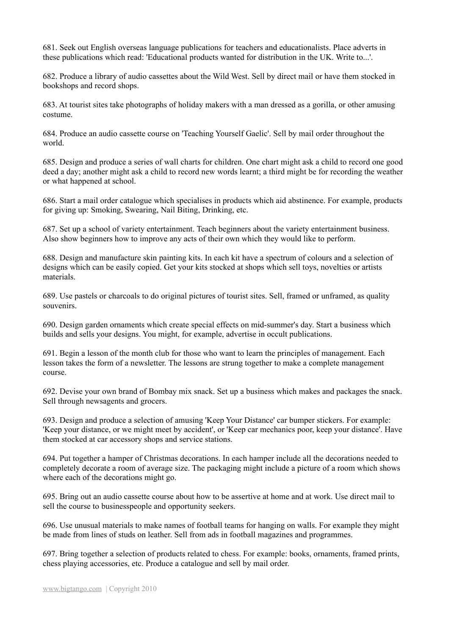681. Seek out English overseas language publications for teachers and educationalists. Place adverts in these publications which read: 'Educational products wanted for distribution in the UK. Write to...'.

682. Produce a library of audio cassettes about the Wild West. Sell by direct mail or have them stocked in bookshops and record shops.

683. At tourist sites take photographs of holiday makers with a man dressed as a gorilla, or other amusing costume.

684. Produce an audio cassette course on 'Teaching Yourself Gaelic'. Sell by mail order throughout the world.

685. Design and produce a series of wall charts for children. One chart might ask a child to record one good deed a day; another might ask a child to record new words learnt; a third might be for recording the weather or what happened at school.

686. Start a mail order catalogue which specialises in products which aid abstinence. For example, products for giving up: Smoking, Swearing, Nail Biting, Drinking, etc.

687. Set up a school of variety entertainment. Teach beginners about the variety entertainment business. Also show beginners how to improve any acts of their own which they would like to perform.

688. Design and manufacture skin painting kits. In each kit have a spectrum of colours and a selection of designs which can be easily copied. Get your kits stocked at shops which sell toys, novelties or artists materials.

689. Use pastels or charcoals to do original pictures of tourist sites. Sell, framed or unframed, as quality souvenirs.

690. Design garden ornaments which create special effects on mid-summer's day. Start a business which builds and sells your designs. You might, for example, advertise in occult publications.

691. Begin a lesson of the month club for those who want to learn the principles of management. Each lesson takes the form of a newsletter. The lessons are strung together to make a complete management course.

692. Devise your own brand of Bombay mix snack. Set up a business which makes and packages the snack. Sell through newsagents and grocers.

693. Design and produce a selection of amusing 'Keep Your Distance' car bumper stickers. For example: 'Keep your distance, or we might meet by accident', or 'Keep car mechanics poor, keep your distance'. Have them stocked at car accessory shops and service stations.

694. Put together a hamper of Christmas decorations. In each hamper include all the decorations needed to completely decorate a room of average size. The packaging might include a picture of a room which shows where each of the decorations might go.

695. Bring out an audio cassette course about how to be assertive at home and at work. Use direct mail to sell the course to businesspeople and opportunity seekers.

696. Use unusual materials to make names of football teams for hanging on walls. For example they might be made from lines of studs on leather. Sell from ads in football magazines and programmes.

697. Bring together a selection of products related to chess. For example: books, ornaments, framed prints, chess playing accessories, etc. Produce a catalogue and sell by mail order.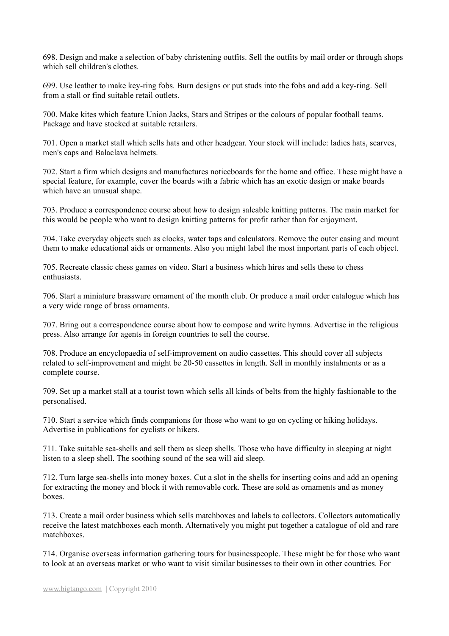698. Design and make a selection of baby christening outfits. Sell the outfits by mail order or through shops which sell children's clothes.

699. Use leather to make key-ring fobs. Burn designs or put studs into the fobs and add a key-ring. Sell from a stall or find suitable retail outlets.

700. Make kites which feature Union Jacks, Stars and Stripes or the colours of popular football teams. Package and have stocked at suitable retailers.

701. Open a market stall which sells hats and other headgear. Your stock will include: ladies hats, scarves, men's caps and Balaclava helmets.

702. Start a firm which designs and manufactures noticeboards for the home and office. These might have a special feature, for example, cover the boards with a fabric which has an exotic design or make boards which have an unusual shape.

703. Produce a correspondence course about how to design saleable knitting patterns. The main market for this would be people who want to design knitting patterns for profit rather than for enjoyment.

704. Take everyday objects such as clocks, water taps and calculators. Remove the outer casing and mount them to make educational aids or ornaments. Also you might label the most important parts of each object.

705. Recreate classic chess games on video. Start a business which hires and sells these to chess enthusiasts.

706. Start a miniature brassware ornament of the month club. Or produce a mail order catalogue which has a very wide range of brass ornaments.

707. Bring out a correspondence course about how to compose and write hymns. Advertise in the religious press. Also arrange for agents in foreign countries to sell the course.

708. Produce an encyclopaedia of self-improvement on audio cassettes. This should cover all subjects related to self-improvement and might be 20-50 cassettes in length. Sell in monthly instalments or as a complete course.

709. Set up a market stall at a tourist town which sells all kinds of belts from the highly fashionable to the personalised.

710. Start a service which finds companions for those who want to go on cycling or hiking holidays. Advertise in publications for cyclists or hikers.

711. Take suitable sea-shells and sell them as sleep shells. Those who have difficulty in sleeping at night listen to a sleep shell. The soothing sound of the sea will aid sleep.

712. Turn large sea-shells into money boxes. Cut a slot in the shells for inserting coins and add an opening for extracting the money and block it with removable cork. These are sold as ornaments and as money boxes.

713. Create a mail order business which sells matchboxes and labels to collectors. Collectors automatically receive the latest matchboxes each month. Alternatively you might put together a catalogue of old and rare matchboxes.

714. Organise overseas information gathering tours for businesspeople. These might be for those who want to look at an overseas market or who want to visit similar businesses to their own in other countries. For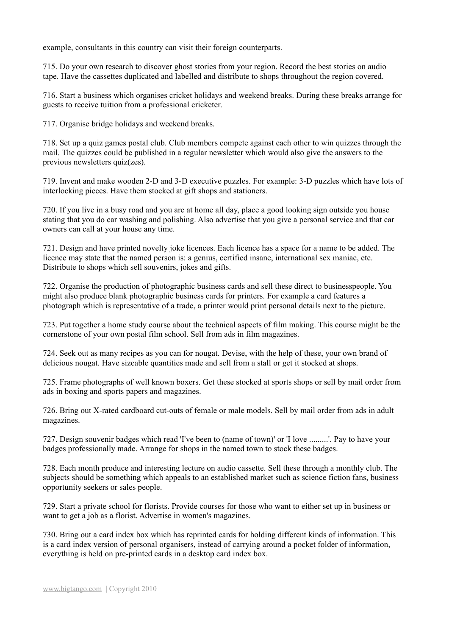example, consultants in this country can visit their foreign counterparts.

715. Do your own research to discover ghost stories from your region. Record the best stories on audio tape. Have the cassettes duplicated and labelled and distribute to shops throughout the region covered.

716. Start a business which organises cricket holidays and weekend breaks. During these breaks arrange for guests to receive tuition from a professional cricketer.

717. Organise bridge holidays and weekend breaks.

718. Set up a quiz games postal club. Club members compete against each other to win quizzes through the mail. The quizzes could be published in a regular newsletter which would also give the answers to the previous newsletters quiz(zes).

719. Invent and make wooden 2-D and 3-D executive puzzles. For example: 3-D puzzles which have lots of interlocking pieces. Have them stocked at gift shops and stationers.

720. If you live in a busy road and you are at home all day, place a good looking sign outside you house stating that you do car washing and polishing. Also advertise that you give a personal service and that car owners can call at your house any time.

721. Design and have printed novelty joke licences. Each licence has a space for a name to be added. The licence may state that the named person is: a genius, certified insane, international sex maniac, etc. Distribute to shops which sell souvenirs, jokes and gifts.

722. Organise the production of photographic business cards and sell these direct to businesspeople. You might also produce blank photographic business cards for printers. For example a card features a photograph which is representative of a trade, a printer would print personal details next to the picture.

723. Put together a home study course about the technical aspects of film making. This course might be the cornerstone of your own postal film school. Sell from ads in film magazines.

724. Seek out as many recipes as you can for nougat. Devise, with the help of these, your own brand of delicious nougat. Have sizeable quantities made and sell from a stall or get it stocked at shops.

725. Frame photographs of well known boxers. Get these stocked at sports shops or sell by mail order from ads in boxing and sports papers and magazines.

726. Bring out X-rated cardboard cut-outs of female or male models. Sell by mail order from ads in adult magazines.

727. Design souvenir badges which read 'I've been to (name of town)' or 'I love .........'. Pay to have your badges professionally made. Arrange for shops in the named town to stock these badges.

728. Each month produce and interesting lecture on audio cassette. Sell these through a monthly club. The subjects should be something which appeals to an established market such as science fiction fans, business opportunity seekers or sales people.

729. Start a private school for florists. Provide courses for those who want to either set up in business or want to get a job as a florist. Advertise in women's magazines.

730. Bring out a card index box which has reprinted cards for holding different kinds of information. This is a card index version of personal organisers, instead of carrying around a pocket folder of information, everything is held on pre-printed cards in a desktop card index box.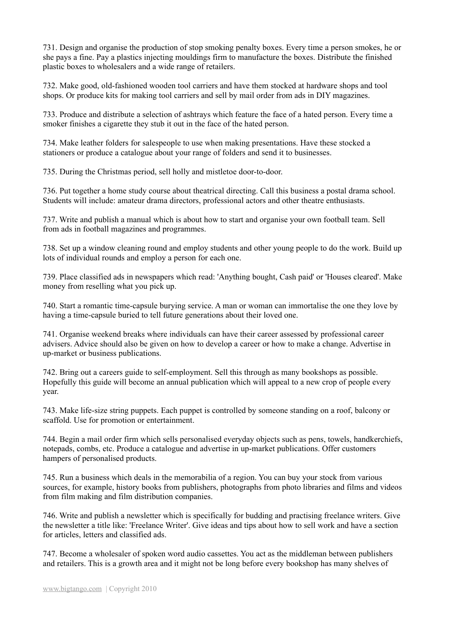731. Design and organise the production of stop smoking penalty boxes. Every time a person smokes, he or she pays a fine. Pay a plastics injecting mouldings firm to manufacture the boxes. Distribute the finished plastic boxes to wholesalers and a wide range of retailers.

732. Make good, old-fashioned wooden tool carriers and have them stocked at hardware shops and tool shops. Or produce kits for making tool carriers and sell by mail order from ads in DIY magazines.

733. Produce and distribute a selection of ashtrays which feature the face of a hated person. Every time a smoker finishes a cigarette they stub it out in the face of the hated person.

734. Make leather folders for salespeople to use when making presentations. Have these stocked a stationers or produce a catalogue about your range of folders and send it to businesses.

735. During the Christmas period, sell holly and mistletoe door-to-door.

736. Put together a home study course about theatrical directing. Call this business a postal drama school. Students will include: amateur drama directors, professional actors and other theatre enthusiasts.

737. Write and publish a manual which is about how to start and organise your own football team. Sell from ads in football magazines and programmes.

738. Set up a window cleaning round and employ students and other young people to do the work. Build up lots of individual rounds and employ a person for each one.

739. Place classified ads in newspapers which read: 'Anything bought, Cash paid' or 'Houses cleared'. Make money from reselling what you pick up.

740. Start a romantic time-capsule burying service. A man or woman can immortalise the one they love by having a time-capsule buried to tell future generations about their loved one.

741. Organise weekend breaks where individuals can have their career assessed by professional career advisers. Advice should also be given on how to develop a career or how to make a change. Advertise in up-market or business publications.

742. Bring out a careers guide to self-employment. Sell this through as many bookshops as possible. Hopefully this guide will become an annual publication which will appeal to a new crop of people every year.

743. Make life-size string puppets. Each puppet is controlled by someone standing on a roof, balcony or scaffold. Use for promotion or entertainment.

744. Begin a mail order firm which sells personalised everyday objects such as pens, towels, handkerchiefs, notepads, combs, etc. Produce a catalogue and advertise in up-market publications. Offer customers hampers of personalised products.

745. Run a business which deals in the memorabilia of a region. You can buy your stock from various sources, for example, history books from publishers, photographs from photo libraries and films and videos from film making and film distribution companies.

746. Write and publish a newsletter which is specifically for budding and practising freelance writers. Give the newsletter a title like: 'Freelance Writer'. Give ideas and tips about how to sell work and have a section for articles, letters and classified ads.

747. Become a wholesaler of spoken word audio cassettes. You act as the middleman between publishers and retailers. This is a growth area and it might not be long before every bookshop has many shelves of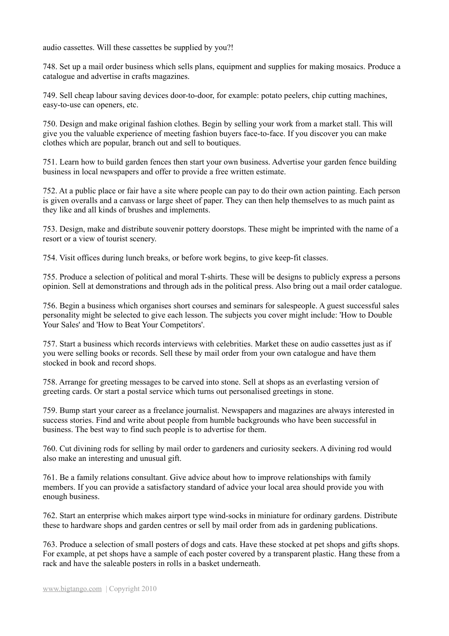audio cassettes. Will these cassettes be supplied by you?!

748. Set up a mail order business which sells plans, equipment and supplies for making mosaics. Produce a catalogue and advertise in crafts magazines.

749. Sell cheap labour saving devices door-to-door, for example: potato peelers, chip cutting machines, easy-to-use can openers, etc.

750. Design and make original fashion clothes. Begin by selling your work from a market stall. This will give you the valuable experience of meeting fashion buyers face-to-face. If you discover you can make clothes which are popular, branch out and sell to boutiques.

751. Learn how to build garden fences then start your own business. Advertise your garden fence building business in local newspapers and offer to provide a free written estimate.

752. At a public place or fair have a site where people can pay to do their own action painting. Each person is given overalls and a canvass or large sheet of paper. They can then help themselves to as much paint as they like and all kinds of brushes and implements.

753. Design, make and distribute souvenir pottery doorstops. These might be imprinted with the name of a resort or a view of tourist scenery.

754. Visit offices during lunch breaks, or before work begins, to give keep-fit classes.

755. Produce a selection of political and moral T-shirts. These will be designs to publicly express a persons opinion. Sell at demonstrations and through ads in the political press. Also bring out a mail order catalogue.

756. Begin a business which organises short courses and seminars for salespeople. A guest successful sales personality might be selected to give each lesson. The subjects you cover might include: 'How to Double Your Sales' and 'How to Beat Your Competitors'.

757. Start a business which records interviews with celebrities. Market these on audio cassettes just as if you were selling books or records. Sell these by mail order from your own catalogue and have them stocked in book and record shops.

758. Arrange for greeting messages to be carved into stone. Sell at shops as an everlasting version of greeting cards. Or start a postal service which turns out personalised greetings in stone.

759. Bump start your career as a freelance journalist. Newspapers and magazines are always interested in success stories. Find and write about people from humble backgrounds who have been successful in business. The best way to find such people is to advertise for them.

760. Cut divining rods for selling by mail order to gardeners and curiosity seekers. A divining rod would also make an interesting and unusual gift.

761. Be a family relations consultant. Give advice about how to improve relationships with family members. If you can provide a satisfactory standard of advice your local area should provide you with enough business.

762. Start an enterprise which makes airport type wind-socks in miniature for ordinary gardens. Distribute these to hardware shops and garden centres or sell by mail order from ads in gardening publications.

763. Produce a selection of small posters of dogs and cats. Have these stocked at pet shops and gifts shops. For example, at pet shops have a sample of each poster covered by a transparent plastic. Hang these from a rack and have the saleable posters in rolls in a basket underneath.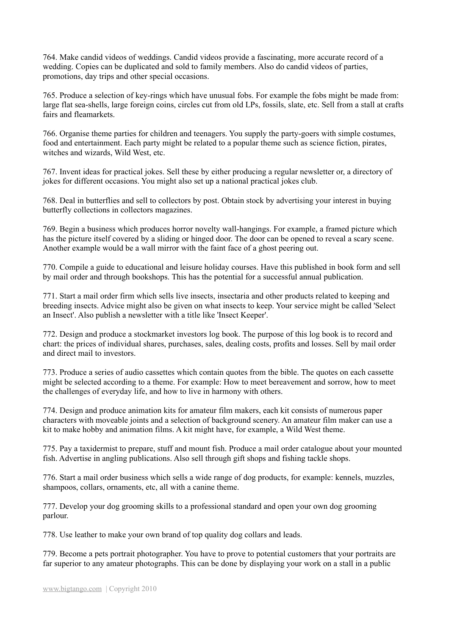764. Make candid videos of weddings. Candid videos provide a fascinating, more accurate record of a wedding. Copies can be duplicated and sold to family members. Also do candid videos of parties, promotions, day trips and other special occasions.

765. Produce a selection of key-rings which have unusual fobs. For example the fobs might be made from: large flat sea-shells, large foreign coins, circles cut from old LPs, fossils, slate, etc. Sell from a stall at crafts fairs and fleamarkets.

766. Organise theme parties for children and teenagers. You supply the party-goers with simple costumes, food and entertainment. Each party might be related to a popular theme such as science fiction, pirates, witches and wizards, Wild West, etc.

767. Invent ideas for practical jokes. Sell these by either producing a regular newsletter or, a directory of jokes for different occasions. You might also set up a national practical jokes club.

768. Deal in butterflies and sell to collectors by post. Obtain stock by advertising your interest in buying butterfly collections in collectors magazines.

769. Begin a business which produces horror novelty wall-hangings. For example, a framed picture which has the picture itself covered by a sliding or hinged door. The door can be opened to reveal a scary scene. Another example would be a wall mirror with the faint face of a ghost peering out.

770. Compile a guide to educational and leisure holiday courses. Have this published in book form and sell by mail order and through bookshops. This has the potential for a successful annual publication.

771. Start a mail order firm which sells live insects, insectaria and other products related to keeping and breeding insects. Advice might also be given on what insects to keep. Your service might be called 'Select an Insect'. Also publish a newsletter with a title like 'Insect Keeper'.

772. Design and produce a stockmarket investors log book. The purpose of this log book is to record and chart: the prices of individual shares, purchases, sales, dealing costs, profits and losses. Sell by mail order and direct mail to investors.

773. Produce a series of audio cassettes which contain quotes from the bible. The quotes on each cassette might be selected according to a theme. For example: How to meet bereavement and sorrow, how to meet the challenges of everyday life, and how to live in harmony with others.

774. Design and produce animation kits for amateur film makers, each kit consists of numerous paper characters with moveable joints and a selection of background scenery. An amateur film maker can use a kit to make hobby and animation films. A kit might have, for example, a Wild West theme.

775. Pay a taxidermist to prepare, stuff and mount fish. Produce a mail order catalogue about your mounted fish. Advertise in angling publications. Also sell through gift shops and fishing tackle shops.

776. Start a mail order business which sells a wide range of dog products, for example: kennels, muzzles, shampoos, collars, ornaments, etc, all with a canine theme.

777. Develop your dog grooming skills to a professional standard and open your own dog grooming parlour.

778. Use leather to make your own brand of top quality dog collars and leads.

779. Become a pets portrait photographer. You have to prove to potential customers that your portraits are far superior to any amateur photographs. This can be done by displaying your work on a stall in a public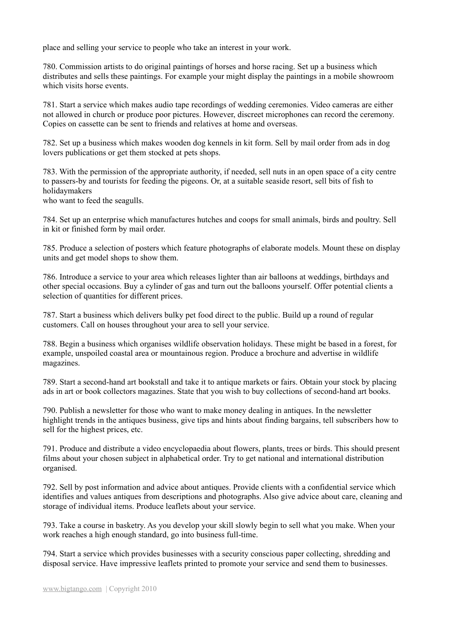place and selling your service to people who take an interest in your work.

780. Commission artists to do original paintings of horses and horse racing. Set up a business which distributes and sells these paintings. For example your might display the paintings in a mobile showroom which visits horse events.

781. Start a service which makes audio tape recordings of wedding ceremonies. Video cameras are either not allowed in church or produce poor pictures. However, discreet microphones can record the ceremony. Copies on cassette can be sent to friends and relatives at home and overseas.

782. Set up a business which makes wooden dog kennels in kit form. Sell by mail order from ads in dog lovers publications or get them stocked at pets shops.

783. With the permission of the appropriate authority, if needed, sell nuts in an open space of a city centre to passers-by and tourists for feeding the pigeons. Or, at a suitable seaside resort, sell bits of fish to holidaymakers

who want to feed the seagulls.

784. Set up an enterprise which manufactures hutches and coops for small animals, birds and poultry. Sell in kit or finished form by mail order.

785. Produce a selection of posters which feature photographs of elaborate models. Mount these on display units and get model shops to show them.

786. Introduce a service to your area which releases lighter than air balloons at weddings, birthdays and other special occasions. Buy a cylinder of gas and turn out the balloons yourself. Offer potential clients a selection of quantities for different prices.

787. Start a business which delivers bulky pet food direct to the public. Build up a round of regular customers. Call on houses throughout your area to sell your service.

788. Begin a business which organises wildlife observation holidays. These might be based in a forest, for example, unspoiled coastal area or mountainous region. Produce a brochure and advertise in wildlife magazines.

789. Start a second-hand art bookstall and take it to antique markets or fairs. Obtain your stock by placing ads in art or book collectors magazines. State that you wish to buy collections of second-hand art books.

790. Publish a newsletter for those who want to make money dealing in antiques. In the newsletter highlight trends in the antiques business, give tips and hints about finding bargains, tell subscribers how to sell for the highest prices, etc.

791. Produce and distribute a video encyclopaedia about flowers, plants, trees or birds. This should present films about your chosen subject in alphabetical order. Try to get national and international distribution organised.

792. Sell by post information and advice about antiques. Provide clients with a confidential service which identifies and values antiques from descriptions and photographs. Also give advice about care, cleaning and storage of individual items. Produce leaflets about your service.

793. Take a course in basketry. As you develop your skill slowly begin to sell what you make. When your work reaches a high enough standard, go into business full-time.

794. Start a service which provides businesses with a security conscious paper collecting, shredding and disposal service. Have impressive leaflets printed to promote your service and send them to businesses.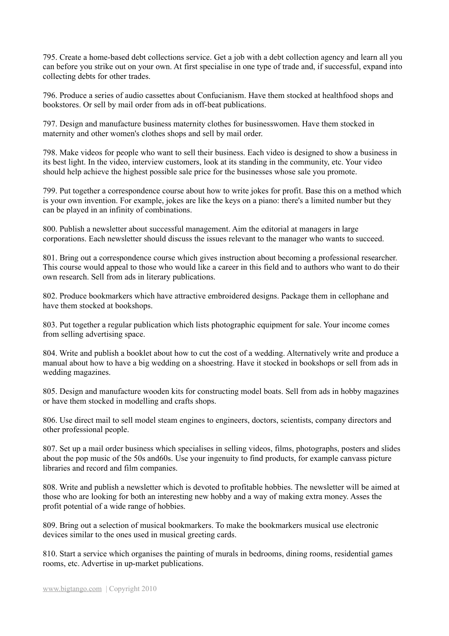795. Create a home-based debt collections service. Get a job with a debt collection agency and learn all you can before you strike out on your own. At first specialise in one type of trade and, if successful, expand into collecting debts for other trades.

796. Produce a series of audio cassettes about Confucianism. Have them stocked at healthfood shops and bookstores. Or sell by mail order from ads in off-beat publications.

797. Design and manufacture business maternity clothes for businesswomen. Have them stocked in maternity and other women's clothes shops and sell by mail order.

798. Make videos for people who want to sell their business. Each video is designed to show a business in its best light. In the video, interview customers, look at its standing in the community, etc. Your video should help achieve the highest possible sale price for the businesses whose sale you promote.

799. Put together a correspondence course about how to write jokes for profit. Base this on a method which is your own invention. For example, jokes are like the keys on a piano: there's a limited number but they can be played in an infinity of combinations.

800. Publish a newsletter about successful management. Aim the editorial at managers in large corporations. Each newsletter should discuss the issues relevant to the manager who wants to succeed.

801. Bring out a correspondence course which gives instruction about becoming a professional researcher. This course would appeal to those who would like a career in this field and to authors who want to do their own research. Sell from ads in literary publications.

802. Produce bookmarkers which have attractive embroidered designs. Package them in cellophane and have them stocked at bookshops.

803. Put together a regular publication which lists photographic equipment for sale. Your income comes from selling advertising space.

804. Write and publish a booklet about how to cut the cost of a wedding. Alternatively write and produce a manual about how to have a big wedding on a shoestring. Have it stocked in bookshops or sell from ads in wedding magazines.

805. Design and manufacture wooden kits for constructing model boats. Sell from ads in hobby magazines or have them stocked in modelling and crafts shops.

806. Use direct mail to sell model steam engines to engineers, doctors, scientists, company directors and other professional people.

807. Set up a mail order business which specialises in selling videos, films, photographs, posters and slides about the pop music of the 50s and60s. Use your ingenuity to find products, for example canvass picture libraries and record and film companies.

808. Write and publish a newsletter which is devoted to profitable hobbies. The newsletter will be aimed at those who are looking for both an interesting new hobby and a way of making extra money. Asses the profit potential of a wide range of hobbies.

809. Bring out a selection of musical bookmarkers. To make the bookmarkers musical use electronic devices similar to the ones used in musical greeting cards.

810. Start a service which organises the painting of murals in bedrooms, dining rooms, residential games rooms, etc. Advertise in up-market publications.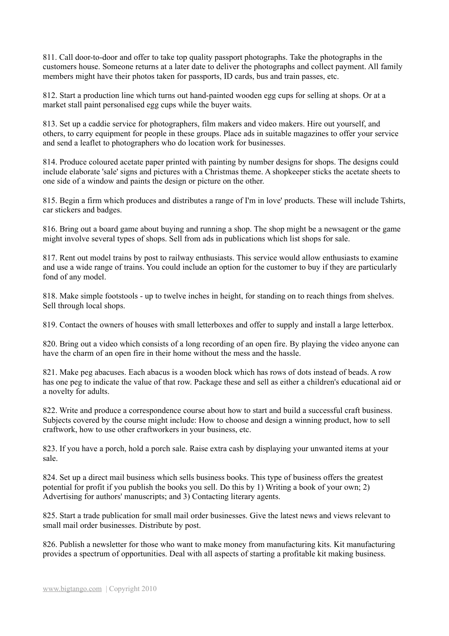811. Call door-to-door and offer to take top quality passport photographs. Take the photographs in the customers house. Someone returns at a later date to deliver the photographs and collect payment. All family members might have their photos taken for passports, ID cards, bus and train passes, etc.

812. Start a production line which turns out hand-painted wooden egg cups for selling at shops. Or at a market stall paint personalised egg cups while the buyer waits.

813. Set up a caddie service for photographers, film makers and video makers. Hire out yourself, and others, to carry equipment for people in these groups. Place ads in suitable magazines to offer your service and send a leaflet to photographers who do location work for businesses.

814. Produce coloured acetate paper printed with painting by number designs for shops. The designs could include elaborate 'sale' signs and pictures with a Christmas theme. A shopkeeper sticks the acetate sheets to one side of a window and paints the design or picture on the other.

815. Begin a firm which produces and distributes a range of I'm in love' products. These will include Tshirts, car stickers and badges.

816. Bring out a board game about buying and running a shop. The shop might be a newsagent or the game might involve several types of shops. Sell from ads in publications which list shops for sale.

817. Rent out model trains by post to railway enthusiasts. This service would allow enthusiasts to examine and use a wide range of trains. You could include an option for the customer to buy if they are particularly fond of any model.

818. Make simple footstools - up to twelve inches in height, for standing on to reach things from shelves. Sell through local shops.

819. Contact the owners of houses with small letterboxes and offer to supply and install a large letterbox.

820. Bring out a video which consists of a long recording of an open fire. By playing the video anyone can have the charm of an open fire in their home without the mess and the hassle.

821. Make peg abacuses. Each abacus is a wooden block which has rows of dots instead of beads. A row has one peg to indicate the value of that row. Package these and sell as either a children's educational aid or a novelty for adults.

822. Write and produce a correspondence course about how to start and build a successful craft business. Subjects covered by the course might include: How to choose and design a winning product, how to sell craftwork, how to use other craftworkers in your business, etc.

823. If you have a porch, hold a porch sale. Raise extra cash by displaying your unwanted items at your sale.

824. Set up a direct mail business which sells business books. This type of business offers the greatest potential for profit if you publish the books you sell. Do this by 1) Writing a book of your own; 2) Advertising for authors' manuscripts; and 3) Contacting literary agents.

825. Start a trade publication for small mail order businesses. Give the latest news and views relevant to small mail order businesses. Distribute by post.

826. Publish a newsletter for those who want to make money from manufacturing kits. Kit manufacturing provides a spectrum of opportunities. Deal with all aspects of starting a profitable kit making business.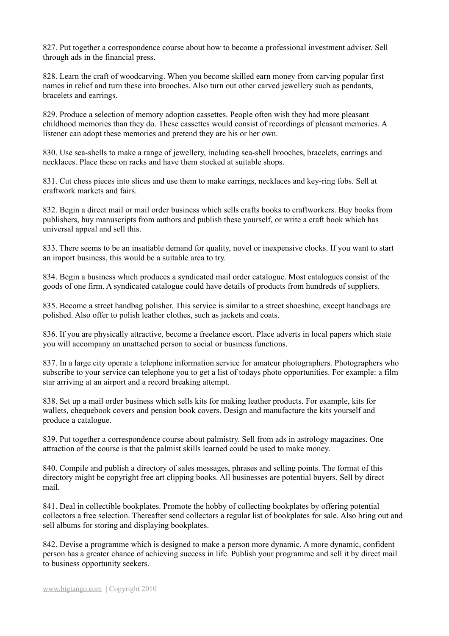827. Put together a correspondence course about how to become a professional investment adviser. Sell through ads in the financial press.

828. Learn the craft of woodcarving. When you become skilled earn money from carving popular first names in relief and turn these into brooches. Also turn out other carved jewellery such as pendants, bracelets and earrings.

829. Produce a selection of memory adoption cassettes. People often wish they had more pleasant childhood memories than they do. These cassettes would consist of recordings of pleasant memories. A listener can adopt these memories and pretend they are his or her own.

830. Use sea-shells to make a range of jewellery, including sea-shell brooches, bracelets, earrings and necklaces. Place these on racks and have them stocked at suitable shops.

831. Cut chess pieces into slices and use them to make earrings, necklaces and key-ring fobs. Sell at craftwork markets and fairs.

832. Begin a direct mail or mail order business which sells crafts books to craftworkers. Buy books from publishers, buy manuscripts from authors and publish these yourself, or write a craft book which has universal appeal and sell this.

833. There seems to be an insatiable demand for quality, novel or inexpensive clocks. If you want to start an import business, this would be a suitable area to try.

834. Begin a business which produces a syndicated mail order catalogue. Most catalogues consist of the goods of one firm. A syndicated catalogue could have details of products from hundreds of suppliers.

835. Become a street handbag polisher. This service is similar to a street shoeshine, except handbags are polished. Also offer to polish leather clothes, such as jackets and coats.

836. If you are physically attractive, become a freelance escort. Place adverts in local papers which state you will accompany an unattached person to social or business functions.

837. In a large city operate a telephone information service for amateur photographers. Photographers who subscribe to your service can telephone you to get a list of todays photo opportunities. For example: a film star arriving at an airport and a record breaking attempt.

838. Set up a mail order business which sells kits for making leather products. For example, kits for wallets, chequebook covers and pension book covers. Design and manufacture the kits yourself and produce a catalogue.

839. Put together a correspondence course about palmistry. Sell from ads in astrology magazines. One attraction of the course is that the palmist skills learned could be used to make money.

840. Compile and publish a directory of sales messages, phrases and selling points. The format of this directory might be copyright free art clipping books. All businesses are potential buyers. Sell by direct mail.

841. Deal in collectible bookplates. Promote the hobby of collecting bookplates by offering potential collectors a free selection. Thereafter send collectors a regular list of bookplates for sale. Also bring out and sell albums for storing and displaying bookplates.

842. Devise a programme which is designed to make a person more dynamic. A more dynamic, confident person has a greater chance of achieving success in life. Publish your programme and sell it by direct mail to business opportunity seekers.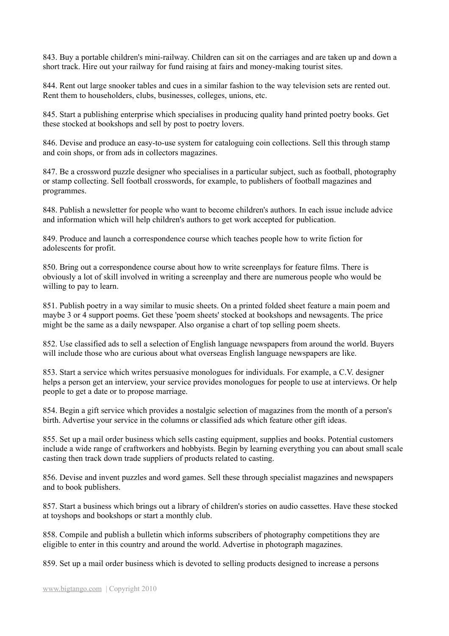843. Buy a portable children's mini-railway. Children can sit on the carriages and are taken up and down a short track. Hire out your railway for fund raising at fairs and money-making tourist sites.

844. Rent out large snooker tables and cues in a similar fashion to the way television sets are rented out. Rent them to householders, clubs, businesses, colleges, unions, etc.

845. Start a publishing enterprise which specialises in producing quality hand printed poetry books. Get these stocked at bookshops and sell by post to poetry lovers.

846. Devise and produce an easy-to-use system for cataloguing coin collections. Sell this through stamp and coin shops, or from ads in collectors magazines.

847. Be a crossword puzzle designer who specialises in a particular subject, such as football, photography or stamp collecting. Sell football crosswords, for example, to publishers of football magazines and programmes.

848. Publish a newsletter for people who want to become children's authors. In each issue include advice and information which will help children's authors to get work accepted for publication.

849. Produce and launch a correspondence course which teaches people how to write fiction for adolescents for profit.

850. Bring out a correspondence course about how to write screenplays for feature films. There is obviously a lot of skill involved in writing a screenplay and there are numerous people who would be willing to pay to learn.

851. Publish poetry in a way similar to music sheets. On a printed folded sheet feature a main poem and maybe 3 or 4 support poems. Get these 'poem sheets' stocked at bookshops and newsagents. The price might be the same as a daily newspaper. Also organise a chart of top selling poem sheets.

852. Use classified ads to sell a selection of English language newspapers from around the world. Buyers will include those who are curious about what overseas English language newspapers are like.

853. Start a service which writes persuasive monologues for individuals. For example, a C.V. designer helps a person get an interview, your service provides monologues for people to use at interviews. Or help people to get a date or to propose marriage.

854. Begin a gift service which provides a nostalgic selection of magazines from the month of a person's birth. Advertise your service in the columns or classified ads which feature other gift ideas.

855. Set up a mail order business which sells casting equipment, supplies and books. Potential customers include a wide range of craftworkers and hobbyists. Begin by learning everything you can about small scale casting then track down trade suppliers of products related to casting.

856. Devise and invent puzzles and word games. Sell these through specialist magazines and newspapers and to book publishers.

857. Start a business which brings out a library of children's stories on audio cassettes. Have these stocked at toyshops and bookshops or start a monthly club.

858. Compile and publish a bulletin which informs subscribers of photography competitions they are eligible to enter in this country and around the world. Advertise in photograph magazines.

859. Set up a mail order business which is devoted to selling products designed to increase a persons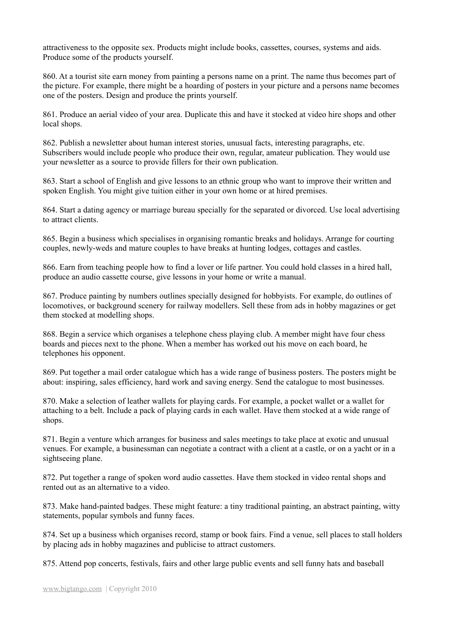attractiveness to the opposite sex. Products might include books, cassettes, courses, systems and aids. Produce some of the products yourself.

860. At a tourist site earn money from painting a persons name on a print. The name thus becomes part of the picture. For example, there might be a hoarding of posters in your picture and a persons name becomes one of the posters. Design and produce the prints yourself.

861. Produce an aerial video of your area. Duplicate this and have it stocked at video hire shops and other local shops.

862. Publish a newsletter about human interest stories, unusual facts, interesting paragraphs, etc. Subscribers would include people who produce their own, regular, amateur publication. They would use your newsletter as a source to provide fillers for their own publication.

863. Start a school of English and give lessons to an ethnic group who want to improve their written and spoken English. You might give tuition either in your own home or at hired premises.

864. Start a dating agency or marriage bureau specially for the separated or divorced. Use local advertising to attract clients.

865. Begin a business which specialises in organising romantic breaks and holidays. Arrange for courting couples, newly-weds and mature couples to have breaks at hunting lodges, cottages and castles.

866. Earn from teaching people how to find a lover or life partner. You could hold classes in a hired hall, produce an audio cassette course, give lessons in your home or write a manual.

867. Produce painting by numbers outlines specially designed for hobbyists. For example, do outlines of locomotives, or background scenery for railway modellers. Sell these from ads in hobby magazines or get them stocked at modelling shops.

868. Begin a service which organises a telephone chess playing club. A member might have four chess boards and pieces next to the phone. When a member has worked out his move on each board, he telephones his opponent.

869. Put together a mail order catalogue which has a wide range of business posters. The posters might be about: inspiring, sales efficiency, hard work and saving energy. Send the catalogue to most businesses.

870. Make a selection of leather wallets for playing cards. For example, a pocket wallet or a wallet for attaching to a belt. Include a pack of playing cards in each wallet. Have them stocked at a wide range of shops.

871. Begin a venture which arranges for business and sales meetings to take place at exotic and unusual venues. For example, a businessman can negotiate a contract with a client at a castle, or on a yacht or in a sightseeing plane.

872. Put together a range of spoken word audio cassettes. Have them stocked in video rental shops and rented out as an alternative to a video.

873. Make hand-painted badges. These might feature: a tiny traditional painting, an abstract painting, witty statements, popular symbols and funny faces.

874. Set up a business which organises record, stamp or book fairs. Find a venue, sell places to stall holders by placing ads in hobby magazines and publicise to attract customers.

875. Attend pop concerts, festivals, fairs and other large public events and sell funny hats and baseball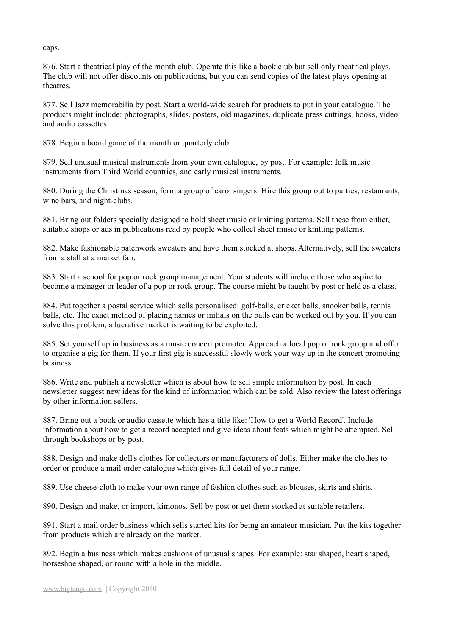caps.

876. Start a theatrical play of the month club. Operate this like a book club but sell only theatrical plays. The club will not offer discounts on publications, but you can send copies of the latest plays opening at theatres.

877. Sell Jazz memorabilia by post. Start a world-wide search for products to put in your catalogue. The products might include: photographs, slides, posters, old magazines, duplicate press cuttings, books, video and audio cassettes.

878. Begin a board game of the month or quarterly club.

879. Sell unusual musical instruments from your own catalogue, by post. For example: folk music instruments from Third World countries, and early musical instruments.

880. During the Christmas season, form a group of carol singers. Hire this group out to parties, restaurants, wine bars, and night-clubs.

881. Bring out folders specially designed to hold sheet music or knitting patterns. Sell these from either, suitable shops or ads in publications read by people who collect sheet music or knitting patterns.

882. Make fashionable patchwork sweaters and have them stocked at shops. Alternatively, sell the sweaters from a stall at a market fair.

883. Start a school for pop or rock group management. Your students will include those who aspire to become a manager or leader of a pop or rock group. The course might be taught by post or held as a class.

884. Put together a postal service which sells personalised: golf-balls, cricket balls, snooker balls, tennis balls, etc. The exact method of placing names or initials on the balls can be worked out by you. If you can solve this problem, a lucrative market is waiting to be exploited.

885. Set yourself up in business as a music concert promoter. Approach a local pop or rock group and offer to organise a gig for them. If your first gig is successful slowly work your way up in the concert promoting business.

886. Write and publish a newsletter which is about how to sell simple information by post. In each newsletter suggest new ideas for the kind of information which can be sold. Also review the latest offerings by other information sellers.

887. Bring out a book or audio cassette which has a title like: 'How to get a World Record'. Include information about how to get a record accepted and give ideas about feats which might be attempted. Sell through bookshops or by post.

888. Design and make doll's clothes for collectors or manufacturers of dolls. Either make the clothes to order or produce a mail order catalogue which gives full detail of your range.

889. Use cheese-cloth to make your own range of fashion clothes such as blouses, skirts and shirts.

890. Design and make, or import, kimonos. Sell by post or get them stocked at suitable retailers.

891. Start a mail order business which sells started kits for being an amateur musician. Put the kits together from products which are already on the market.

892. Begin a business which makes cushions of unusual shapes. For example: star shaped, heart shaped, horseshoe shaped, or round with a hole in the middle.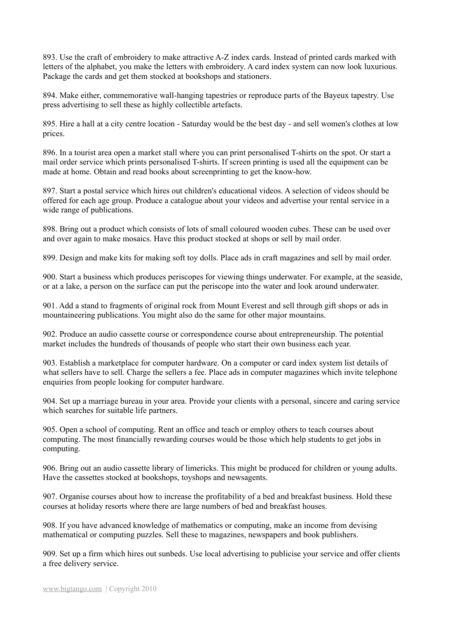893. Use the craft of embroidery to make attractive A-Z index cards. Instead of printed cards marked with letters of the alphabet, you make the letters with embroidery. A card index system can now look luxurious. Package the cards and get them stocked at bookshops and stationers.

894. Make either, commemorative wall-hanging tapestries or reproduce parts of the Bayeux tapestry. Use press advertising to sell these as highly collectible artefacts.

895. Hire a hall at a city centre location - Saturday would be the best day - and sell women's clothes at low prices.

896. In a tourist area open a market stall where you can print personalised T-shirts on the spot. Or start a mail order service which prints personalised T-shirts. If screen printing is used all the equipment can be made at home. Obtain and read books about screenprinting to get the know-how.

897. Start a postal service which hires out children's educational videos. A selection of videos should be offered for each age group. Produce a catalogue about your videos and advertise your rental service in a wide range of publications.

898. Bring out a product which consists of lots of small coloured wooden cubes. These can be used over and over again to make mosaics. Have this product stocked at shops or sell by mail order.

899. Design and make kits for making soft toy dolls. Place ads in craft magazines and sell by mail order.

900. Start a business which produces periscopes for viewing things underwater. For example, at the seaside, or at a lake, a person on the surface can put the periscope into the water and look around underwater.

901. Add a stand to fragments of original rock from Mount Everest and sell through gift shops or ads in mountaineering publications. You might also do the same for other major mountains.

902. Produce an audio cassette course or correspondence course about entrepreneurship. The potential market includes the hundreds of thousands of people who start their own business each year.

903. Establish a marketplace for computer hardware. On a computer or card index system list details of what sellers have to sell. Charge the sellers a fee. Place ads in computer magazines which invite telephone enquiries from people looking for computer hardware.

904. Set up a marriage bureau in your area. Provide your clients with a personal, sincere and caring service which searches for suitable life partners.

905. Open a school of computing. Rent an office and teach or employ others to teach courses about computing. The most financially rewarding courses would be those which help students to get jobs in computing.

906. Bring out an audio cassette library of limericks. This might be produced for children or young adults. Have the cassettes stocked at bookshops, toyshops and newsagents.

907. Organise courses about how to increase the profitability of a bed and breakfast business. Hold these courses at holiday resorts where there are large numbers of bed and breakfast houses.

908. If you have advanced knowledge of mathematics or computing, make an income from devising mathematical or computing puzzles. Sell these to magazines, newspapers and book publishers.

909. Set up a firm which hires out sunbeds. Use local advertising to publicise your service and offer clients a free delivery service.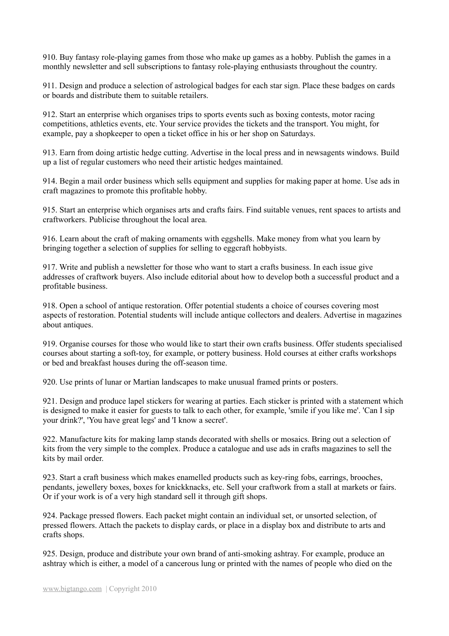910. Buy fantasy role-playing games from those who make up games as a hobby. Publish the games in a monthly newsletter and sell subscriptions to fantasy role-playing enthusiasts throughout the country.

911. Design and produce a selection of astrological badges for each star sign. Place these badges on cards or boards and distribute them to suitable retailers.

912. Start an enterprise which organises trips to sports events such as boxing contests, motor racing competitions, athletics events, etc. Your service provides the tickets and the transport. You might, for example, pay a shopkeeper to open a ticket office in his or her shop on Saturdays.

913. Earn from doing artistic hedge cutting. Advertise in the local press and in newsagents windows. Build up a list of regular customers who need their artistic hedges maintained.

914. Begin a mail order business which sells equipment and supplies for making paper at home. Use ads in craft magazines to promote this profitable hobby.

915. Start an enterprise which organises arts and crafts fairs. Find suitable venues, rent spaces to artists and craftworkers. Publicise throughout the local area.

916. Learn about the craft of making ornaments with eggshells. Make money from what you learn by bringing together a selection of supplies for selling to eggcraft hobbyists.

917. Write and publish a newsletter for those who want to start a crafts business. In each issue give addresses of craftwork buyers. Also include editorial about how to develop both a successful product and a profitable business.

918. Open a school of antique restoration. Offer potential students a choice of courses covering most aspects of restoration. Potential students will include antique collectors and dealers. Advertise in magazines about antiques.

919. Organise courses for those who would like to start their own crafts business. Offer students specialised courses about starting a soft-toy, for example, or pottery business. Hold courses at either crafts workshops or bed and breakfast houses during the off-season time.

920. Use prints of lunar or Martian landscapes to make unusual framed prints or posters.

921. Design and produce lapel stickers for wearing at parties. Each sticker is printed with a statement which is designed to make it easier for guests to talk to each other, for example, 'smile if you like me'. 'Can I sip your drink?', 'You have great legs' and 'I know a secret'.

922. Manufacture kits for making lamp stands decorated with shells or mosaics. Bring out a selection of kits from the very simple to the complex. Produce a catalogue and use ads in crafts magazines to sell the kits by mail order.

923. Start a craft business which makes enamelled products such as key-ring fobs, earrings, brooches, pendants, jewellery boxes, boxes for knickknacks, etc. Sell your craftwork from a stall at markets or fairs. Or if your work is of a very high standard sell it through gift shops.

924. Package pressed flowers. Each packet might contain an individual set, or unsorted selection, of pressed flowers. Attach the packets to display cards, or place in a display box and distribute to arts and crafts shops.

925. Design, produce and distribute your own brand of anti-smoking ashtray. For example, produce an ashtray which is either, a model of a cancerous lung or printed with the names of people who died on the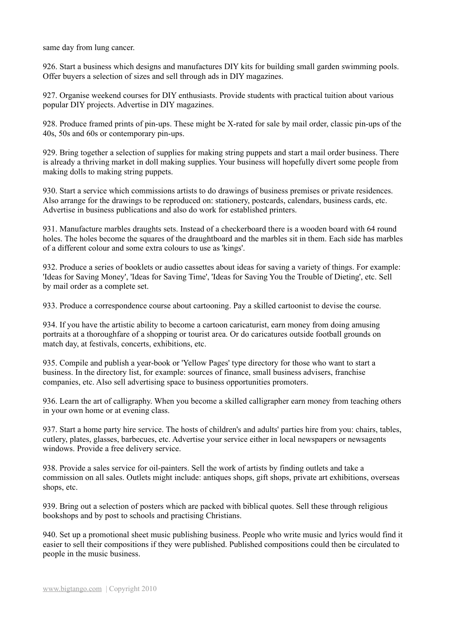same day from lung cancer.

926. Start a business which designs and manufactures DIY kits for building small garden swimming pools. Offer buyers a selection of sizes and sell through ads in DIY magazines.

927. Organise weekend courses for DIY enthusiasts. Provide students with practical tuition about various popular DIY projects. Advertise in DIY magazines.

928. Produce framed prints of pin-ups. These might be X-rated for sale by mail order, classic pin-ups of the 40s, 50s and 60s or contemporary pin-ups.

929. Bring together a selection of supplies for making string puppets and start a mail order business. There is already a thriving market in doll making supplies. Your business will hopefully divert some people from making dolls to making string puppets.

930. Start a service which commissions artists to do drawings of business premises or private residences. Also arrange for the drawings to be reproduced on: stationery, postcards, calendars, business cards, etc. Advertise in business publications and also do work for established printers.

931. Manufacture marbles draughts sets. Instead of a checkerboard there is a wooden board with 64 round holes. The holes become the squares of the draughtboard and the marbles sit in them. Each side has marbles of a different colour and some extra colours to use as 'kings'.

932. Produce a series of booklets or audio cassettes about ideas for saving a variety of things. For example: 'Ideas for Saving Money', 'Ideas for Saving Time', 'Ideas for Saving You the Trouble of Dieting', etc. Sell by mail order as a complete set.

933. Produce a correspondence course about cartooning. Pay a skilled cartoonist to devise the course.

934. If you have the artistic ability to become a cartoon caricaturist, earn money from doing amusing portraits at a thoroughfare of a shopping or tourist area. Or do caricatures outside football grounds on match day, at festivals, concerts, exhibitions, etc.

935. Compile and publish a year-book or 'Yellow Pages' type directory for those who want to start a business. In the directory list, for example: sources of finance, small business advisers, franchise companies, etc. Also sell advertising space to business opportunities promoters.

936. Learn the art of calligraphy. When you become a skilled calligrapher earn money from teaching others in your own home or at evening class.

937. Start a home party hire service. The hosts of children's and adults' parties hire from you: chairs, tables, cutlery, plates, glasses, barbecues, etc. Advertise your service either in local newspapers or newsagents windows. Provide a free delivery service.

938. Provide a sales service for oil-painters. Sell the work of artists by finding outlets and take a commission on all sales. Outlets might include: antiques shops, gift shops, private art exhibitions, overseas shops, etc.

939. Bring out a selection of posters which are packed with biblical quotes. Sell these through religious bookshops and by post to schools and practising Christians.

940. Set up a promotional sheet music publishing business. People who write music and lyrics would find it easier to sell their compositions if they were published. Published compositions could then be circulated to people in the music business.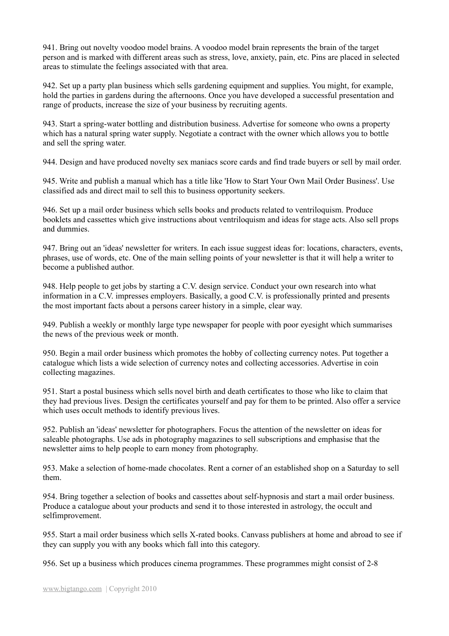941. Bring out novelty voodoo model brains. A voodoo model brain represents the brain of the target person and is marked with different areas such as stress, love, anxiety, pain, etc. Pins are placed in selected areas to stimulate the feelings associated with that area.

942. Set up a party plan business which sells gardening equipment and supplies. You might, for example, hold the parties in gardens during the afternoons. Once you have developed a successful presentation and range of products, increase the size of your business by recruiting agents.

943. Start a spring-water bottling and distribution business. Advertise for someone who owns a property which has a natural spring water supply. Negotiate a contract with the owner which allows you to bottle and sell the spring water.

944. Design and have produced novelty sex maniacs score cards and find trade buyers or sell by mail order.

945. Write and publish a manual which has a title like 'How to Start Your Own Mail Order Business'. Use classified ads and direct mail to sell this to business opportunity seekers.

946. Set up a mail order business which sells books and products related to ventriloquism. Produce booklets and cassettes which give instructions about ventriloquism and ideas for stage acts. Also sell props and dummies.

947. Bring out an 'ideas' newsletter for writers. In each issue suggest ideas for: locations, characters, events, phrases, use of words, etc. One of the main selling points of your newsletter is that it will help a writer to become a published author.

948. Help people to get jobs by starting a C.V. design service. Conduct your own research into what information in a C.V. impresses employers. Basically, a good C.V. is professionally printed and presents the most important facts about a persons career history in a simple, clear way.

949. Publish a weekly or monthly large type newspaper for people with poor eyesight which summarises the news of the previous week or month.

950. Begin a mail order business which promotes the hobby of collecting currency notes. Put together a catalogue which lists a wide selection of currency notes and collecting accessories. Advertise in coin collecting magazines.

951. Start a postal business which sells novel birth and death certificates to those who like to claim that they had previous lives. Design the certificates yourself and pay for them to be printed. Also offer a service which uses occult methods to identify previous lives.

952. Publish an 'ideas' newsletter for photographers. Focus the attention of the newsletter on ideas for saleable photographs. Use ads in photography magazines to sell subscriptions and emphasise that the newsletter aims to help people to earn money from photography.

953. Make a selection of home-made chocolates. Rent a corner of an established shop on a Saturday to sell them.

954. Bring together a selection of books and cassettes about self-hypnosis and start a mail order business. Produce a catalogue about your products and send it to those interested in astrology, the occult and selfimprovement.

955. Start a mail order business which sells X-rated books. Canvass publishers at home and abroad to see if they can supply you with any books which fall into this category.

956. Set up a business which produces cinema programmes. These programmes might consist of 2-8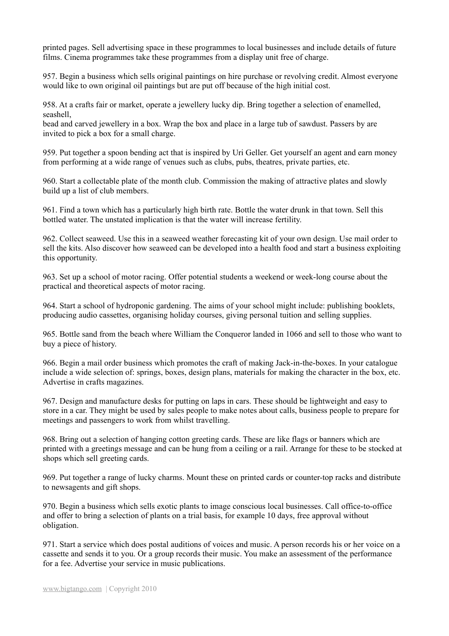printed pages. Sell advertising space in these programmes to local businesses and include details of future films. Cinema programmes take these programmes from a display unit free of charge.

957. Begin a business which sells original paintings on hire purchase or revolving credit. Almost everyone would like to own original oil paintings but are put off because of the high initial cost.

958. At a crafts fair or market, operate a jewellery lucky dip. Bring together a selection of enamelled, seashell,

bead and carved jewellery in a box. Wrap the box and place in a large tub of sawdust. Passers by are invited to pick a box for a small charge.

959. Put together a spoon bending act that is inspired by Uri Geller. Get yourself an agent and earn money from performing at a wide range of venues such as clubs, pubs, theatres, private parties, etc.

960. Start a collectable plate of the month club. Commission the making of attractive plates and slowly build up a list of club members.

961. Find a town which has a particularly high birth rate. Bottle the water drunk in that town. Sell this bottled water. The unstated implication is that the water will increase fertility.

962. Collect seaweed. Use this in a seaweed weather forecasting kit of your own design. Use mail order to sell the kits. Also discover how seaweed can be developed into a health food and start a business exploiting this opportunity.

963. Set up a school of motor racing. Offer potential students a weekend or week-long course about the practical and theoretical aspects of motor racing.

964. Start a school of hydroponic gardening. The aims of your school might include: publishing booklets, producing audio cassettes, organising holiday courses, giving personal tuition and selling supplies.

965. Bottle sand from the beach where William the Conqueror landed in 1066 and sell to those who want to buy a piece of history.

966. Begin a mail order business which promotes the craft of making Jack-in-the-boxes. In your catalogue include a wide selection of: springs, boxes, design plans, materials for making the character in the box, etc. Advertise in crafts magazines.

967. Design and manufacture desks for putting on laps in cars. These should be lightweight and easy to store in a car. They might be used by sales people to make notes about calls, business people to prepare for meetings and passengers to work from whilst travelling.

968. Bring out a selection of hanging cotton greeting cards. These are like flags or banners which are printed with a greetings message and can be hung from a ceiling or a rail. Arrange for these to be stocked at shops which sell greeting cards.

969. Put together a range of lucky charms. Mount these on printed cards or counter-top racks and distribute to newsagents and gift shops.

970. Begin a business which sells exotic plants to image conscious local businesses. Call office-to-office and offer to bring a selection of plants on a trial basis, for example 10 days, free approval without obligation.

971. Start a service which does postal auditions of voices and music. A person records his or her voice on a cassette and sends it to you. Or a group records their music. You make an assessment of the performance for a fee. Advertise your service in music publications.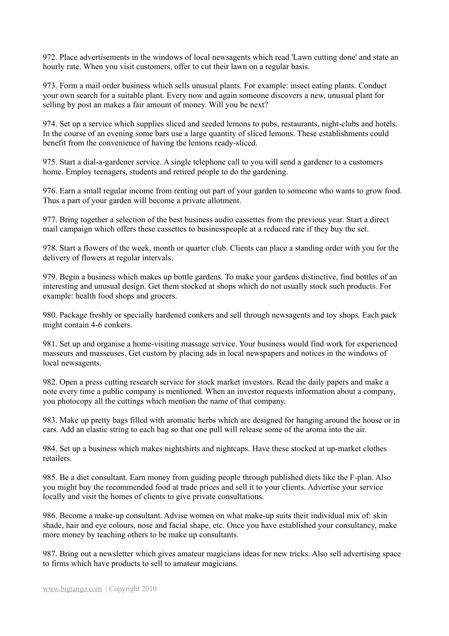972. Place advertisements in the windows of local newsagents which read 'Lawn cutting done' and state an hourly rate. When you visit customers, offer to cut their lawn on a regular basis.

973. Form a mail order business which sells unusual plants. For example: insect eating plants. Conduct your own search for a suitable plant. Every now and again someone discovers a new, unusual plant for selling by post an makes a fair amount of money. Will you be next?

974. Set up a service which supplies sliced and seeded lemons to pubs, restaurants, night-clubs and hotels. In the course of an evening some bars use a large quantity of sliced lemons. These establishments could benefit from the convenience of having the lemons ready-sliced.

975. Start a dial-a-gardener service. A single telephone call to you will send a gardener to a customers home. Employ teenagers, students and retired people to do the gardening.

976. Earn a small regular income from renting out part of your garden to someone who wants to grow food. Thus a part of your garden will become a private allotment.

977. Bring together a selection of the best business audio cassettes from the previous year. Start a direct mail campaign which offers these cassettes to businesspeople at a reduced rate if they buy the set.

978. Start a flowers of the week, month or quarter club. Clients can place a standing order with you for the delivery of flowers at regular intervals.

979. Begin a business which makes up bottle gardens. To make your gardens distinctive, find bottles of an interesting and unusual design. Get them stocked at shops which do not usually stock such products. For example: health food shops and grocers.

980. Package freshly or specially hardened conkers and sell through newsagents and toy shops. Each pack might contain 4-6 conkers.

981. Set up and organise a home-visiting massage service. Your business would find work for experienced masseurs and masseuses. Get custom by placing ads in local newspapers and notices in the windows of local newsagents.

982. Open a press cutting research service for stock market investors. Read the daily papers and make a note every time a public company is mentioned. When an investor requests information about a company, you photocopy all the cuttings which mention the name of that company.

983. Make up pretty bags filled with aromatic herbs which are designed for hanging around the house or in cars. Add an elastic string to each bag so that one pull will release some of the aroma into the air.

984. Set up a business which makes nightshirts and nightcaps. Have these stocked at up-market clothes retailers.

985. Be a diet consultant. Earn money from guiding people through published diets like the F-plan. Also you might buy the recommended food at trade prices and sell it to your clients. Advertise your service locally and visit the homes of clients to give private consultations.

986. Become a make-up consultant. Advise women on what make-up suits their individual mix of: skin shade, hair and eye colours, nose and facial shape, etc. Once you have established your consultancy, make more money by teaching others to be make up consultants.

987. Bring out a newsletter which gives amateur magicians ideas for new tricks. Also sell advertising space to firms which have products to sell to amateur magicians.